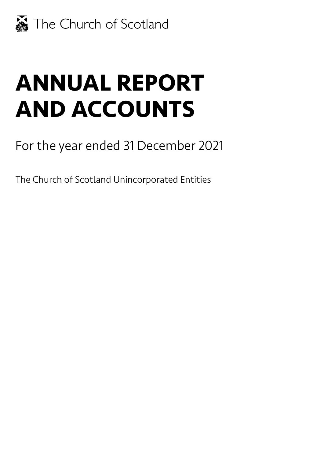

# **ANNUAL REPORT AND ACCOUNTS**

For the year ended 31 December 2021

The Church of Scotland Unincorporated Entities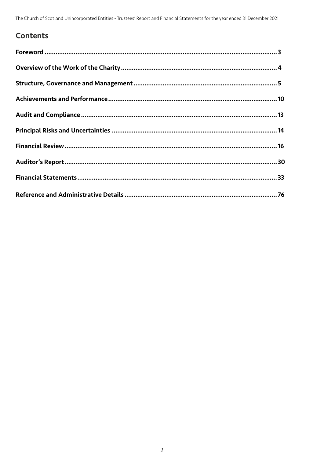### **Contents**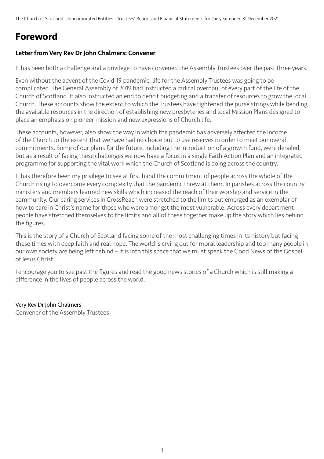## **Foreword**

#### Letter from Very Rev Dr John Chalmers: Convener

It has been both a challenge and a privilege to have convened the Assembly Trustees over the past three years.

Even without the advent of the Covid-19 pandemic, life for the Assembly Trustees was going to be complicated. The General Assembly of 2019 had instructed a radical overhaul of every part of the life of the Church of Scotland. It also instructed an end to deficit budgeting and a transfer of resources to grow the local Church. These accounts show the extent to which the Trustees have tightened the purse strings while bending the available resources in the direction of establishing new presbyteries and local Mission Plans designed to place an emphasis on pioneer mission and new expressions of Church life.

These accounts, however, also show the way in which the pandemic has adversely affected the income of the Church to the extent that we have had no choice but to use reserves in order to meet our overall commitments. Some of our plans for the future, including the introduction of a growth fund, were derailed, but as a result of facing these challenges we now have a focus in a single Faith Action Plan and an integrated programme for supporting the vital work which the Church of Scotland is doing across the country.

It has therefore been my privilege to see at first hand the commitment of people across the whole of the Church rising to overcome every complexity that the pandemic threw at them. In parishes across the country ministers and members learned new skills which increased the reach of their worship and service in the community. Our caring services in CrossReach were stretched to the limits but emerged as an exemplar of how to care in Christ's name for those who were amongst the most vulnerable. Across every department people have stretched themselves to the limits and all of these together make up the story which lies behind the figures.

This is the story of a Church of Scotland facing some of the most challenging times in its history but facing these times with deep faith and real hope. The world is crying out for moral leadership and too many people in our own society are being left behind – it is into this space that we must speak the Good News of the Gospel of Jesus Christ.

I encourage you to see past the figures and read the good news stories of a Church which is still making a difference in the lives of people across the world.

Very Rev Dr John Chalmers Convener of the Assembly Trustees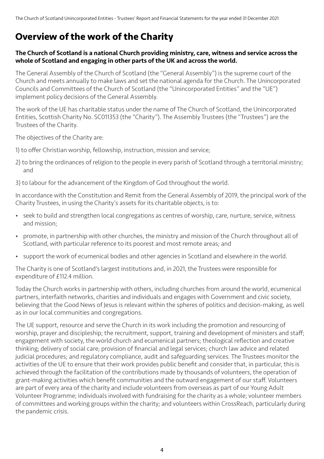## **Overview of the work of the Charity**

#### The Church of Scotland is a national Church providing ministry, care, witness and service across the whole of Scotland and engaging in other parts of the UK and across the world.

The General Assembly of the Church of Scotland (the "General Assembly") is the supreme court of the Church and meets annually to make laws and set the national agenda for the Church. The Unincorporated Councils and Committees of the Church of Scotland (the "Unincorporated Entities" and the "UE") implement policy decisions of the General Assembly.

The work of the UE has charitable status under the name of The Church of Scotland, the Unincorporated Entities, Scottish Charity No. SC011353 (the "Charity"). The Assembly Trustees (the "Trustees") are the Trustees of the Charity.

The objectives of the Charity are:

- 1) to offer Christian worship, fellowship, instruction, mission and service;
- 2) to bring the ordinances of religion to the people in every parish of Scotland through a territorial ministry; and
- 3) to labour for the advancement of the Kingdom of God throughout the world.

In accordance with the Constitution and Remit from the General Assembly of 2019, the principal work of the Charity Trustees, in using the Charity's assets for its charitable objects, is to:

- seek to build and strengthen local congregations as centres of worship, care, nurture, service, witness and mission;
- promote, in partnership with other churches, the ministry and mission of the Church throughout all of Scotland, with particular reference to its poorest and most remote areas; and
- support the work of ecumenical bodies and other agencies in Scotland and elsewhere in the world.

The Charity is one of Scotland's largest institutions and, in 2021, the Trustees were responsible for expenditure of £112.4 million.

Today the Church works in partnership with others, including churches from around the world, ecumenical partners, interfaith networks, charities and individuals and engages with Government and civic society, believing that the Good News of Jesus is relevant within the spheres of politics and decision-making, as well as in our local communities and congregations.

The UE support, resource and serve the Church in its work including the promotion and resourcing of worship, prayer and discipleship; the recruitment, support, training and development of ministers and staff; engagement with society, the world church and ecumenical partners; theological reflection and creative thinking; delivery of social care; provision of financial and legal services; church law advice and related judicial procedures; and regulatory compliance, audit and safeguarding services. The Trustees monitor the activities of the UE to ensure that their work provides public benefit and consider that, in particular, this is achieved through the facilitation of the contributions made by thousands of volunteers, the operation of grant-making activities which benefit communities and the outward engagement of our staff. Volunteers are part of every area of the charity and include volunteers from overseas as part of our Young Adult Volunteer Programme; individuals involved with fundraising for the charity as a whole; volunteer members of committees and working groups within the charity; and volunteers within CrossReach, particularly during the pandemic crisis.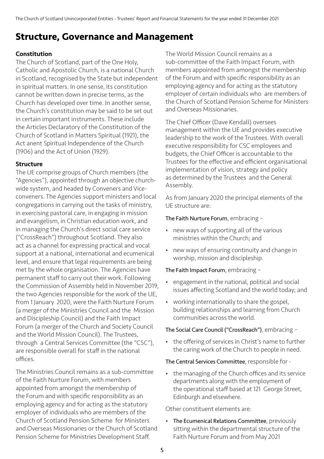## **Structure, Governance and Management**

#### Constitution

The Church of Scotland, part of the One Holy, Catholic and Apostolic Church, is a national Church in Scotland, recognised by the State but independent in spiritual matters. In one sense, its constitution cannot be written down in precise terms, as the Church has developed over time. In another sense, the Church's constitution may be said to be set out in certain important instruments. These include the Articles Declaratory of the Constitution of the Church of Scotland in Matters Spiritual (1921), the Act anent Spiritual Independence of the Church (1906) and the Act of Union (1929).

#### **Structure**

The UE comprise groups of Church members (the "Agencies"), appointed through an objective churchwide system, and headed by Conveners and Viceconveners. The Agencies support ministers and local congregations in carrying out the tasks of ministry, in exercising pastoral care, in engaging in mission and evangelism, in Christian education work, and in managing the Church's direct social care service ("CrossReach") throughout Scotland. They also act as a channel for expressing practical and vocal support at a national, international and ecumenical level, and ensure that legal requirements are being met by the whole organisation. The Agencies have permanent staff to carry out their work. Following the Commission of Assembly held in November 2019, the two Agencies responsible for the work of the UE, from 1 January 2020, were the Faith Nurture Forum (a merger of the Ministries Council and the Mission and Discipleship Council) and the Faith Impact Forum (a merger of the Church and Society Council and the World Mission Council). The Trustees, through a Central Services Committee (the "CSC"), are responsible overall for staff in the national offices.

The Ministries Council remains as a sub-committee of the Faith Nurture Forum, with members appointed from amongst the membership of the Forum and with specific responsibility as an employing agency and for acting as the statutory employer of individuals who are members of the Church of Scotland Pension Scheme for Ministers and Overseas Missionaries or the Church of Scotland Pension Scheme for Ministries Development Staff.

The World Mission Council remains as a sub-committee of the Faith Impact Forum, with members appointed from amongst the membership of the Forum and with specific responsibility as an employing agency and for acting as the statutory employer of certain individuals who are members of the Church of Scotland Pension Scheme for Ministers and Overseas Missionaries.

The Chief Officer (Dave Kendall) oversees management within the UE and provides executive leadership to the work of the Trustees. With overall executive responsibility for CSC employees and budgets, the Chief Officer is accountable to the Trustees for the effective and efficient organisational implementation of vision, strategy and policy as determined by the Trustees and the General Assembly.

As from January 2020 the principal elements of the UE structure are:

#### The Faith Nurture Forum, embracing –

- new ways of supporting all of the various ministries within the Church; and
- new ways of ensuring continuity and change in worship, mission and discipleship.

#### The Faith Impact Forum, embracing –

- engagement in the national, political and social issues affecting Scotland and the world today; and
- working internationally to share the gospel, building relationships and learning from Church communities across the world.

#### The Social Care Council ("CrossReach"), embracing –

• the offering of services in Christ's name to further the caring work of the Church to people in need.

#### The Central Services Committee, responsible for -

• the managing of the Church offices and its service departments along with the employment of the operational staff based at 121 George Street, Edinburgh and elsewhere.

#### Other constituent elements are:

• The Ecumenical Relations Committee, previously sitting within the departmental structure of the Faith Nurture Forum and from May 2021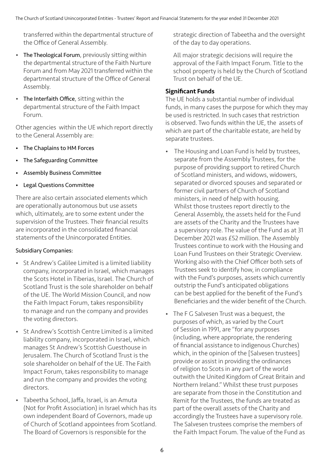transferred within the departmental structure of the Office of General Assembly.

- The Theological Forum, previously sitting within the departmental structure of the Faith Nurture Forum and from May 2021 transferred within the departmental structure of the Office of General Assembly.
- The Interfaith Office, sitting within the departmental structure of the Faith Impact Forum.

Other agencies within the UE which report directly to the General Assembly are:

- The Chaplains to HM Forces
- The Safeguarding Committee
- Assembly Business Committee
- Legal Questions Committee

There are also certain associated elements which are operationally autonomous but use assets which, ultimately, are to some extent under the supervision of the Trustees. Their financial results are incorporated in the consolidated financial statements of the Unincorporated Entities.

#### Subsidiary Companies:

- St Andrew's Galilee Limited is a limited liability company, incorporated in Israel, which manages the Scots Hotel in Tiberias, Israel. The Church of Scotland Trust is the sole shareholder on behalf of the UE. The World Mission Council, and now the Faith Impact Forum, takes responsibility to manage and run the company and provides the voting directors.
- St Andrew's Scottish Centre Limited is a limited liability company, incorporated in Israel, which manages St Andrew's Scottish Guesthouse in Jerusalem. The Church of Scotland Trust is the sole shareholder on behalf of the UE. The Faith Impact Forum, takes responsibility to manage and run the company and provides the voting directors.
- Tabeetha School, Jaffa, Israel, is an Amuta (Not for Profit Association) in Israel which has its own independent Board of Governors, made up of Church of Scotland appointees from Scotland. The Board of Governors is responsible for the

strategic direction of Tabeetha and the oversight of the day to day operations.

All major strategic decisions will require the approval of the Faith Impact Forum. Title to the school property is held by the Church of Scotland Trust on behalf of the UE.

#### Significant Funds

The UE holds a substantial number of individual funds, in many cases the purpose for which they may be used is restricted. In such cases that restriction is observed. Two funds within the UE, the assets of which are part of the charitable estate, are held by separate trustees.

- The Housing and Loan Fund is held by trustees, separate from the Assembly Trustees, for the purpose of providing support to retired Church of Scotland ministers, and widows, widowers, separated or divorced spouses and separated or former civil partners of Church of Scotland ministers, in need of help with housing. Whilst those trustees report directly to the General Assembly, the assets held for the Fund are assets of the Charity and the Trustees have a supervisory role. The value of the Fund as at 31 December 2021 was £52 million. The Assembly Trustees continue to work with the Housing and Loan Fund Trustees on their Strategic Overview. Working also with the Chief Officer both sets of Trustees seek to identify how, in compliance with the Fund's purposes, assets which currently outstrip the Fund's anticipated obligations can be best applied for the benefit of the Fund's Beneficiaries and the wider benefit of the Church.
- The F G Salvesen Trust was a bequest, the purposes of which, as varied by the Court of Session in 1991, are "for any purposes (including, where appropriate, the rendering of financial assistance to indigenous Churches) which, in the opinion of the [Salvesen trustees] provide or assist in providing the ordinances of religion to Scots in any part of the world outwith the United Kingdom of Great Britain and Northern Ireland." Whilst these trust purposes are separate from those in the Constitution and Remit for the Trustees, the funds are treated as part of the overall assets of the Charity and accordingly the Trustees have a supervisory role. The Salvesen trustees comprise the members of the Faith Impact Forum. The value of the Fund as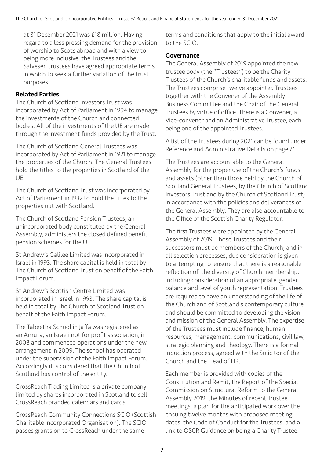at 31 December 2021 was £18 million. Having regard to a less pressing demand for the provision of worship to Scots abroad and with a view to being more inclusive, the Trustees and the Salvesen trustees have agreed appropriate terms in which to seek a further variation of the trust purposes.

#### Related Parties

The Church of Scotland Investors Trust was incorporated by Act of Parliament in 1994 to manage the investments of the Church and connected bodies. All of the investments of the UE are made through the investment funds provided by the Trust.

The Church of Scotland General Trustees was incorporated by Act of Parliament in 1921 to manage the properties of the Church. The General Trustees hold the titles to the properties in Scotland of the UE.

The Church of Scotland Trust was incorporated by Act of Parliament in 1932 to hold the titles to the properties out with Scotland.

The Church of Scotland Pension Trustees, an unincorporated body constituted by the General Assembly, administers the closed defined benefit pension schemes for the UE.

St Andrew's Galilee Limited was incorporated in Israel in 1993. The share capital is held in total by The Church of Scotland Trust on behalf of the Faith Impact Forum.

St Andrew's Scottish Centre Limited was incorporated in Israel in 1993. The share capital is held in total by The Church of Scotland Trust on behalf of the Faith Impact Forum.

The Tabeetha School in Jaffa was registered as an Amuta, an Israeli not for profit association, in 2008 and commenced operations under the new arrangement in 2009. The school has operated under the supervision of the Faith Impact Forum. Accordingly it is considered that the Church of Scotland has control of the entity.

CrossReach Trading Limited is a private company limited by shares incorporated in Scotland to sell CrossReach branded calendars and cards.

CrossReach Community Connections SCIO (Scottish Charitable Incorporated Organisation). The SCIO passes grants on to CrossReach under the same

terms and conditions that apply to the initial award to the SCIO.

#### Governance

The General Assembly of 2019 appointed the new trustee body (the "Trustees") to be the Charity Trustees of the Church's charitable funds and assets. The Trustees comprise twelve appointed Trustees together with the Convener of the Assembly Business Committee and the Chair of the General Trustees by virtue of office. There is a Convener, a Vice-convener and an Administrative Trustee, each being one of the appointed Trustees.

A list of the Trustees during 2021 can be found under Reference and Administrative Details on page 76.

The Trustees are accountable to the General Assembly for the proper use of the Church's funds and assets (other than those held by the Church of Scotland General Trustees, by the Church of Scotland Investors Trust and by the Church of Scotland Trust) in accordance with the policies and deliverances of the General Assembly. They are also accountable to the Office of the Scottish Charity Regulator.

The first Trustees were appointed by the General Assembly of 2019. Those Trustees and their successors must be members of the Church; and in all selection processes, due consideration is given to attempting to ensure that there is a reasonable reflection of the diversity of Church membership, including consideration of an appropriate gender balance and level of youth representation. Trustees are required to have an understanding of the life of the Church and of Scotland's contemporary culture and should be committed to developing the vision and mission of the General Assembly. The expertise of the Trustees must include finance, human resources, management, communications, civil law, strategic planning and theology. There is a formal induction process, agreed with the Solicitor of the Church and the Head of HR.

Each member is provided with copies of the Constitution and Remit, the Report of the Special Commission on Structural Reform to the General Assembly 2019, the Minutes of recent Trustee meetings, a plan for the anticipated work over the ensuing twelve months with proposed meeting dates, the Code of Conduct for the Trustees, and a link to OSCR Guidance on being a Charity Trustee.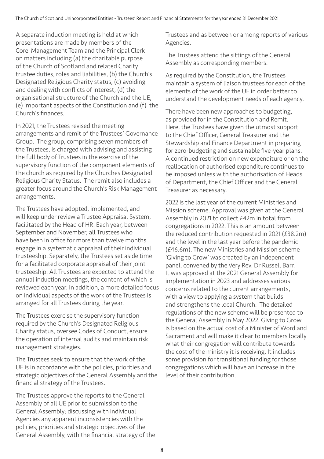A separate induction meeting is held at which presentations are made by members of the Core Management Team and the Principal Clerk on matters including (a) the charitable purpose of the Church of Scotland and related Charity trustee duties, roles and liabilities, (b) the Church's Designated Religious Charity status, (c) avoiding and dealing with conflicts of interest, (d) the organisational structure of the Church and the UE, (e) important aspects of the Constitution and (f) the Church's finances.

In 2021, the Trustees revised the meeting arrangements and remit of the Trustees' Governance Group. The group, comprising seven members of the Trustees, is charged with advising and assisting the full body of Trustees in the exercise of the supervisory function of the component elements of the church as required by the Churches Designated Religious Charity Status. The remit also includes a greater focus around the Church's Risk Management arrangements.

The Trustees have adopted, implemented, and will keep under review a Trustee Appraisal System, facilitated by the Head of HR. Each year, between September and November, all Trustees who have been in office for more than twelve months engage in a systematic appraisal of their individual trusteeship. Separately, the Trustees set aside time for a facilitated corporate appraisal of their joint trusteeship. All Trustees are expected to attend the annual induction meetings, the content of which is reviewed each year. In addition, a more detailed focus on individual aspects of the work of the Trustees is arranged for all Trustees during the year.

The Trustees exercise the supervisory function required by the Church's Designated Religious Charity status, oversee Codes of Conduct, ensure the operation of internal audits and maintain risk management strategies.

The Trustees seek to ensure that the work of the UE is in accordance with the policies, priorities and strategic objectives of the General Assembly and the financial strategy of the Trustees.

The Trustees approve the reports to the General Assembly of all UE prior to submission to the General Assembly; discussing with individual Agencies any apparent inconsistencies with the policies, priorities and strategic objectives of the General Assembly, with the financial strategy of the Trustees and as between or among reports of various Agencies.

The Trustees attend the sittings of the General Assembly as corresponding members.

As required by the Constitution, the Trustees maintain a system of liaison trustees for each of the elements of the work of the UE in order better to understand the development needs of each agency.

There have been new approaches to budgeting, as provided for in the Constitution and Remit. Here, the Trustees have given the utmost support to the Chief Officer, General Treasurer and the Stewardship and Finance Department in preparing for zero-budgeting and sustainable five-year plans. A continued restriction on new expenditure or on the reallocation of authorised expenditure continues to be imposed unless with the authorisation of Heads of Department, the Chief Officer and the General Treasurer as necessary.

2022 is the last year of the current Ministries and Mission scheme. Approval was given at the General Assembly in 2021 to collect £42m in total from congregations in 2022. This is an amount between the reduced contribution requested in 2021 (£38.2m) and the level in the last year before the pandemic (£46.6m). The new Ministries and Mission scheme 'Giving to Grow' was created by an independent panel, convened by the Very Rev. Dr Russell Barr. It was approved at the 2021 General Assembly for implementation in 2023 and addresses various concerns related to the current arrangements, with a view to applying a system that builds and strengthens the local Church. The detailed regulations of the new scheme will be presented to the General Assembly in May 2022. Giving to Grow is based on the actual cost of a Minister of Word and Sacrament and will make it clear to members locally what their congregation will contribute towards the cost of the ministry it is receiving. It includes some provision for transitional funding for those congregations which will have an increase in the level of their contribution.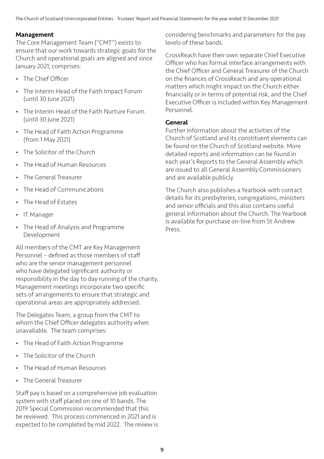#### Management

The Core Management Team ("CMT") exists to ensure that our work towards strategic goals for the Church and operational goals are aligned and since January 2021, comprises:

- The Chief Officer
- The Interim Head of the Faith Impact Forum (until 30 June 2021)
- The Interim Head of the Faith Nurture Forum (until 30 June 2021)
- The Head of Faith Action Programme (from 1 May 2021)
- The Solicitor of the Church
- The Head of Human Resources
- The General Treasurer
- The Head of Communications
- The Head of Estates
- IT Manager
- The Head of Analysis and Programme Development

All members of the CMT are Key Management Personnel – defined as those members of staff who are the senior management personnel who have delegated significant authority or responsibility in the day to day running of the charity. Management meetings incorporate two specific sets of arrangements to ensure that strategic and operational areas are appropriately addressed.

The Delegates Team, a group from the CMT to whom the Chief Officer delegates authority when unavailable. The team comprises:

- The Head of Faith Action Programme
- The Solicitor of the Church
- The Head of Human Resources
- The General Treasurer

Staff pay is based on a comprehensive job evaluation system with staff placed on one of 10 bands. The 2019 Special Commission recommended that this be reviewed. This process commenced in 2021 and is expected to be completed by mid 2022. The review is considering benchmarks and parameters for the pay levels of these bands.

CrossReach have their own separate Chief Executive Officer who has formal interface arrangements with the Chief Officer and General Treasurer of the Church on the finances of CrossReach and any operational matters which might impact on the Church either financially or in terms of potential risk, and the Chief Executive Officer is included within Key Management Personnel.

#### General

Further information about the activities of the Church of Scotland and its constituent elements can be found on the Church of Scotland website. More detailed reports and information can be found in each year's Reports to the General Assembly which are issued to all General Assembly Commissioners and are available publicly.

The Church also publishes a Yearbook with contact details for its presbyteries, congregations, ministers and senior officials and this also contains useful general information about the Church. The Yearbook is available for purchase on-line from St Andrew Press.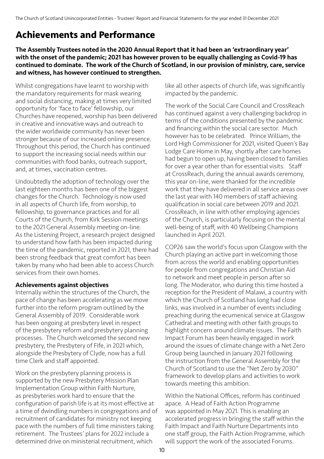## **Achievements and Performance**

The Assembly Trustees noted in the 2020 Annual Report that it had been an 'extraordinary year' with the onset of the pandemic; 2021 has however proven to be equally challenging as Covid-19 has continued to dominate. The work of the Church of Scotland, in our provision of ministry, care, service and witness, has however continued to strengthen.

Whilst congregations have learnt to worship with the mandatory requirements for mask wearing and social distancing, making at times very limited opportunity for 'face to face' fellowship, our Churches have reopened, worship has been delivered in creative and innovative ways and outreach to the wider worldwide community has never been stronger because of our increased online presence. Throughout this period, the Church has continued to support the increasing social needs within our communities with food banks, outreach support, and, at times, vaccination centres.

Undoubtedly the adoption of technology over the last eighteen months has been one of the biggest changes for the Church. Technology is now used in all aspects of Church life, from worship, to fellowship, to governance practices and for all Courts of the Church, from Kirk Session meetings to the 2021 General Assembly meeting on-line. As the Listening Project, a research project designed to understand how faith has been impacted during the time of the pandemic, reported in 2021, there had been strong feedback that great comfort has been taken by many who had been able to access Church services from their own homes.

#### Achievements against objectives

Internally within the structures of the Church, the pace of change has been accelerating as we move further into the reform program outlined by the General Assembly of 2019. Considerable work has been ongoing at presbytery level in respect of the presbytery reform and presbytery planning processes. The Church welcomed the second new presbytery, the Presbytery of Fife, in 2021 which, alongside the Presbytery of Clyde, now has a full time Clerk and staff appointed.

Work on the presbytery planning process is supported by the new Presbytery Mission Plan Implementation Group within Faith Nurture, as presbyteries work hard to ensure that the configuration of parish life is at its most effective at a time of dwindling numbers in congregations and of recruitment of candidates for ministry not keeping pace with the numbers of full time ministers taking retirement. The Trustees' plans for 2022 include a determined drive on ministerial recruitment, which

like all other aspects of church life, was significantly impacted by the pandemic.

The work of the Social Care Council and CrossReach has continued against a very challenging backdrop in terms of the conditions presented by the pandemic and financing within the social care sector. Much however has to be celebrated. Prince William, the Lord High Commissioner for 2021, visited Queen's Bay Lodge Care Home in May, shortly after care homes had begun to open up, having been closed to families for over a year other than for essential visits. Staff at CrossReach, during the annual awards ceremony, this year on-line, were thanked for the incredible work that they have delivered in all service areas over the last year with 140 members of staff achieving qualification in social care between 2019 and 2021. CrossReach, in line with other employing agencies of the Church, is particularly focusing on the mental well-being of staff, with 40 Wellbeing Champions launched in April 2021.

COP26 saw the world's focus upon Glasgow with the Church playing an active part in welcoming those from across the world and enabling opportunities for people from congregations and Christian Aid to network and meet people in person after so long. The Moderator, who during this time hosted a reception for the President of Malawi, a country with which the Church of Scotland has long had close links, was involved in a number of events including preaching during the ecumenical service at Glasgow Cathedral and meeting with other faith groups to highlight concern around climate issues. The Faith Impact Forum has been heavily engaged in work around the issues of climate change with a Net Zero Group being launched in January 2021 following the instruction from the General Assembly for the Church of Scotland to use the "Net Zero by 2030" framework to develop plans and activities to work towards meeting this ambition.

Within the National Offices, reform has continued apace. A Head of Faith Action Programme was appointed in May 2021. This is enabling an accelerated progress in bringing the staff within the Faith Impact and Faith Nurture Departments into one staff group, the Faith Action Programme, which will support the work of the associated Forums.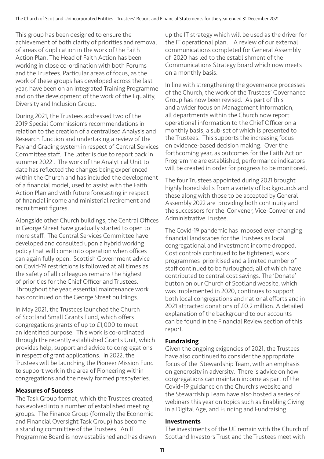This group has been designed to ensure the achievement of both clarity of priorities and removal of areas of duplication in the work of the Faith Action Plan. The Head of Faith Action has been working in close co-ordination with both Forums and the Trustees. Particular areas of focus, as the work of these groups has developed across the last year, have been on an Integrated Training Programme and on the development of the work of the Equality, Diversity and Inclusion Group.

During 2021, the Trustees addressed two of the 2019 Special Commission's recommendations in relation to the creation of a centralised Analysis and Research function and undertaking a review of the Pay and Grading system in respect of Central Services Committee staff. The latter is due to report back in summer 2022 . The work of the Analytical Unit to date has reflected the changes being experienced within the Church and has included the development of a financial model, used to assist with the Faith Action Plan and with future forecasting in respect of financial income and ministerial retirement and recruitment figures.

Alongside other Church buildings, the Central Offices in George Street have gradually started to open to more staff. The Central Services Committee have developed and consulted upon a hybrid working policy that will come into operation when offices can again fully open. Scottish Government advice on Covid-19 restrictions is followed at all times as the safety of all colleagues remains the highest of priorities for the Chief Officer and Trustees. Throughout the year, essential maintenance work has continued on the George Street buildings.

In May 2021, the Trustees launched the Church of Scotland Small Grants Fund, which offers congregations grants of up to £1,000 to meet an identified purpose. This work is co-ordinated through the recently established Grants Unit, which provides help, support and advice to congregations in respect of grant applications. In 2022, the Trustees will be launching the Pioneer Mission Fund to support work in the area of Pioneering within congregations and the newly formed presbyteries.

#### Measures of Success

The Task Group format, which the Trustees created, has evolved into a number of established meeting groups. The Finance Group (formally the Economic and Financial Oversight Task Group) has become a standing committee of the Trustees. An IT Programme Board is now established and has drawn up the IT strategy which will be used as the driver for the IT operational plan. A review of our external communications completed for General Assembly of 2020 has led to the establishment of the Communications Strategy Board which now meets on a monthly basis.

In line with strengthening the governance processes of the Church, the work of the Trustees' Governance Group has now been revised. As part of this and a wider focus on Management Information, all departments within the Church now report operational information to the Chief Officer on a monthly basis, a sub-set of which is presented to the Trustees. This supports the increasing focus on evidence-based decision making. Over the forthcoming year, as outcomes for the Faith Action Programme are established, performance indicators will be created in order for progress to be monitored.

The four Trustees appointed during 2021 brought highly honed skills from a variety of backgrounds and these along with those to be accepted by General Assembly 2022 are providing both continuity and the successors for the Convener, Vice-Convener and Administrative Trustee.

The Covid-19 pandemic has imposed ever-changing financial landscapes for the Trustees as local congregational and investment income dropped. Cost controls continued to be tightened, work programmes prioritised and a limited number of staff continued to be furloughed; all of which have contributed to central cost savings. The 'Donate' button on our Church of Scotland website, which was implemented in 2020, continues to support both local congregations and national efforts and in 2021 attracted donations of £0.2 million. A detailed explanation of the background to our accounts can be found in the Financial Review section of this report.

#### Fundraising

Given the ongoing exigencies of 2021, the Trustees have also continued to consider the appropriate focus of the Stewardship Team, with an emphasis on generosity in adversity. There is advice on how congregations can maintain income as part of the Covid–19 guidance on the Church's website and the Stewardship Team have also hosted a series of webinars this year on topics such as Enabling Giving in a Digital Age, and Funding and Fundraising.

#### **Investments**

The investments of the UE remain with the Church of Scotland Investors Trust and the Trustees meet with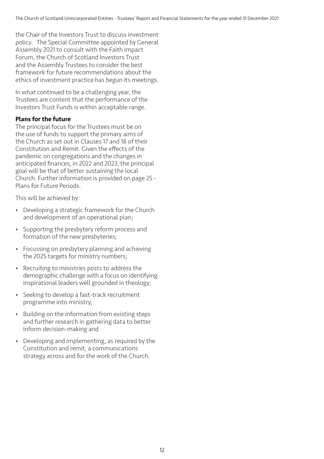the Chair of the Investors Trust to discuss investment policy. The Special Committee appointed by General Assembly 2021 to consult with the Faith Impact Forum, the Church of Scotland Investors Trust and the Assembly Trustees to consider the best framework for future recommendations about the ethics of investment practice has begun its meetings.

In what continued to be a challenging year, the Trustees are content that the performance of the Investors Trust Funds is within acceptable range.

#### Plans for the future

The principal focus for the Trustees must be on the use of funds to support the primary aims of the Church as set out in Clauses 17 and 18 of their Constitution and Remit. Given the effects of the pandemic on congregations and the changes in anticipated finances, in 2022 and 2023, the principal goal will be that of better sustaining the local Church. Further information is provided on page 25 - Plans for Future Periods.

This will be achieved by:

- Developing a strategic framework for the Church and development of an operational plan;
- Supporting the presbytery reform process and formation of the new presbyteries;
- Focussing on presbytery planning and achieving the 2025 targets for ministry numbers;
- Recruiting to ministries posts to address the demographic challenge with a focus on identifying inspirational leaders well grounded in theology;
- Seeking to develop a fast-track recruitment programme into ministry;
- Building on the information from existing steps and further research in gathering data to better inform decision-making and
- Developing and implementing, as required by the Constitution and remit, a communications strategy across and for the work of the Church.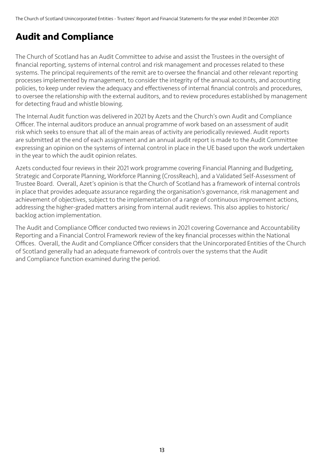# **Audit and Compliance**

The Church of Scotland has an Audit Committee to advise and assist the Trustees in the oversight of financial reporting, systems of internal control and risk management and processes related to these systems. The principal requirements of the remit are to oversee the financial and other relevant reporting processes implemented by management, to consider the integrity of the annual accounts, and accounting policies, to keep under review the adequacy and effectiveness of internal financial controls and procedures, to oversee the relationship with the external auditors, and to review procedures established by management for detecting fraud and whistle blowing.

The Internal Audit function was delivered in 2021 by Azets and the Church's own Audit and Compliance Officer. The internal auditors produce an annual programme of work based on an assessment of audit risk which seeks to ensure that all of the main areas of activity are periodically reviewed. Audit reports are submitted at the end of each assignment and an annual audit report is made to the Audit Committee expressing an opinion on the systems of internal control in place in the UE based upon the work undertaken in the year to which the audit opinion relates.

Azets conducted four reviews in their 2021 work programme covering Financial Planning and Budgeting, Strategic and Corporate Planning, Workforce Planning (CrossReach), and a Validated Self-Assessment of Trustee Board. Overall, Azet's opinion is that the Church of Scotland has a framework of internal controls in place that provides adequate assurance regarding the organisation's governance, risk management and achievement of objectives, subject to the implementation of a range of continuous improvement actions, addressing the higher-graded matters arising from internal audit reviews. This also applies to historic/ backlog action implementation.

The Audit and Compliance Officer conducted two reviews in 2021 covering Governance and Accountability Reporting and a Financial Control Framework review of the key financial processes within the National Offices. Overall, the Audit and Compliance Officer considers that the Unincorporated Entities of the Church of Scotland generally had an adequate framework of controls over the systems that the Audit and Compliance function examined during the period.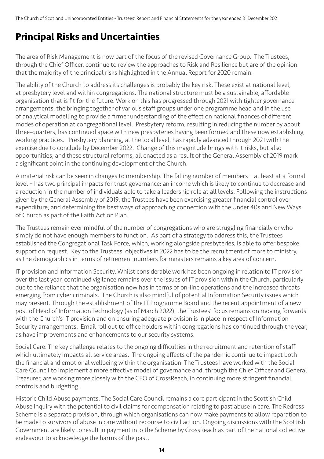## **Principal Risks and Uncertainties**

The area of Risk Management is now part of the focus of the revised Governance Group. The Trustees, through the Chief Officer, continue to review the approaches to Risk and Resilience but are of the opinion that the majority of the principal risks highlighted in the Annual Report for 2020 remain.

The ability of the Church to address its challenges is probably the key risk. These exist at national level, at presbytery level and within congregations. The national structure must be a sustainable, affordable organisation that is fit for the future. Work on this has progressed through 2021 with tighter governance arrangements, the bringing together of various staff groups under one programme head and in the use of analytical modelling to provide a firmer understanding of the effect on national finances of different modes of operation at congregational level. Presbytery reform, resulting in reducing the number by about three-quarters, has continued apace with new presbyteries having been formed and these now establishing working practices. Presbytery planning, at the local level, has rapidly advanced through 2021 with the exercise due to conclude by December 2022. Change of this magnitude brings with it risks, but also opportunities, and these structural reforms, all enacted as a result of the General Assembly of 2019 mark a significant point in the continuing development of the Church.

A material risk can be seen in changes to membership. The falling number of members – at least at a formal level – has two principal impacts for trust governance: an income which is likely to continue to decrease and a reduction in the number of individuals able to take a leadership role at all levels. Following the instructions given by the General Assembly of 2019, the Trustees have been exercising greater financial control over expenditure, and determining the best ways of approaching connection with the Under 40s and New Ways of Church as part of the Faith Action Plan.

The Trustees remain ever mindful of the number of congregations who are struggling financially or who simply do not have enough members to function. As part of a strategy to address this, the Trustees established the Congregational Task Force, which, working alongside presbyteries, is able to offer bespoke support on request. Key to the Trustees' objectives in 2022 has to be the recruitment of more to ministry, as the demographics in terms of retirement numbers for ministers remains a key area of concern.

IT provision and Information Security. Whilst considerable work has been ongoing in relation to IT provision over the last year, continued vigilance remains over the issues of IT provision within the Church, particularly due to the reliance that the organisation now has in terms of on-line operations and the increased threats emerging from cyber criminals. The Church is also mindful of potential Information Security issues which may present. Through the establishment of the IT Programme Board and the recent appointment of a new post of Head of Information Technology (as of March 2022), the Trustees' focus remains on moving forwards with the Church's IT provision and on ensuring adequate provision is in place in respect of Information Security arrangements. Email roll out to office holders within congregations has continued through the year, as have improvements and enhancements to our security systems.

Social Care. The key challenge relates to the ongoing difficulties in the recruitment and retention of staff which ultimately impacts all service areas. The ongoing effects of the pandemic continue to impact both the financial and emotional wellbeing within the organisation. The Trustees have worked with the Social Care Council to implement a more effective model of governance and, through the Chief Officer and General Treasurer, are working more closely with the CEO of CrossReach, in continuing more stringent financial controls and budgeting.

Historic Child Abuse payments. The Social Care Council remains a core participant in the Scottish Child Abuse Inquiry with the potential to civil claims for compensation relating to past abuse in care. The Redress Scheme is a separate provision, through which organisations can now make payments to allow reparation to be made to survivors of abuse in care without recourse to civil action. Ongoing discussions with the Scottish Government are likely to result in payment into the Scheme by CrossReach as part of the national collective endeavour to acknowledge the harms of the past.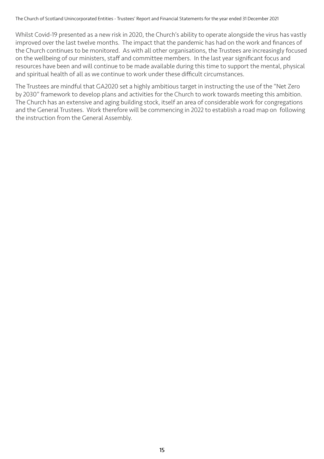Whilst Covid-19 presented as a new risk in 2020, the Church's ability to operate alongside the virus has vastly improved over the last twelve months. The impact that the pandemic has had on the work and finances of the Church continues to be monitored. As with all other organisations, the Trustees are increasingly focused on the wellbeing of our ministers, staff and committee members. In the last year significant focus and resources have been and will continue to be made available during this time to support the mental, physical and spiritual health of all as we continue to work under these difficult circumstances.

The Trustees are mindful that GA2020 set a highly ambitious target in instructing the use of the "Net Zero by 2030" framework to develop plans and activities for the Church to work towards meeting this ambition. The Church has an extensive and aging building stock, itself an area of considerable work for congregations and the General Trustees. Work therefore will be commencing in 2022 to establish a road map on following the instruction from the General Assembly.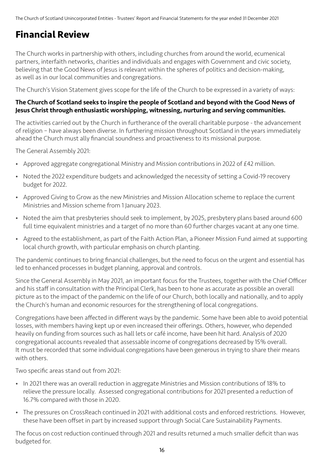## **Financial Review**

The Church works in partnership with others, including churches from around the world, ecumenical partners, interfaith networks, charities and individuals and engages with Government and civic society, believing that the Good News of Jesus is relevant within the spheres of politics and decision-making, as well as in our local communities and congregations.

The Church's Vision Statement gives scope for the life of the Church to be expressed in a variety of ways:

#### The Church of Scotland seeks to inspire the people of Scotland and beyond with the Good News of Jesus Christ through enthusiastic worshipping, witnessing, nurturing and serving communities.

The activities carried out by the Church in furtherance of the overall charitable purpose - the advancement of religion – have always been diverse. In furthering mission throughout Scotland in the years immediately ahead the Church must ally financial soundness and proactiveness to its missional purpose.

The General Assembly 2021:

- Approved aggregate congregational Ministry and Mission contributions in 2022 of £42 million.
- Noted the 2022 expenditure budgets and acknowledged the necessity of setting a Covid-19 recovery budget for 2022.
- Approved Giving to Grow as the new Ministries and Mission Allocation scheme to replace the current Ministries and Mission scheme from 1 January 2023.
- Noted the aim that presbyteries should seek to implement, by 2025, presbytery plans based around 600 full time equivalent ministries and a target of no more than 60 further charges vacant at any one time.
- Agreed to the establishment, as part of the Faith Action Plan, a Pioneer Mission Fund aimed at supporting local church growth, with particular emphasis on church planting.

The pandemic continues to bring financial challenges, but the need to focus on the urgent and essential has led to enhanced processes in budget planning, approval and controls.

Since the General Assembly in May 2021, an important focus for the Trustees, together with the Chief Officer and his staff in consultation with the Principal Clerk, has been to hone as accurate as possible an overall picture as to the impact of the pandemic on the life of our Church, both locally and nationally, and to apply the Church's human and economic resources for the strengthening of local congregations.

Congregations have been affected in different ways by the pandemic. Some have been able to avoid potential losses, with members having kept up or even increased their offerings. Others, however, who depended heavily on funding from sources such as hall lets or café income, have been hit hard. Analysis of 2020 congregational accounts revealed that assessable income of congregations decreased by 15% overall. It must be recorded that some individual congregations have been generous in trying to share their means with others.

Two specific areas stand out from 2021:

- In 2021 there was an overall reduction in aggregate Ministries and Mission contributions of 18% to relieve the pressure locally. Assessed congregational contributions for 2021 presented a reduction of 16.7% compared with those in 2020.
- The pressures on CrossReach continued in 2021 with additional costs and enforced restrictions. However, these have been offset in part by increased support through Social Care Sustainability Payments.

The focus on cost reduction continued through 2021 and results returned a much smaller deficit than was budgeted for.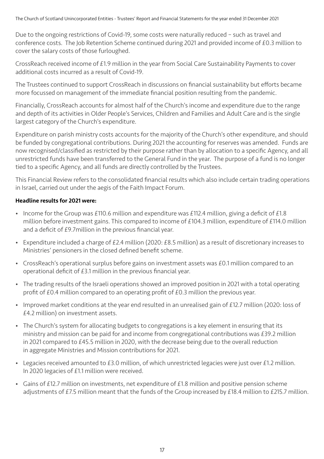Due to the ongoing restrictions of Covid-19, some costs were naturally reduced – such as travel and conference costs. The Job Retention Scheme continued during 2021 and provided income of £0.3 million to cover the salary costs of those furloughed.

CrossReach received income of £1.9 million in the year from Social Care Sustainability Payments to cover additional costs incurred as a result of Covid-19.

The Trustees continued to support CrossReach in discussions on financial sustainability but efforts became more focussed on management of the immediate financial position resulting from the pandemic.

Financially, CrossReach accounts for almost half of the Church's income and expenditure due to the range and depth of its activities in Older People's Services, Children and Families and Adult Care and is the single largest category of the Church's expenditure.

Expenditure on parish ministry costs accounts for the majority of the Church's other expenditure, and should be funded by congregational contributions. During 2021 the accounting for reserves was amended. Funds are now recognised/classified as restricted by their purpose rather than by allocation to a specific Agency, and all unrestricted funds have been transferred to the General Fund in the year. The purpose of a fund is no longer tied to a specific Agency, and all funds are directly controlled by the Trustees.

This Financial Review refers to the consolidated financial results which also include certain trading operations in Israel, carried out under the aegis of the Faith Impact Forum.

#### Headline results for 2021 were:

- Income for the Group was £110.6 million and expenditure was £112.4 million, giving a deficit of £1.8 million before investment gains. This compared to income of £104.3 million, expenditure of £114.0 million and a deficit of £9.7million in the previous financial year.
- Expenditure included a charge of £2.4 million (2020: £8.5 million) as a result of discretionary increases to Ministries' pensioners in the closed defined benefit scheme.
- CrossReach's operational surplus before gains on investment assets was £0.1 million compared to an operational deficit of £3.1 million in the previous financial year.
- The trading results of the Israeli operations showed an improved position in 2021 with a total operating profit of £0.4 million compared to an operating profit of £0.3 million the previous year.
- Improved market conditions at the year end resulted in an unrealised gain of £12.7 million (2020: loss of £4.2 million) on investment assets.
- The Church's system for allocating budgets to congregations is a key element in ensuring that its ministry and mission can be paid for and income from congregational contributions was £39.2 million in 2021 compared to £45.5 million in 2020, with the decrease being due to the overall reduction in aggregate Ministries and Mission contributions for 2021.
- Legacies received amounted to £3.0 million, of which unrestricted legacies were just over £1.2 million. In 2020 legacies of £1.1 million were received.
- Gains of £12.7 million on investments, net expenditure of £1.8 million and positive pension scheme adjustments of £7.5 million meant that the funds of the Group increased by £18.4 million to £215.7 million.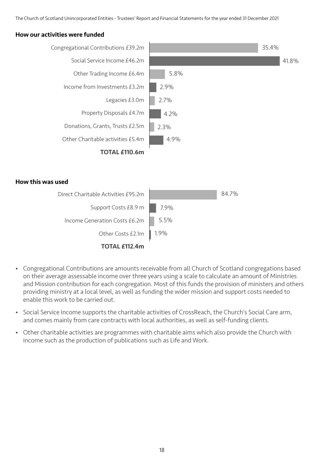#### How our activities were funded







- Congregational Contributions are amounts receivable from all Church of Scotland congregations based on their average assessable income over three years using a scale to calculate an amount of Ministries and Mission contribution for each congregation. Most of this funds the provision of ministers and others providing ministry at a local level, as well as funding the wider mission and support costs needed to enable this work to be carried out.
- Social Service Income supports the charitable activities of CrossReach, the Church's Social Care arm, and comes mainly from care contracts with local authorities, as well as self-funding clients.
- Other charitable activities are programmes with charitable aims which also provide the Church with income such as the production of publications such as Life and Work.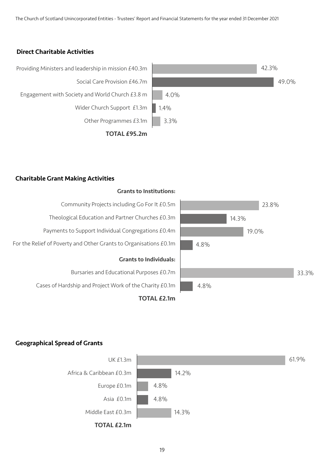#### Direct Charitable Activities



#### Charitable Grant Making Activities

#### Grants to Institutions: Community Projects including Go For It £0.5m Theological Education and Partner Churches £0.3m Payments to Support Individual Congregations £0.4m For the Relief of Poverty and Other Grants to Organisations £0.1m Grants to Individuals: Bursaries and Educational Purposes £0.7m Cases of Hardship and Project Work of the Charity £0.1m TOTAL £2.1m 23.8% 14.3% 19.0% 4.8% 33.3% 4.8%

#### Geographical Spread of Grants

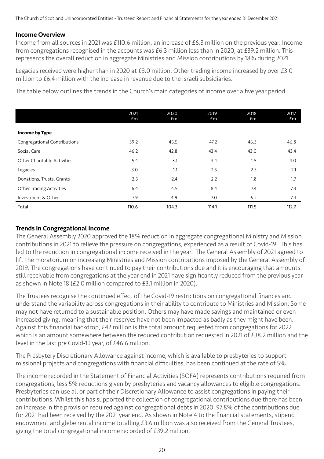#### Income Overview

Income from all sources in 2021 was £110.6 million, an increase of £6.3 million on the previous year. Income from congregations recognised in the accounts was £6.3 million less than in 2020, at £39.2 million. This represents the overall reduction in aggregate Ministries and Mission contributions by 18% during 2021.

Legacies received were higher than in 2020 at £3.0 million. Other trading income increased by over £3.0 million to £6.4 million with the increase in revenue due to the Israeli subsidiaries.

The table below outlines the trends in the Church's main categories of income over a five year period.

|                                    | 2021<br>£m | 2020<br>£m | 2019<br>£m | 2018<br>£m | 2017<br>£m |
|------------------------------------|------------|------------|------------|------------|------------|
| <b>Income by Type</b>              |            |            |            |            |            |
| Congregational Contributions       | 39.2       | 45.5       | 47.2       | 46.3       | 46.8       |
| Social Care                        | 46.2       | 42.8       | 43.4       | 43.0       | 43.4       |
| <b>Other Charitable Activities</b> | 5.4        | 3.1        | 3.4        | 4.5        | 4.0        |
| Legacies                           | 3.0        | 1.1        | 2.5        | 2.3        | 2.1        |
| Donations, Trusts, Grants          | 2.5        | 2.4        | 2.2        | 1.8        | 1.7        |
| <b>Other Trading Activities</b>    | 6.4        | 4.5        | 8.4        | 7.4        | 7.3        |
| Investment & Other                 | 7.9        | 4.9        | 7.0        | 6.2        | 7.4        |
| Total                              | 110.6      | 104.3      | 114.1      | 111.5      | 112.7      |

#### Trends in Congregational Income

The General Assembly 2020 approved the 18% reduction in aggregate congregational Ministry and Mission contributions in 2021 to relieve the pressure on congregations, experienced as a result of Covid-19. This has led to the reduction in congregational income received in the year. The General Assembly of 2021 agreed to lift the moratorium on increasing Ministries and Mission contributions imposed by the General Assembly of 2019. The congregations have continued to pay their contributions due and it is encouraging that amounts still receivable from congregations at the year end in 2021 have significantly reduced from the previous year as shown in Note 18 (£2.0 million compared to £3.1 million in 2020).

The Trustees recognise the continued effect of the Covid-19 restrictions on congregational finances and understand the variability across congregations in their ability to contribute to Ministries and Mission. Some may not have returned to a sustainable position. Others may have made savings and maintained or even increased giving, meaning that their reserves have not been impacted as badly as they might have been. Against this financial backdrop, £42 million is the total amount requested from congregations for 2022 which is an amount somewhere between the reduced contribution requested in 2021 of £38.2 million and the level in the last pre Covid-19 year, of £46.6 million.

The Presbytery Discretionary Allowance against income, which is available to presbyteries to support missional projects and congregations with financial difficulties, has been continued at the rate of 5%.

The income recorded in the Statement of Financial Activities (SOFA) represents contributions required from congregations, less 5% reductions given by presbyteries and vacancy allowances to eligible congregations. Presbyteries can use all or part of their Discretionary Allowance to assist congregations in paying their contributions. Whilst this has supported the collection of congregational contributions due there has been an increase in the provision required against congregational debts in 2020. 97.8% of the contributions due for 2021 had been received by the 2021 year end. As shown in Note 4 to the financial statements, stipend endowment and glebe rental income totalling £3.6 million was also received from the General Trustees, giving the total congregational income recorded of £39.2 million.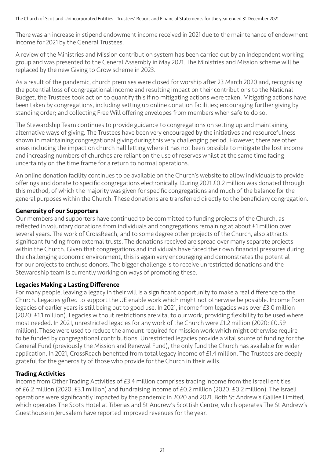There was an increase in stipend endowment income received in 2021 due to the maintenance of endowment income for 2021 by the General Trustees.

A review of the Ministries and Mission contribution system has been carried out by an independent working group and was presented to the General Assembly in May 2021. The Ministries and Mission scheme will be replaced by the new Giving to Grow scheme in 2023.

As a result of the pandemic, church premises were closed for worship after 23 March 2020 and, recognising the potential loss of congregational income and resulting impact on their contributions to the National Budget, the Trustees took action to quantify this if no mitigating actions were taken. Mitigating actions have been taken by congregations, including setting up online donation facilities; encouraging further giving by standing order; and collecting Free Will offering envelopes from members when safe to do so.

The Stewardship Team continues to provide guidance to congregations on setting up and maintaining alternative ways of giving. The Trustees have been very encouraged by the initiatives and resourcefulness shown in maintaining congregational giving during this very challenging period. However, there are other areas including the impact on church hall letting where it has not been possible to mitigate the lost income and increasing numbers of churches are reliant on the use of reserves whilst at the same time facing uncertainty on the time frame for a return to normal operations.

An online donation facility continues to be available on the Church's website to allow individuals to provide offerings and donate to specific congregations electronically. During 2021 £0.2 million was donated through this method, of which the majority was given for specific congregations and much of the balance for the general purposes within the Church. These donations are transferred directly to the beneficiary congregation.

#### Generosity of our Supporters

Our members and supporters have continued to be committed to funding projects of the Church, as reflected in voluntary donations from individuals and congregations remaining at about £1 million over several years. The work of CrossReach, and to some degree other projects of the Church, also attracts significant funding from external trusts. The donations received are spread over many separate projects within the Church. Given that congregations and individuals have faced their own financial pressures during the challenging economic environment, this is again very encouraging and demonstrates the potential for our projects to enthuse donors. The bigger challenge is to receive unrestricted donations and the Stewardship team is currently working on ways of promoting these.

#### Legacies Making a Lasting Difference

For many people, leaving a legacy in their will is a significant opportunity to make a real difference to the Church. Legacies gifted to support the UE enable work which might not otherwise be possible. Income from legacies of earlier years is still being put to good use. In 2021, income from legacies was over £3.0 million (2020: £1.1 million). Legacies without restrictions are vital to our work, providing flexibility to be used where most needed. In 2021, unrestricted legacies for any work of the Church were £1.2 million (2020: £0.59 million). These were used to reduce the amount required for mission work which might otherwise require to be funded by congregational contributions. Unrestricted legacies provide a vital source of funding for the General Fund (previously the Mission and Renewal Fund), the only fund the Church has available for wider application. In 2021, CrossReach benefited from total legacy income of £1.4 million. The Trustees are deeply grateful for the generosity of those who provide for the Church in their wills.

#### Trading Activities

Income from Other Trading Activities of £3.4 million comprises trading income from the Israeli entities of £6.2 million (2020: £3.1 million) and fundraising income of £0.2 million (2020: £0.2 million). The Israeli operations were significantly impacted by the pandemic in 2020 and 2021. Both St Andrew's Galilee Limited, which operates The Scots Hotel at Tiberias and St Andrew's Scottish Centre, which operates The St Andrew's Guesthouse in Jerusalem have reported improved revenues for the year.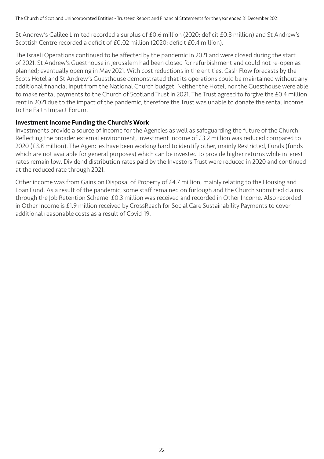St Andrew's Galilee Limited recorded a surplus of £0.6 million (2020: deficit £0.3 million) and St Andrew's Scottish Centre recorded a deficit of £0.02 million (2020: deficit £0.4 million).

The Israeli Operations continued to be affected by the pandemic in 2021 and were closed during the start of 2021. St Andrew's Guesthouse in Jerusalem had been closed for refurbishment and could not re-open as planned; eventually opening in May 2021. With cost reductions in the entities, Cash Flow forecasts by the Scots Hotel and St Andrew's Guesthouse demonstrated that its operations could be maintained without any additional financial input from the National Church budget. Neither the Hotel, nor the Guesthouse were able to make rental payments to the Church of Scotland Trust in 2021. The Trust agreed to forgive the £0.4 million rent in 2021 due to the impact of the pandemic, therefore the Trust was unable to donate the rental income to the Faith Impact Forum.

#### Investment Income Funding the Church's Work

Investments provide a source of income for the Agencies as well as safeguarding the future of the Church. Reflecting the broader external environment, investment income of £3.2 million was reduced compared to 2020 (£3.8 million). The Agencies have been working hard to identify other, mainly Restricted, Funds (funds which are not available for general purposes) which can be invested to provide higher returns while interest rates remain low. Dividend distribution rates paid by the Investors Trust were reduced in 2020 and continued at the reduced rate through 2021.

Other income was from Gains on Disposal of Property of £4.7 million, mainly relating to the Housing and Loan Fund. As a result of the pandemic, some staff remained on furlough and the Church submitted claims through the Job Retention Scheme. £0.3 million was received and recorded in Other Income. Also recorded in Other Income is £1.9 million received by CrossReach for Social Care Sustainability Payments to cover additional reasonable costs as a result of Covid-19.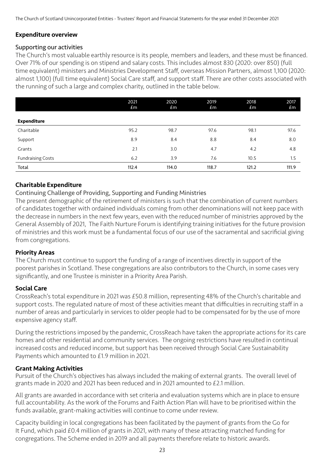#### Expenditure overview

#### Supporting our activities

The Church's most valuable earthly resource is its people, members and leaders, and these must be financed. Over 71% of our spending is on stipend and salary costs. This includes almost 830 (2020: over 850) (full time equivalent) ministers and Ministries Development Staff, overseas Mission Partners, almost 1,100 (2020: almost 1,100) (full time equivalent) Social Care staff, and support staff. There are other costs associated with the running of such a large and complex charity, outlined in the table below.

|                          | 2021<br>Em | 2020<br>Em | 2019<br>£m | 2018<br>£m | 2017<br>£m |
|--------------------------|------------|------------|------------|------------|------------|
| <b>Expenditure</b>       |            |            |            |            |            |
| Charitable               | 95.2       | 98.7       | 97.6       | 98.1       | 97.6       |
| Support                  | 8.9        | 8.4        | 8.8        | 8.4        | 8.0        |
| Grants                   | 2.1        | 3.0        | 4.7        | 4.2        | 4.8        |
| <b>Fundraising Costs</b> | 6.2        | 3.9        | 7.6        | 10.5       | 1.5        |
| Total                    | 112.4      | 114.0      | 118.7      | 121.2      | 111.9      |

#### Charitable Expenditure

#### Continuing Challenge of Providing, Supporting and Funding Ministries

The present demographic of the retirement of ministers is such that the combination of current numbers of candidates together with ordained individuals coming from other denominations will not keep pace with the decrease in numbers in the next few years, even with the reduced number of ministries approved by the General Assembly of 2021, The Faith Nurture Forum is identifying training initiatives for the future provision of ministries and this work must be a fundamental focus of our use of the sacramental and sacrificial giving from congregations.

#### Priority Areas

The Church must continue to support the funding of a range of incentives directly in support of the poorest parishes in Scotland. These congregations are also contributors to the Church, in some cases very significantly, and one Trustee is minister in a Priority Area Parish.

#### Social Care

CrossReach's total expenditure in 2021 was £50.8 million, representing 48% of the Church's charitable and support costs. The regulated nature of most of these activities meant that difficulties in recruiting staff in a number of areas and particularly in services to older people had to be compensated for by the use of more expensive agency staff.

During the restrictions imposed by the pandemic, CrossReach have taken the appropriate actions for its care homes and other residential and community services. The ongoing restrictions have resulted in continual increased costs and reduced income, but support has been received through Social Care Sustainability Payments which amounted to £1.9 million in 2021.

#### Grant Making Activities

Pursuit of the Church's objectives has always included the making of external grants. The overall level of grants made in 2020 and 2021 has been reduced and in 2021 amounted to £2.1 million.

All grants are awarded in accordance with set criteria and evaluation systems which are in place to ensure full accountability. As the work of the Forums and Faith Action Plan will have to be prioritised within the funds available, grant-making activities will continue to come under review.

Capacity building in local congregations has been facilitated by the payment of grants from the Go for It Fund, which paid £0.4 million of grants in 2021, with many of these attracting matched funding for congregations. The Scheme ended in 2019 and all payments therefore relate to historic awards.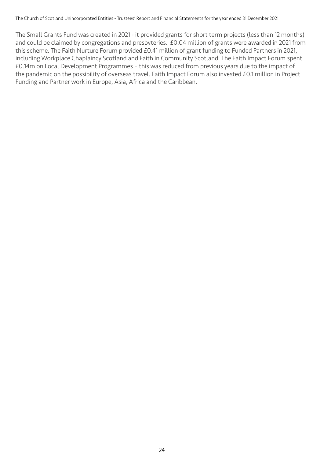The Small Grants Fund was created in 2021 - it provided grants for short term projects (less than 12 months) and could be claimed by congregations and presbyteries. £0.04 million of grants were awarded in 2021 from this scheme. The Faith Nurture Forum provided £0.41 million of grant funding to Funded Partners in 2021, including Workplace Chaplaincy Scotland and Faith in Community Scotland. The Faith Impact Forum spent £0.14m on Local Development Programmes – this was reduced from previous years due to the impact of the pandemic on the possibility of overseas travel. Faith Impact Forum also invested £0.1 million in Project Funding and Partner work in Europe, Asia, Africa and the Caribbean.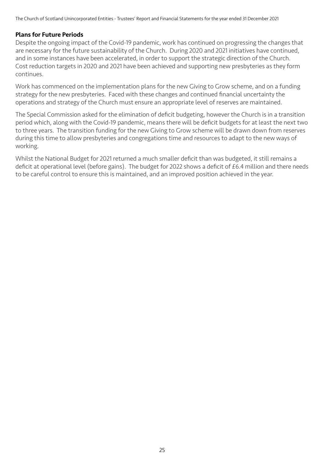#### Plans for Future Periods

Despite the ongoing impact of the Covid-19 pandemic, work has continued on progressing the changes that are necessary for the future sustainability of the Church. During 2020 and 2021 initiatives have continued, and in some instances have been accelerated, in order to support the strategic direction of the Church. Cost reduction targets in 2020 and 2021 have been achieved and supporting new presbyteries as they form continues.

Work has commenced on the implementation plans for the new Giving to Grow scheme, and on a funding strategy for the new presbyteries. Faced with these changes and continued financial uncertainty the operations and strategy of the Church must ensure an appropriate level of reserves are maintained.

The Special Commission asked for the elimination of deficit budgeting, however the Church is in a transition period which, along with the Covid-19 pandemic, means there will be deficit budgets for at least the next two to three years. The transition funding for the new Giving to Grow scheme will be drawn down from reserves during this time to allow presbyteries and congregations time and resources to adapt to the new ways of working.

Whilst the National Budget for 2021 returned a much smaller deficit than was budgeted, it still remains a deficit at operational level (before gains). The budget for 2022 shows a deficit of £6.4 million and there needs to be careful control to ensure this is maintained, and an improved position achieved in the year.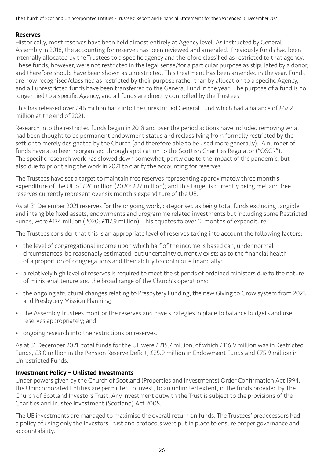#### Reserves

Historically, most reserves have been held almost entirely at Agency level. As instructed by General Assembly in 2018, the accounting for reserves has been reviewed and amended. Previously funds had been internally allocated by the Trustees to a specific agency and therefore classified as restricted to that agency. These funds, however, were not restricted in the legal sense/for a particular purpose as stipulated by a donor, and therefore should have been shown as unrestricted. This treatment has been amended in the year. Funds are now recognised/classified as restricted by their purpose rather than by allocation to a specific Agency, and all unrestricted funds have been transferred to the General Fund in the year. The purpose of a fund is no longer tied to a specific Agency, and all funds are directly controlled by the Trustees.

This has released over £46 million back into the unrestricted General Fund which had a balance of £67.2 million at the end of 2021.

Research into the restricted funds began in 2018 and over the period actions have included removing what had been thought to be permanent endowment status and reclassifying from formally restricted by the settlor to merely designated by the Church (and therefore able to be used more generally). A number of funds have also been reorganised through application to the Scottish Charities Regulator ("OSCR"). The specific research work has slowed down somewhat, partly due to the impact of the pandemic, but also due to prioritising the work in 2021 to clarify the accounting for reserves.

The Trustees have set a target to maintain free reserves representing approximately three month's expenditure of the UE of £26 million (2020: £27 million); and this target is currently being met and free reserves currently represent over six month's expenditure of the UE.

As at 31 December 2021 reserves for the ongoing work, categorised as being total funds excluding tangible and intangible fixed assets, endowments and programme related investments but including some Restricted Funds, were £134 million (2020: £117.9 million). This equates to over 12 months of expenditure.

The Trustees consider that this is an appropriate level of reserves taking into account the following factors:

- the level of congregational income upon which half of the income is based can, under normal circumstances, be reasonably estimated; but uncertainty currently exists as to the financial health of a proportion of congregations and their ability to contribute financially;
- a relatively high level of reserves is required to meet the stipends of ordained ministers due to the nature of ministerial tenure and the broad range of the Church's operations;
- the ongoing structural changes relating to Presbytery Funding, the new Giving to Grow system from 2023 and Presbytery Mission Planning;
- the Assembly Trustees monitor the reserves and have strategies in place to balance budgets and use reserves appropriately; and
- ongoing research into the restrictions on reserves.

As at 31 December 2021, total funds for the UE were £215.7 million, of which £116.9 million was in Restricted Funds, £3.0 million in the Pension Reserve Deficit, £25.9 million in Endowment Funds and £75.9 million in Unrestricted Funds.

#### Investment Policy – Unlisted Investments

Under powers given by the Church of Scotland (Properties and Investments) Order Confirmation Act 1994, the Unincorporated Entities are permitted to invest, to an unlimited extent, in the funds provided by The Church of Scotland Investors Trust. Any investment outwith the Trust is subject to the provisions of the Charities and Trustee Investment (Scotland) Act 2005.

The UE investments are managed to maximise the overall return on funds. The Trustees' predecessors had a policy of using only the Investors Trust and protocols were put in place to ensure proper governance and accountability.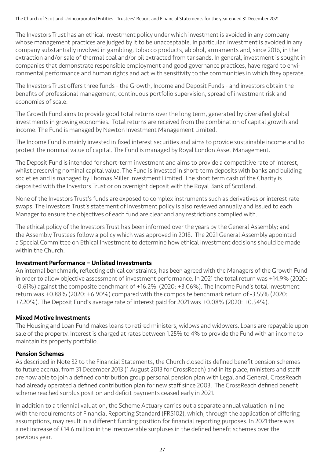The Investors Trust has an ethical investment policy under which investment is avoided in any company whose management practices are judged by it to be unacceptable. In particular, investment is avoided in any company substantially involved in gambling, tobacco products, alcohol, armaments and, since 2016, in the extraction and/or sale of thermal coal and/or oil extracted from tar sands. In general, investment is sought in companies that demonstrate responsible employment and good governance practices, have regard to environmental performance and human rights and act with sensitivity to the communities in which they operate.

The Investors Trust offers three funds - the Growth, Income and Deposit Funds - and investors obtain the benefits of professional management, continuous portfolio supervision, spread of investment risk and economies of scale.

The Growth Fund aims to provide good total returns over the long term, generated by diversified global investments in growing economies. Total returns are received from the combination of capital growth and income. The Fund is managed by Newton Investment Management Limited.

The Income Fund is mainly invested in fixed interest securities and aims to provide sustainable income and to protect the nominal value of capital. The Fund is managed by Royal London Asset Management.

The Deposit Fund is intended for short-term investment and aims to provide a competitive rate of interest, whilst preserving nominal capital value. The Fund is invested in short-term deposits with banks and building societies and is managed by Thomas Miller Investment Limited. The short term cash of the Charity is deposited with the Investors Trust or on overnight deposit with the Royal Bank of Scotland.

None of the Investors Trust's funds are exposed to complex instruments such as derivatives or interest rate swaps. The Investors Trust's statement of investment policy is also reviewed annually and issued to each Manager to ensure the objectives of each fund are clear and any restrictions complied with.

The ethical policy of the Investors Trust has been informed over the years by the General Assembly; and the Assembly Trustees follow a policy which was approved in 2018. The 2021 General Assembly appointed a Special Committee on Ethical Investment to determine how ethical investment decisions should be made within the Church.

#### Investment Performance – Unlisted Investments

An internal benchmark, reflecting ethical constraints, has been agreed with the Managers of the Growth Fund in order to allow objective assessment of investment performance. In 2021 the total return was +14.9% (2020: -0.61%) against the composite benchmark of +16.2% (2020: +3.06%). The Income Fund's total investment return was +0.88% (2020: +6.90%) compared with the composite benchmark return of -3.55% (2020: +7.20%). The Deposit Fund's average rate of interest paid for 2021 was +0.08% (2020: +0.54%).

#### Mixed Motive Investments

The Housing and Loan Fund makes loans to retired ministers, widows and widowers. Loans are repayable upon sale of the property. Interest is charged at rates between 1.25% to 4% to provide the Fund with an income to maintain its property portfolio.

#### Pension Schemes

As described in Note 32 to the Financial Statements, the Church closed its defined benefit pension schemes to future accrual from 31 December 2013 (1 August 2013 for CrossReach) and in its place, ministers and staff are now able to join a defined contribution group personal pension plan with Legal and General. CrossReach had already operated a defined contribution plan for new staff since 2003. The CrossReach defined benefit scheme reached surplus position and deficit payments ceased early in 2021.

In addition to a triennial valuation, the Scheme Actuary carries out a separate annual valuation in line with the requirements of Financial Reporting Standard (FRS102), which, through the application of differing assumptions, may result in a different funding position for financial reporting purposes. In 2021 there was a net increase of £14.6 million in the irrecoverable surpluses in the defined benefit schemes over the previous year.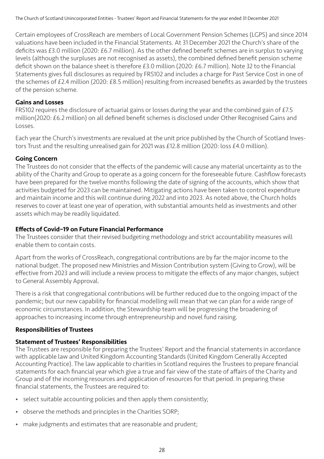Certain employees of CrossReach are members of Local Government Pension Schemes (LGPS) and since 2014 valuations have been included in the Financial Statements. At 31 December 2021 the Church's share of the deficits was £3.0 million (2020: £6.7 million). As the other defined benefit schemes are in surplus to varying levels (although the surpluses are not recognised as assets), the combined defined benefit pension scheme deficit shown on the balance sheet is therefore £3.0 million (2020: £6.7 million). Note 32 to the Financial Statements gives full disclosures as required by FRS102 and includes a charge for Past Service Cost in one of the schemes of £2.4 million (2020: £8.5 million) resulting from increased benefits as awarded by the trustees of the pension scheme.

#### Gains and Losses

FRS102 requires the disclosure of actuarial gains or losses during the year and the combined gain of £7.5 million(2020: £6.2 million) on all defined benefit schemes is disclosed under Other Recognised Gains and Losses.

Each year the Church's investments are revalued at the unit price published by the Church of Scotland Investors Trust and the resulting unrealised gain for 2021 was £12.8 million (2020: loss £4.0 million).

#### Going Concern

The Trustees do not consider that the effects of the pandemic will cause any material uncertainty as to the ability of the Charity and Group to operate as a going concern for the foreseeable future. Cashflow forecasts have been prepared for the twelve months following the date of signing of the accounts, which show that activities budgeted for 2023 can be maintained. Mitigating actions have been taken to control expenditure and maintain income and this will continue during 2022 and into 2023. As noted above, the Church holds reserves to cover at least one year of operation, with substantial amounts held as investments and other assets which may be readily liquidated.

#### Effects of Covid–19 on Future Financial Performance

The Trustees consider that their revised budgeting methodology and strict accountability measures will enable them to contain costs.

Apart from the works of CrossReach, congregational contributions are by far the major income to the national budget. The proposed new Ministries and Mission Contribution system (Giving to Grow), will be effective from 2023 and will include a review process to mitigate the effects of any major changes, subject to General Assembly Approval.

There is a risk that congregational contributions will be further reduced due to the ongoing impact of the pandemic; but our new capability for financial modelling will mean that we can plan for a wide range of economic circumstances. In addition, the Stewardship team will be progressing the broadening of approaches to increasing income through entrepreneurship and novel fund raising.

#### Responsibilities of Trustees

#### Statement of Trustees' Responsibilities

The Trustees are responsible for preparing the Trustees' Report and the financial statements in accordance with applicable law and United Kingdom Accounting Standards (United Kingdom Generally Accepted Accounting Practice). The law applicable to charities in Scotland requires the Trustees to prepare financial statements for each financial year which give a true and fair view of the state of affairs of the Charity and Group and of the incoming resources and application of resources for that period. In preparing these financial statements, the Trustees are required to:

- select suitable accounting policies and then apply them consistently;
- observe the methods and principles in the Charities SORP;
- make judgments and estimates that are reasonable and prudent;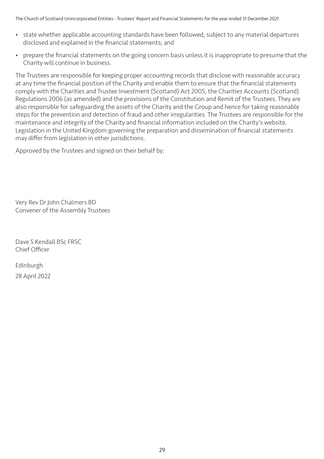- state whether applicable accounting standards have been followed, subject to any material departures disclosed and explained in the financial statements; and
- prepare the financial statements on the going concern basis unless it is inappropriate to presume that the Charity will continue in business.

The Trustees are responsible for keeping proper accounting records that disclose with reasonable accuracy at any time the financial position of the Charity and enable them to ensure that the financial statements comply with the Charities and Trustee Investment (Scotland) Act 2005, the Charities Accounts (Scotland) Regulations 2006 (as amended) and the provisions of the Constitution and Remit of the Trustees. They are also responsible for safeguarding the assets of the Charity and the Group and hence for taking reasonable steps for the prevention and detection of fraud and other irregularities. The Trustees are responsible for the maintenance and integrity of the Charity and financial information included on the Charity's website. Legislation in the United Kingdom governing the preparation and dissemination of financial statements may differ from legislation in other jurisdictions.

Approved by the Trustees and signed on their behalf by:

Very Rev Dr John Chalmers BD Convener of the Assembly Trustees

Dave S Kendall BSc FRSC Chief Officer

Edinburgh 28 April 2022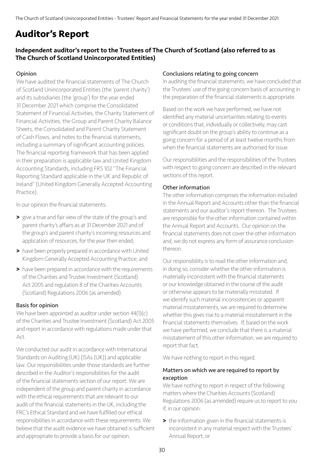## **Auditor's Report**

#### Independent auditor's report to the Trustees of The Church of Scotland (also referred to as The Church of Scotland Unincorporated Entities)

#### Opinion

We have audited the financial statements of The Church of Scotland Unincorporated Entities (the 'parent charity') and its subsidiaries (the 'group') for the year ended 31 December 2021 which comprise the Consolidated Statement of Financial Activities, the Charity Statement of Financial Activities, the Group and Parent Charity Balance Sheets, the Consolidated and Parent Charity Statement of Cash Flows, and notes to the financial statements, including a summary of significant accounting policies. The financial reporting framework that has been applied in their preparation is applicable law and United Kingdom Accounting Standards, including FRS 102 "The Financial Reporting Standard applicable in the UK and Republic of Ireland" (United Kingdom Generally Accepted Accounting Practice).

In our opinion the financial statements:

- **>** give a true and fair view of the state of the group's and parent charity's affairs as at 31 December 2021 and of the group's and parent charity's incoming resources and application of resources, for the year then ended;
- **>** have been properly prepared in accordance with United Kingdom Generally Accepted Accounting Practice; and
- **>** have been prepared in accordance with the requirements of the Charities and Trustee Investment (Scotland) Act 2005 and regulation 8 of the Charities Accounts (Scotland) Regulations 2006 (as amended).

#### Basis for opinion

We have been appointed as auditor under section 44(1)(c) of the Charities and Trustee Investment (Scotland) Act 2005 and report in accordance with regulations made under that Act.

We conducted our audit in accordance with International Standards on Auditing (UK) (ISAs (UK)) and applicable law. Our responsibilities under those standards are further described in the Auditor's responsibilities for the audit of the financial statements section of our report. We are independent of the group and parent charity in accordance with the ethical requirements that are relevant to our audit of the financial statements in the UK, including the FRC's Ethical Standard and we have fulfilled our ethical responsibilities in accordance with these requirements. We believe that the audit evidence we have obtained is sufficient and appropriate to provide a basis for our opinion.

#### Conclusions relating to going concern

In auditing the financial statements, we have concluded that the Trustees' use of the going concern basis of accounting in the preparation of the financial statements is appropriate.

Based on the work we have performed, we have not identified any material uncertainties relating to events or conditions that, individually or collectively, may cast significant doubt on the group's ability to continue as a going concern for a period of at least twelve months from when the financial statements are authorised for issue.

Our responsibilities and the responsibilities of the Trustees with respect to going concern are described in the relevant sections of this report.

#### Other information

The other information comprises the information included in the Annual Report and Accounts other than the financial statements and our auditor's report thereon. The Trustees are responsible for the other information contained within the Annual Report and Accounts. Our opinion on the financial statements does not cover the other information and, we do not express any form of assurance conclusion thereon.

Our responsibility is to read the other information and, in doing so, consider whether the other information is materially inconsistent with the financial statements or our knowledge obtained in the course of the audit or otherwise appears to be materially misstated. If we identify such material inconsistencies or apparent material misstatements, we are required to determine whether this gives rise to a material misstatement in the financial statements themselves. If, based on the work we have performed, we conclude that there is a material misstatement of this other information, we are required to report that fact.

We have nothing to report in this regard.

#### Matters on which we are required to report by exception

We have nothing to report in respect of the following matters where the Charities Accounts (Scotland) Regulations 2006 (as amended) require us to report to you if, in our opinion:

**>** the information given in the financial statements is inconsistent in any material respect with the Trustees' Annual Report; or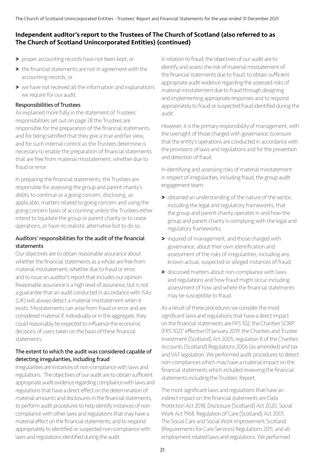#### Independent auditor's report to the Trustees of The Church of Scotland (also referred to as The Church of Scotland Unincorporated Entities) (continued)

- **>** proper accounting records have not been kept; or
- **>** the financial statements are not in agreement with the accounting records; or
- **>** we have not received all the information and explanations we require for our audit.

#### Responsibilities of Trustees

As explained more fully in the statement of Trustees' responsibilities set out on page 28 the Trustees are responsible for the preparation of the financial statements and for being satisfied that they give a true and fair view, and for such internal control as the Trustees determine is necessary to enable the preparation of financial statements that are free from material misstatement, whether due to fraud or error.

In preparing the financial statements, the Trustees are responsible for assessing the group and parent charity's ability to continue as a going concern, disclosing, as applicable, matters related to going concern and using the going concern basis of accounting unless the Trustees either intend to liquidate the group or parent charity or to cease operations, or have no realistic alternative but to do so.

#### Auditors' responsibilities for the audit of the financial statements

Our objectives are to obtain reasonable assurance about whether the financial statements as a whole are free from material misstatement, whether due to fraud or error, and to issue an auditor's report that includes our opinion. Reasonable assurance is a high level of assurance, but is not a guarantee that an audit conducted in accordance with ISAs (UK) will always detect a material misstatement when it exists. Misstatements can arise from fraud or error and are considered material if, individually or in the aggregate, they could reasonably be expected to influence the economic decisions of users taken on the basis of these financial statements.

#### The extent to which the audit was considered capable of detecting irregularities, including fraud

Irregularities are instances of non-compliance with laws and regulations. The objectives of our audit are to obtain sufficient appropriate audit evidence regarding compliance with laws and regulations that have a direct effect on the determination of material amounts and disclosures in the financial statements, to perform audit procedures to help identify instances of noncompliance with other laws and regulations that may have a material effect on the financial statements, and to respond appropriately to identified or suspected non-compliance with laws and regulations identified during the audit.

In relation to fraud, the objectives of our audit are to identify and assess the risk of material misstatement of the financial statements due to fraud, to obtain sufficient appropriate audit evidence regarding the assessed risks of material misstatement due to fraud through designing and implementing appropriate responses and to respond appropriately to fraud or suspected fraud identified during the audit.

However, it is the primary responsibility of management, with the oversight of those charged with governance, to ensure that the entity's operations are conducted in accordance with the provisions of laws and regulations and for the prevention and detection of fraud.

In identifying and assessing risks of material misstatement in respect of irregularities, including fraud, the group audit engagement team:

- **>** obtained an understanding of the nature of the sector, including the legal and regulatory frameworks, that the group and parent charity operates in and how the group and parent charity is complying with the legal and regulatory frameworks;
- **>** inquired of management, and those charged with governance, about their own identification and assessment of the risks of irregularities, including any known actual, suspected or alleged instances of fraud;
- **>** discussed matters about non-compliance with laws and regulations and how fraud might occur including assessment of how and where the financial statements may be susceptible to fraud.

As a result of these procedures we consider the most significant laws and regulations that have a direct impact on the financial statements are FRS 102, the Charities SORP (FRS 102)" effective 01 January 2019, the Charities and Trustee Investment (Scotland) Act 2005, regulation 8 of the Charities Accounts (Scotland) Regulations 2006 (as amended) and tax and VAT legislation. We performed audit procedures to detect non-compliances which may have a material impact on the financial statements which included reviewing the financial statements including the Trustees' Report.

The most significant laws and regulations that have an indirect impact on the financial statements are Data Protection Act 2018, Disclosure (Scotland) Act 2020, Social Work Act 1968, Regulation of Care (Scotland) Act 2001, The Social Care and Social Work Improvement Scotland (Requirements for Care Services) Regulations 2011, and all employment related laws and regulations. We performed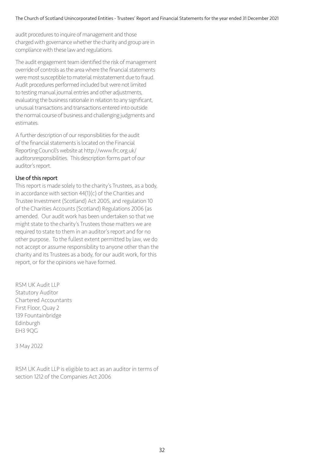audit procedures to inquire of management and those charged with governance whether the charity and group are in compliance with these law and regulations.

The audit engagement team identified the risk of management override of controls as the area where the financial statements were most susceptible to material misstatement due to fraud. Audit procedures performed included but were not limited to testing manual journal entries and other adjustments, evaluating the business rationale in relation to any significant, unusual transactions and transactions entered into outside the normal course of business and challenging judgments and estimates.

A further description of our responsibilities for the audit of the financial statements is located on the Financial Reporting Council's website at http://www.frc.org.uk/ auditorsresponsibilities. This description forms part of our auditor's report.

#### Use of this report

This report is made solely to the charity's Trustees, as a body, in accordance with section 44(1)(c) of the Charities and Trustee Investment (Scotland) Act 2005, and regulation 10 of the Charities Accounts (Scotland) Regulations 2006 (as amended. Our audit work has been undertaken so that we might state to the charity's Trustees those matters we are required to state to them in an auditor's report and for no other purpose. To the fullest extent permitted by law, we do not accept or assume responsibility to anyone other than the charity and its Trustees as a body, for our audit work, for this report, or for the opinions we have formed.

RSM UK Audit LLP Statutory Auditor Chartered Accountants First Floor, Quay 2 139 Fountainbridge Edinburgh EH3 9QG

3 May 2022

RSM UK Audit LLP is eligible to act as an auditor in terms of section 1212 of the Companies Act 2006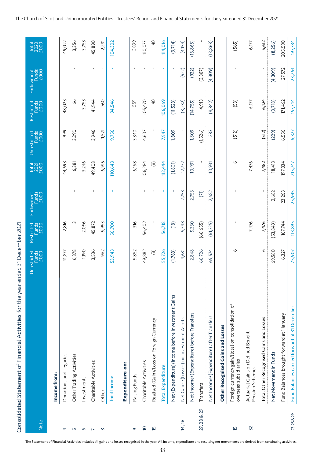Consolidated Statement of Financial Activities for the year ended 31 December 2021 Consolidated Statement of Financial Activities for the year ended 31 December 2021

| Note            |                                                                           | Unrestricted<br>Funds<br>E000 | Restricted<br>Funds<br>E000 | Endowment<br>Funds<br>E000<br>E000 | $\begin{array}{c}\n\hline\n\text{total} \\ \hline\n2020 \\ \hline\n\end{array}$ | Unrestricted<br>Funds<br>E000<br>E000 | Restricted<br>Funds<br>£000 | Endowment<br>Funds<br>E000 | <b>Total</b><br>2020<br>£000 |
|-----------------|---------------------------------------------------------------------------|-------------------------------|-----------------------------|------------------------------------|---------------------------------------------------------------------------------|---------------------------------------|-----------------------------|----------------------------|------------------------------|
|                 | Income from:                                                              |                               |                             |                                    |                                                                                 |                                       |                             |                            |                              |
| 4               | Donations and Legacies                                                    | 41,877                        | 2,816                       |                                    | 44,693                                                                          | 999                                   | 48,023                      |                            | 49,022                       |
| Ln.             | Other Trading Activities                                                  | 6,378                         | S                           |                                    | 6,381                                                                           | 3,290                                 | 8 <sup>o</sup>              | ٠                          | 3,356                        |
| $\circ$         | Investments                                                               | 1,190                         | 2,056                       |                                    | 3,246                                                                           |                                       | 3,753                       | $\mathbf{I}$               | 3,753                        |
|                 | Charitable Activities                                                     | 3,536                         | 45,872                      |                                    | 49,408                                                                          | 3,946                                 | 41,944                      |                            | 45,890                       |
| $\infty$        | Other                                                                     | 962                           | 5,953                       |                                    | 6,915                                                                           | 1,521                                 | 760                         |                            | 2,281                        |
|                 | Total Income                                                              | 53,943                        | 56,700                      | $\mathbf{I}$                       | 110,643                                                                         | 9,756                                 | 94,546                      | T.                         | 104,302                      |
|                 | <b>Expenditure on:</b>                                                    |                               |                             |                                    |                                                                                 |                                       |                             |                            |                              |
| Ō               | Raising Funds                                                             | 5,852                         | 316                         | $\mathbf{I}$                       | 6,168                                                                           | 3,340                                 | 559                         | $\mathbf{I}$               | 3,899                        |
| $\overline{a}$  | Charitable Activities                                                     | 49,882                        | 56,402                      |                                    | 106,284                                                                         | 4,607                                 | 105,470                     | ٠                          | 110,077                      |
| Fo              | Realised (Gain)/Loss on Foreign Currency                                  | $\circledcirc$                |                             | $\mathbf{I}$                       | $\circledcirc$                                                                  |                                       | $\overline{Q}$              | $\mathbf{I}$               | $\overline{Q}$               |
|                 | <b>Total Expenditure</b>                                                  | 55,726                        | 56,718                      | J,                                 | 112,444                                                                         | 7,947                                 | 106,069                     | J,                         | 114,016                      |
|                 | Net (Expenditure)/Income before Investment Gains                          | (1,783)                       | (18)                        |                                    | (1, 801)                                                                        | 1,809                                 | (11, 523)                   |                            | (9,714)                      |
| 14, 16          | Net Gains/(Losses) on Investment Assets                                   | 4,631                         | 5,348                       | 2,753                              | 12,732                                                                          |                                       | (3,232)                     | (922)                      | (4,154)                      |
|                 | Net Income/(Expenditure) before Transfers                                 | 2,848                         | 5,330                       | 2,753                              | 10,931                                                                          | 1,809                                 | (14, 755)                   | (922)                      | (13, 868)                    |
| 27, 28 & 29     | Transfers                                                                 | 66,726                        | (66, 655)                   | (71)                               |                                                                                 | (1,526)                               | 4,913                       | (3,387)                    |                              |
|                 | Net Income/(Expenditure) after Transfers                                  | 69,574                        | (61,325)                    | 2,682                              | 10,931                                                                          | 283                                   | (9, 842)                    | (4,309)                    | (13, 868)                    |
|                 | Other Recognised Gains and Losses                                         |                               |                             |                                    |                                                                                 |                                       |                             |                            |                              |
| 'nд             | Foreign currency gain/(loss) on consolidation of<br>overseas subsidiaries | ७                             |                             |                                    | ७                                                                               | (512)                                 | (53)                        | п                          | (565)                        |
| $\overline{32}$ | Actuarial Gains on Defined Benefit<br>Pension Schemes                     | I.                            | 7,476                       | J.                                 | 7,476                                                                           | J.                                    | 6,177                       | 1                          | 6,177                        |
|                 | Total Other Recognised Gains and Losses                                   | $\circ$                       | 7,476                       |                                    | 7,482                                                                           | (512)                                 | 6,124                       |                            | 5,612                        |
|                 | Net Movement in Funds                                                     | 69,580                        | (53, 849)                   | 2,682                              | 18,413                                                                          | (229)                                 | (3,718)                     | (4,309)                    | (8,256)                      |
|                 | Fund Balances brought forward at 1 January                                | 6,327                         | 167,744                     | 23,263                             | 197,334                                                                         | 6,556                                 | 171,462                     | 27,572                     | 205,590                      |
| 27, 28 & 29     | Fund Balances carried forward at 31 December                              | 75,907                        | 113,895                     | 25,945                             | 215,747                                                                         | 6,327                                 | 167,744                     | 23,263                     | 197,334                      |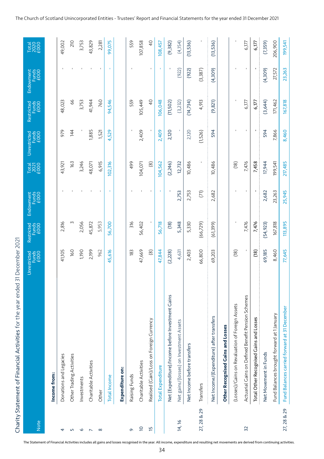| Note                                                                                                                                                                                                   |                                                    | Unrestricted<br>Funds<br>E000 | Restricted<br>Funds<br>£000 | Endowment<br>Funds<br>E000<br>E000 | $\begin{array}{c} \text{Total} \\ \text{2021} \\ \text{E000} \end{array}$ | Unrestricted<br>Funds<br>£000 | Restricted<br>Funds<br>£000 | Endowment<br>Funds<br>EOOO | $\begin{array}{c}\n\text{Total} \\ 2020 \\ \text{E000}\n\end{array}$ |
|--------------------------------------------------------------------------------------------------------------------------------------------------------------------------------------------------------|----------------------------------------------------|-------------------------------|-----------------------------|------------------------------------|---------------------------------------------------------------------------|-------------------------------|-----------------------------|----------------------------|----------------------------------------------------------------------|
|                                                                                                                                                                                                        | Income from:                                       |                               |                             |                                    |                                                                           |                               |                             |                            |                                                                      |
| 4                                                                                                                                                                                                      | Donations and Legacies                             | 41,105                        | 2,816                       |                                    | 43,921                                                                    | 979                           | 48,023                      |                            | 49,002                                                               |
| Ln.                                                                                                                                                                                                    | Other Trading Activities                           | 160                           | 3                           |                                    | 163                                                                       | 144                           | 8 <sup>o</sup>              |                            | 210                                                                  |
| $\circ$                                                                                                                                                                                                | Investments                                        | 0611                          | 2,056                       |                                    | 3,246                                                                     |                               | 3,753                       |                            | 3,753                                                                |
| $\overline{ }$                                                                                                                                                                                         | Charitable Activities                              | 2,199                         | 45,872                      |                                    | 48,071                                                                    | 1,885                         | 41,944                      |                            | 43,829                                                               |
| $\infty$                                                                                                                                                                                               | Other                                              | 962                           | 5,953                       |                                    | 6,915                                                                     | 1,521                         | 760                         |                            | 2,281                                                                |
|                                                                                                                                                                                                        | <b>Total Income</b>                                | 45,616                        | 56,700                      |                                    | 102,316                                                                   | 4,529                         | 94,546                      |                            | 99,075                                                               |
|                                                                                                                                                                                                        | Expenditure on:                                    |                               |                             |                                    |                                                                           |                               |                             |                            |                                                                      |
| $\sigma$                                                                                                                                                                                               | Raising Funds                                      | 183                           | 316                         |                                    | 499                                                                       |                               | 559                         |                            | 559                                                                  |
| $\overline{a}$                                                                                                                                                                                         | Charitable Activities                              | 47,669                        | 56,402                      |                                    | 104,071                                                                   | 2,409                         | 105,449                     |                            | 107,858                                                              |
| fp.                                                                                                                                                                                                    | Realised (Gain)/Loss on Foreign Currency           | $\circledR$                   |                             | $\mathbf{I}$                       | $\circledS$                                                               |                               | $\overline{Q}$              | $\mathbf{I}$               | $\overline{Q}$                                                       |
|                                                                                                                                                                                                        | <b>Total Expenditure</b>                           | 47,844                        | 56,718                      |                                    | 104,562                                                                   | 2,409                         | 106,048                     |                            | 108,457                                                              |
|                                                                                                                                                                                                        | Net (Expenditure)/Income before Investment Gains   | (2,228)                       | (18)                        |                                    | (2,246)                                                                   | 2,120                         | (11,502)                    |                            | (9,382)                                                              |
| 14, 16                                                                                                                                                                                                 | Net gains/(losses) on Investment Assets            | 4,631                         | 5,348                       | 2,753                              | 12,732                                                                    |                               | (3,232)                     | (922)                      | (4,154)                                                              |
|                                                                                                                                                                                                        | Net Income before transfers                        | 2,403                         | 5,330                       | 2,753                              | 10,486                                                                    | 2,120                         | (14, 734)                   | (922)                      | (13, 536)                                                            |
| 27, 28 & 29<br>The Statement of Financial Activities includes all gains and losses recognised in the year. All income, expenditure and resulting net movements are derived from continuing activities. | Transfers                                          | 66,800                        | (66, 729)                   | (71)                               |                                                                           | (1,526)                       | 4,913                       | (3,387)                    |                                                                      |
|                                                                                                                                                                                                        | Net Income/(Expenditure) after transfers           | 69,203                        | (61,399)                    | 2,682                              | 10,486                                                                    | 594                           | (9, 821)                    | (4,309)                    | (13, 536)                                                            |
|                                                                                                                                                                                                        | Other Recognised Gains and Losses                  |                               |                             |                                    |                                                                           |                               |                             |                            |                                                                      |
|                                                                                                                                                                                                        | (Losses)/Gains on Revaluation of Foreign Assets    | (18)                          |                             |                                    | (18)                                                                      |                               |                             |                            |                                                                      |
| $\overline{32}$                                                                                                                                                                                        | Actuarial Gains on Defined Benefit Pension Schemes |                               | 7,476                       |                                    | 7,476                                                                     | $\mathbf{I}$                  | 6,177                       |                            | 6,177                                                                |
|                                                                                                                                                                                                        | Total Other Recognised Gains and Losses            | (18)                          | 7,476                       |                                    | 7,458                                                                     |                               | 6,177                       |                            | 6,177                                                                |
|                                                                                                                                                                                                        | Net Movement in Funds                              | 69,185                        | [54,923]                    | 2,682                              | 17,944                                                                    | 594                           | (3, 644)                    | (4,309)                    | (7,359)                                                              |
|                                                                                                                                                                                                        | Fund Balances brought forward at 1 January         | 8,460                         | 167,818                     | 23,263                             | 199,541                                                                   | 7,866                         | 171,462                     | 27,572                     | 206,900                                                              |
| 27, 28 & 29                                                                                                                                                                                            | Fund Balances carried forward at 31 December       | 77,645                        | 113,895                     | 25,945                             | 217,485                                                                   | 8,460                         | 167,818                     | 23,263                     | 199,541                                                              |
|                                                                                                                                                                                                        |                                                    |                               |                             |                                    |                                                                           |                               |                             |                            |                                                                      |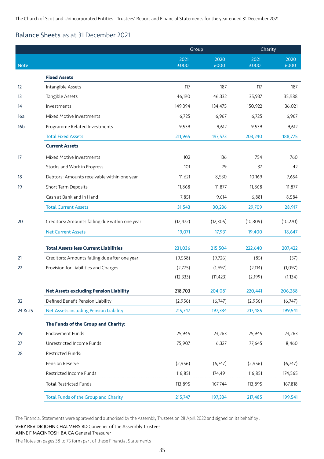#### Balance Sheets as at 31 December 2021

|                 |                                                | Group        |              | Charity      |              |
|-----------------|------------------------------------------------|--------------|--------------|--------------|--------------|
| Note            |                                                | 2021<br>£000 | 2020<br>£000 | 2021<br>£000 | 2020<br>£000 |
|                 | <b>Fixed Assets</b>                            |              |              |              |              |
| 12              | Intangible Assets                              | 117          | 187          | 117          | 187          |
| 13              | Tangible Assets                                | 46,190       | 46,332       | 35,937       | 35,988       |
| 14              | Investments                                    | 149,394      | 134,475      | 150,922      | 136,021      |
| 16a             | Mixed Motive Investments                       | 6,725        | 6,967        | 6,725        | 6,967        |
| 16 <sub>b</sub> | Programme Related Investments                  | 9,539        | 9,612        | 9,539        | 9,612        |
|                 | <b>Total Fixed Assets</b>                      | 211,965      | 197,573      | 203,240      | 188,775      |
|                 | <b>Current Assets</b>                          |              |              |              |              |
| 17              | Mixed Motive Investments                       | 102          | 136          | 754          | 760          |
|                 | Stocks and Work in Progress                    | 101          | 79           | 37           | 42           |
| 18              | Debtors: Amounts receivable within one year    | 11,621       | 8,530        | 10,169       | 7,654        |
| 19              | Short Term Deposits                            | 11,868       | 11,877       | 11,868       | 11,877       |
|                 | Cash at Bank and in Hand                       | 7,851        | 9,614        | 6,881        | 8,584        |
|                 | <b>Total Current Assets</b>                    | 31,543       | 30,236       | 29,709       | 28,917       |
| 20              | Creditors: Amounts falling due within one year | (12, 472)    | (12, 305)    | (10, 309)    | (10, 270)    |
|                 | <b>Net Current Assets</b>                      | 19,071       | 17,931       | 19,400       | 18,647       |
|                 | <b>Total Assets less Current Liabilities</b>   | 231,036      | 215,504      | 222,640      | 207,422      |
| 21              | Creditors: Amounts falling due after one year  | (9,558)      | (9, 726)     | (85)         | (37)         |
| 22              | Provision for Liabilities and Charges          | (2,775)      | (1,697)      | (2, 114)     | (1,097)      |
|                 |                                                | (12, 333)    | (11, 423)    | (2, 199)     | (1, 134)     |
|                 | <b>Net Assets excluding Pension Liability</b>  | 218,703      | 204,081      | 220,441      | 206,288      |
| 32              | Defined Benefit Pension Liability              | (2,956)      | (6,747)      | (2,956)      | (6, 747)     |
| 24 & 25         | Net Assets including Pension Liability         | 215,747      | 197,334      | 217,485      | 199,541      |
|                 | The Funds of the Group and Charity:            |              |              |              |              |
| 29              | <b>Endowment Funds</b>                         | 25,945       | 23,263       | 25,945       | 23,263       |
| 27              | Unrestricted Income Funds                      | 75,907       | 6,327        | 77,645       | 8,460        |
| 28              | Restricted Funds:                              |              |              |              |              |
|                 | Pension Reserve                                | (2,956)      | (6,747)      | (2,956)      | (6,747)      |
|                 | Restricted Income Funds                        | 116,851      | 174,491      | 116,851      | 174,565      |
|                 | <b>Total Restricted Funds</b>                  | 113,895      | 167,744      | 113,895      | 167,818      |
|                 | <b>Total Funds of the Group and Charity</b>    | 215,747      | 197,334      | 217,485      | 199,541      |

The Financial Statements were approved and authorised by the Assembly Trustees on 28 April 2022 and signed on its behalf by : VERY REV DR JOHN CHALMERS BD Convener of the Assembly Trustees ANNE F MACINTOSH BA CA General Treasurer

The Notes on pages 38 to 75 form part of these Financial Statements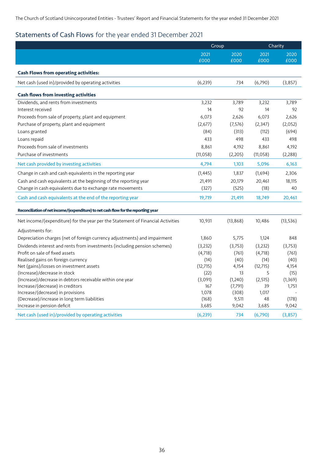## Statements of Cash Flows for the year ended 31 December 2021

|                                                                                    | Group     |          |           | Charity   |
|------------------------------------------------------------------------------------|-----------|----------|-----------|-----------|
|                                                                                    | 2021      | 2020     | 2021      | 2020      |
|                                                                                    | £000      | £000     | £000      | £000      |
| <b>Cash Flows from operating activities:</b>                                       |           |          |           |           |
| Net cash (used in)/provided by operating activities                                | (6, 239)  | 734      | (6,790)   | (3,857)   |
| <b>Cash flows from investing activities</b>                                        |           |          |           |           |
| Dividends, and rents from investments                                              | 3,232     | 3,789    | 3,232     | 3,789     |
| Interest received                                                                  | 14        | 92       | 14        | 92        |
| Proceeds from sale of property, plant and equipment                                | 6,073     | 2,626    | 6,073     | 2,626     |
| Purchase of property, plant and equipment                                          | (2,677)   | (7,576)  | (2, 347)  | (2,052)   |
| Loans granted                                                                      | (84)      | (313)    | (112)     | (694)     |
| Loans repaid                                                                       | 433       | 498      | 433       | 498       |
| Proceeds from sale of investments                                                  | 8,861     | 4,192    | 8,861     | 4,192     |
| Purchase of investments                                                            | (11,058)  | (2,205)  | (11,058)  | (2, 288)  |
| Net cash provided by investing activities                                          | 4,794     | 1,103    | 5,096     | 6,163     |
| Change in cash and cash equivalents in the reporting year                          | (1, 445)  | 1,837    | (1,694)   | 2,306     |
| Cash and cash equivalents at the beginning of the reporting year                   | 21,491    | 20,179   | 20,461    | 18,115    |
| Change in cash equivalents due to exchange rate movements                          | (327)     | (525)    | (18)      | 40        |
| Cash and cash equivalents at the end of the reporting year                         | 19,719    | 21,491   | 18,749    | 20,461    |
| Reconciliation of net income/(expenditure) to net cash flow for the reporting year |           |          |           |           |
| Net income/(expenditure) for the year per the Statement of Financial Activities    | 10,931    | (13,868) | 10,486    | (13, 536) |
| Adjustments for:                                                                   |           |          |           |           |
| Depreciation charges (net of foreign currency adjustments) and impairment          | 1,860     | 5,775    | 1,124     | 848       |
| Dividends interest and rents from investments (including pension schemes)          | (3,232)   | (3,753)  | (3, 232)  | (3,753)   |
| Profit on sale of fixed assets                                                     | (4,718)   | (761)    | (4,718)   | (761)     |
| Realised gains on foreign currency                                                 | (14)      | (40)     | (14)      | (40)      |
| Net (gains)/losses on investment assets                                            | (12, 715) | 4,154    | (12, 715) | 4,154     |
| (Increase)/decrease in stock                                                       | (22)      | 13       | 5         | (15)      |
| (Increase)/decrease in debtors receivable within one year                          | (3,091)   | (1,240)  | (2, 515)  | (1, 369)  |
| Increase/(decrease) in creditors                                                   | 167       | (7, 791) | 39        | 1,751     |
| Increase/(decrease) in provisions                                                  | 1,078     | (308)    | 1,017     |           |
| (Decrease)/increase in long term liabilities                                       | (168)     | 9,511    | 48        | (178)     |
| Increase in pension deficit                                                        | 3,685     | 9,042    | 3,685     | 9,042     |
| Net cash (used in)/provided by operating activities                                | (6,239)   | 734      | (6,790)   | (3,857)   |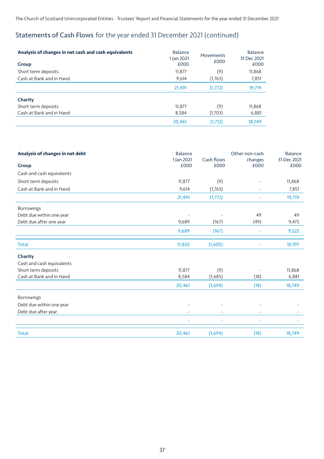# Statements of Cash Flows for the year ended 31 December 2021 (continued)

| Analysis of changes in net cash and cash equivalents<br><b>Group</b> | <b>Balance</b><br>1 Jan 2021<br>£000 | <b>Movements</b><br>£000 | <b>Balance</b><br>31 Dec 2021<br>£000 |
|----------------------------------------------------------------------|--------------------------------------|--------------------------|---------------------------------------|
| Short term deposits                                                  | 11,877                               | (9)                      | 11,868                                |
| Cash at Bank and in Hand                                             | 9,614                                | (1,763)                  | 7,851                                 |
|                                                                      | 21,491                               | (1, 772)                 | 19,719                                |
| Charity                                                              |                                      |                          |                                       |
| Short term deposits                                                  | 11,877                               | (9)                      | 11,868                                |
| Cash at Bank and in Hand                                             | 8,584                                | (1,703)                  | 6,881                                 |
|                                                                      | 20,461                               | (1,712)                  | 18.749                                |

| Analysis of changes in net debt | <b>Balance</b>           | Cash flows               | Other non-cash               | <b>Balance</b>      |
|---------------------------------|--------------------------|--------------------------|------------------------------|---------------------|
| <b>Group</b>                    | 1 Jan 2021<br>£000       | £000                     | changes<br>£000              | 31 Dec 2021<br>£000 |
| Cash and cash equivelents       |                          |                          |                              |                     |
| Short term deposits             | 11,877                   | (9)                      |                              | 11,868              |
| Cash at Bank and in Hand        | 9,614                    | (1,763)                  |                              | 7,851               |
|                                 | 21,491                   | (1, 772)                 |                              | 19,719              |
| Borrowings                      |                          |                          |                              |                     |
| Debt due within one year        |                          |                          | 49                           | 49                  |
| Debt due after one year         | 9,689                    | (167)                    | (49)                         | 9,473               |
|                                 | 9,689                    | (167)                    | ÷                            | 9,522               |
| <b>Total</b>                    | 11,802                   | (1,605)                  |                              | 10,197              |
| Charity                         |                          |                          |                              |                     |
| Cash and cash equivalents       |                          |                          |                              |                     |
| Short term deposits             | 11,877                   | (9)                      |                              | 11,868              |
| Cash at Bank and in Hand        | 8,584                    | (1,685)                  | (18)                         | 6,881               |
|                                 | 20,461                   | (1,694)                  | (18)                         | 18,749              |
| Borrowings                      |                          |                          |                              |                     |
| Debt due within one year        |                          |                          |                              |                     |
| Debt due after year             | $\overline{\phantom{a}}$ | $\overline{\phantom{a}}$ | $\qquad \qquad \blacksquare$ |                     |
|                                 |                          |                          |                              |                     |
| <b>Total</b>                    | 20,461                   | (1,694)                  | (18)                         | 18,749              |
|                                 |                          |                          |                              |                     |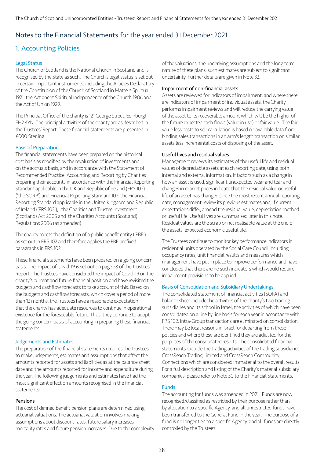### Notes to the Financial Statements for the year ended 31 December 2021

### 1. Accounting Policies

### Legal Status

The Church of Scotland is the National Church in Scotland and is recognised by the State as such. The Church's legal status is set out in certain important instruments, including the Articles Declaratory of the Constitution of the Church of Scotland in Matters Spiritual 1921, the Act anent Spiritual Independence of the Church 1906 and the Act of Union 1929.

The Principal Office of the charity is 121 George Street, Edinburgh EH2 4YN. The principal activities of the charity are as described in the Trustees' Report. These financial statements are presented in £000 Sterling.

### Basis of Preparation

The financial statements have been prepared on the historical cost basis as modified by the revaluation of investments and on the accruals basis, and in accordance with the Statement of Recommended Practice: Accounting and Reporting by Charities preparing their accounts in accordance with the Financial Reporting Standard applicable in the UK and Republic of Ireland (FRS 102) ('the SORP') and Financial Reporting Standard 102: the Financial Reporting Standard applicable in the United Kingdom and Republic of Ireland ('FRS 102'), the Charities and Trustee Investment (Scotland) Act 2005 and the Charities Accounts (Scotland) Regulations 2006 (as amended).

The charity meets the definition of a public benefit entity ('PBE') as set out in FRS 102 and therefore applies the PBE prefixed paragraphs in FRS 102.

These financial statements have been prepared on a going concern basis. The impact of Covid-19 is set out on page 28 of the Trustees' Report. The Trustees have considered the impact of Covid-19 on the charity's current and future financial position and have revisited the budgets and cashflow forecasts to take account of this. Based on the budgets and cashflow forecasts, which cover a period of more than 12 months, the Trustees have a reasonable expectation that the charity has adequate resources to continue in operational existence for the foreseeable future. Thus, they continue to adopt the going concern basis of accounting in preparing these financial statements.

#### Judgements and Estimates

The preparation of the financial statements requires the Trustees to make judgements, estimates and assumptions that affect the amounts reported for assets and liabilities as at the balance sheet date and the amounts reported for income and expenditure during the year. The following judgements and estimates have had the most significant effect on amounts recognised in the financial statements:

#### Pensions

The cost of defined benefit pension plans are determined using actuarial valuations. The actuarial valuation involves making assumptions about discount rates, future salary increases, mortality rates and future pension increases. Due to the complexity of the valuations, the underlying assumptions and the long term nature of these plans, such estimates are subject to significant uncertainty. Further details are given in Note 32.

#### Impairment of non-financial assets

Assets are reviewed for indicators of impairment, and where there are indicators of impairment of individual assets, the Charity performs impairment reviews and will reduce the carrying value of the asset to its recoverable amount which will be the higher of the future expected cash flows (value in use) or fair value. The fair value less costs to sell calculation is based on available data from binding sales transactions in an arm's length transaction on similar assets less incremental costs of disposing of the asset.

#### Useful lives and residual values

Management reviews its estimates of the useful life and residual values of depreciable assets at each reporting date, using both internal and external information. If factors such as a change in how an asset is used, significant unexpected wear and tear and changes in market prices indicate that the residual value or useful life of an asset has changed since the most recent annual reporting date, management review its previous estimates and, if current expectations differ, amend the residual value, depreciation method or useful life. Useful lives are summarised later in this note. Residual values are the scrap or net realisable value at the end of the assets' expected economic useful life.

The Trustees continue to monitor key performance indicators in residential units operated by the Social Care Council including occupancy rates, unit financial results and measures which management have put in place to improve performance and have concluded that there are no such indicators which would require impairment provisions to be applied.

#### Basis of Consolidation and Subsidiary Undertakings

The consolidated statement of financial activities (SOFA) and balance sheet include the activities of the charity's two trading subsidiaries and its school in Israel, the activities of which have been consolidated on a line by line basis for each year in accordance with FRS 102. Intra-Group transactions are eliminated on consolidation. There may be local reasons in Israel for departing from these policies and where these are identified they are adjusted for the purposes of the consolidated results. The consolidated financial statements exclude the trading activities of the trading subsidiaries CrossReach Trading Limited and CrossReach Community Connections which are considered immaterial to the overall results. For a full description and listing of the Charity's material subsidiary companies, please refer to Note 30 to the Financial Statements.

#### Funds

The accounting for funds was amended in 2021. Funds are now recognised/classified as restricted by their purpose rather than by allocation to a specific Agency, and all unrestricted funds have been transferred to the General Fund in the year. The purpose of a fund is no longer tied to a specific Agency, and all funds are directly controlled by the Trustees.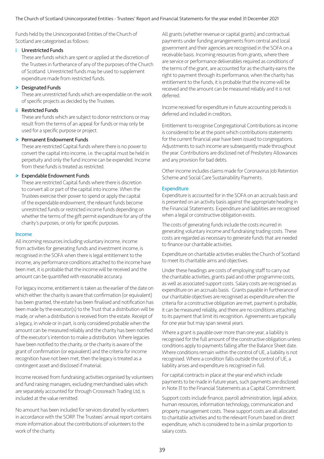Funds held by the Unincorporated Entities of the Church of Scotland are categorised as follows:

#### i Unrestricted Funds

These are funds which are spent or applied at the discretion of the Trustees in furtherance of any of the purposes of the Church of Scotland. Unrestricted funds may be used to supplement expenditure made from restricted funds.

### **>** Designated Funds

These are unrestricted funds which are expendable on the work of specific projects as decided by the Trustees.

### ii Restricted Funds

These are funds which are subject to donor restrictions or may result from the terms of an appeal for funds or may only be used for a specific purpose or project.

### **>** Permanent Endowment Funds

These are restricted Capital funds where there is no power to convert the capital into income, i.e. the capital must be held in perpetuity and only the fund income can be expended. Income from these funds is treated as restricted.

### **>** Expendable Endowment Funds

These are restricted Capital funds where there is discretion to convert all or part of the capital into income. When the Trustees exercise their power to spend or apply the capital of the expendable endowment, the relevant funds become unrestricted funds or restricted income funds depending on whether the terms of the gift permit expenditure for any of the charity's purposes, or only for specific purposes.

#### Income

All incoming resources including voluntary income, income from activities for generating funds and investment income, is recognised in the SOFA when there is legal entitlement to the income, any performance conditions attached to the income have been met, it is probable that the income will be received and the amount can be quantified with reasonable accuracy.

For legacy income, entitlement is taken as the earlier of the date on which either: the charity is aware that confirmation (or equivalent) has been granted, the estate has been finalised and notification has been made by the executor(s) to the Trust that a distribution will be made, or when a distribution is received from the estate. Receipt of a legacy, in whole or in part, is only considered probable when the amount can be measured reliably and the charity has been notified of the executor's intention to make a distribution. Where legacies have been notified to the charity, or the charity is aware of the grant of confirmation (or equivalent) and the criteria for income recognition have not been met, then the legacy is treated as a contingent asset and disclosed if material.

Income received from fundraising activities organised by volunteers and fund raising managers, excluding merchandised sales which are separately accounted for through Crossreach Trading Ltd, is included at the value remitted.

No amount has been included for services donated by volunteers in accordance with the SORP. The Trustees' annual report contains more information about the contributions of volunteers to the work of the charity.

All grants (whether revenue or capital grants) and contractual payments under funding arrangements from central and local government and their agencies are recognised in the SOFA on a receivable basis. Incoming resources from grants, where there are service or performance deliverables required as conditions of the terms of the grant, are accounted for as the charity earns the right to payment through its performance, when the charity has entitlement to the funds, it is probable that the income will be received and the amount can be measured reliably and it is not deferred.

Income received for expenditure in future accounting periods is deferred and included in creditors.

Entitlement to recognise Congregational Contributions as income is considered to be at the point which contributions statements for the current financial year have been issued to congregations. Adjustments to such income are subsequently made throughout the year. Contributions are disclosed net of Presbytery Allowances and any provision for bad debts.

Other income includes claims made for Coronavirus Job Retention Scheme and Social Care Sustainability Payments.

#### **Expenditure**

Expenditure is accounted for in the SOFA on an accruals basis and is presented on an activity basis against the appropriate heading in the Financial Statements. Expenditure and liabilities are recognised when a legal or constructive obligation exists.

The costs of generating funds include the costs incurred in generating voluntary income and fundraising trading costs. These costs are regarded as necessary to generate funds that are needed to finance our charitable activities.

Expenditure on charitable activities enables the Church of Scotland to meet its charitable aims and objectives.

Under these headings are costs of employing staff to carry out the charitable activities, grants paid and other programme costs, as well as associated support costs. Salary costs are recognised as expenditure on an accruals basis. Grants payable in furtherance of our charitable objectives are recognised as expenditure when the criteria for a constructive obligation are met, payment is probable, it can be measured reliably, and there are no conditions attaching to its payment that limit its recognition. Agreements are typically for one year but may span several years.

Where a grant is payable over more than one year, a liability is recognised for the full amount of the constructive obligation unless conditions apply to payments falling after the Balance Sheet date. Where conditions remain within the control of UE, a liability is not recognised. Where a condition falls outside the control of UE, a liability arises and expenditure is recognised in full.

For capital contracts in place at the year end which include payments to be made in future years, such payments are disclosed in Note 31 to the Financial Statements as a Capital Commitment.

Support costs include finance, payroll administration, legal advice, human resources, information technology, communication and property management costs. These support costs are all allocated to charitable activities and to the relevant Forum based on direct expenditure, which is considered to be in a similar proportion to salary costs.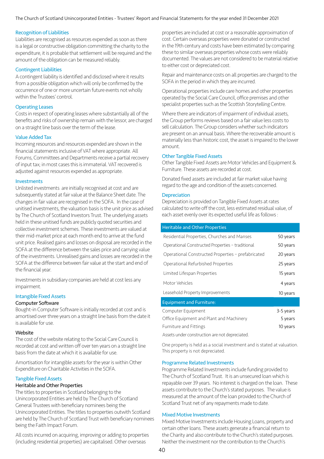### Recognition of Liabilities

Liabilities are recognised as resources expended as soon as there is a legal or constructive obligation committing the charity to the expenditure, it is probable that settlement will be required and the amount of the obligation can be measured reliably.

### Contingent Liabilities

A contingent liability is identified and disclosed where it results from a possible obligation which will only be confirmed by the occurrence of one or more uncertain future events not wholly within the Trustees' control.

### Operating Leases

Costs in respect of operating leases where substantially all of the benefits and risks of ownership remain with the lessor, are charged on a straight line basis over the term of the lease.

### Value Added Tax

Incoming resources and resources expended are shown in the financial statements inclusive of VAT where appropriate. All Forums, Committees and Departments receive a partial recovery of input tax; in most cases this is immaterial. VAT recovered is adjusted against resources expended as appropriate.

#### Investments

Unlisted investments are initially recognised at cost and are subsequently stated at fair value at the Balance Sheet date. The changes in fair value are recognised in the SOFA. In the case of unitised investments, the valuation basis is the unit price as advised by The Church of Scotland Investors Trust. The underlying assets held in these unitised funds are publicly quoted securities and collective investment schemes. These investments are valued at their mid-market price at each month end to arrive at the fund unit price. Realised gains and losses on disposal are recorded in the SOFA at the difference between the sales price and carrying value of the investments. Unrealised gains and losses are recorded in the SOFA at the difference between fair value at the start and end of the financial year.

Investments in subsidiary companies are held at cost less any impairment.

### Intangible Fixed Assets

#### Computer Software

Bought-in Computer Software is initially recorded at cost and is amortised over three years on a straight line basis from the date it is available for use.

#### Website

The cost of the website relating to the Social Care Council is recorded at cost and written off over ten years on a straight line basis from the date at which it is available for use.

Amortisation for intangible assets for the year is within Other Expenditure on Charitable Activities in the SOFA.

### Tangible Fixed Assets

#### Heritable and Other Properties

The titles to properties in Scotland belonging to the Unincorporated Entities are held by The Church of Scotland General Trustees with beneficiary nominees being the Unincorporated Entities. The titles to properties outwith Scotland are held by The Church of Scotland Trust with beneficiary nominees being the Faith Impact Forum.

All costs incurred on acquiring, improving or adding to properties (including residential properties) are capitalised. Other overseas

properties are included at cost or a reasonable approximation of cost. Certain overseas properties were donated or constructed in the 19th century and costs have been estimated by comparing these to similar overseas properties whose costs were reliably documented. The values are not considered to be material relative to either cost or depreciated cost.

Repair and maintenance costs on all properties are charged to the SOFA in the period in which they are incurred.

Operational properties include care homes and other properties operated by the Social Care Council, office premises and other specialist properties such as the Scottish Storytelling Centre.

Where there are indicators of impairment of individual assets, the Group performs reviews based on a fair value less costs to sell calculation. The Group considers whether such indicators are present on an annual basis. Where the recoverable amount is materially less than historic cost, the asset is impaired to the lower amount.

#### Other Tangible Fixed Assets

Other Tangible Fixed Assets are Motor Vehicles and Equipment & Furniture. These assets are recorded at cost.

Donated fixed assets are included at fair market value having regard to the age and condition of the assets concerned.

#### **Depreciation**

Depreciation is provided on Tangible Fixed Assets at rates calculated to write off the cost, less estimated residual value, of each asset evenly over its expected useful life as follows :

#### Heritable and Other Properties

| Residential Properties, Churches and Manses        | 50 years  |
|----------------------------------------------------|-----------|
| Operational Constructed Properties - traditional   | 50 years  |
| Operational Constructed Properties - prefabricated | 20 years  |
| Operational Refurbished Properties                 | 25 years  |
| Limited Lifespan Properties                        | 15 years  |
| Motor Vehicles                                     | 4 years   |
| Leasehold Property Improvements                    | 10 years  |
| <b>Equipment and Furniture:</b>                    |           |
| Computer Equipment                                 | 3-5 years |
| Office Equipment and Plant and Machinery           | 5 years   |
| <b>Furniture and Fittings</b>                      | 10 years  |
|                                                    |           |

Assets under construction are not depreciated.

One property is held as a social investment and is stated at valuation. This property is not depreciated.

#### Programme Related Investments

Programme Related Investments include funding provided to The Church of Scotland Trust. It is an unsecured loan which is repayable over 39 years. No interest is charged on the loan. These assets contribute to the Church's stated purposes. The value is measured at the amount of the loan provided to the Church of Scotland Trust net of any repayments made to date.

#### Mixed Motive Investments

Mixed Motive Investments include Housing Loans, property and certain other loans. These assets generate a financial return to the Charity and also contribute to the Church's stated purposes. Neither the investment nor the contribution to the Church's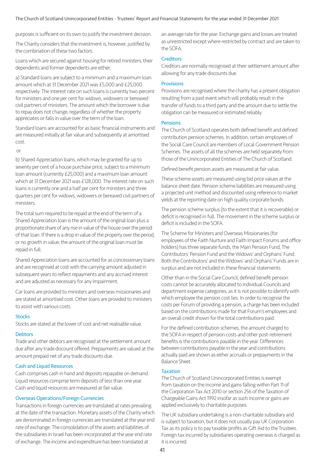purposes is sufficient on its own to justify the investment decision.

The Charity considers that the investment is, however, justified by the combination of these two factors.

Loans which are secured against housing for retired ministers, their dependents and former dependents are either;

a) Standard loans are subject to a minimum and a maximum loan amount which at 31 December 2021 was £5,000 and £25,000 respectively. The interest rate on such loans is currently two percent for ministers and one per cent for widows, widowers or bereaved civil partners of ministers. The amount which the borrower is due to repay does not change, regardless of whether the property appreciates or falls in value over the term of the loan.

Standard loans are accounted for as basic financial instruments and are measured initially at fair value and subsequently at amortised cost.

or

b) Shared Appreciation loans, which may be granted for up to seventy per cent of a house purchase price, subject to a minimum loan amount (currently £25,000) and a maximum loan amount which at 31 December 2021 was £128,000. The interest rate on such loans is currently one and a half per cent for ministers and three quarters per cent for widows, widowers or bereaved civil partners of ministers.

The total sum required to be repaid at the end of the term of a Shared Appreciation loan is the amount of the original loan plus a proportionate share of any rise in value of the house over the period of that loan. If there is a drop in value of the property over the period, or no growth in value, the amount of the original loan must be repaid in full.

Shared Appreciation loans are accounted for as concessionary loans and are recognised at cost with the carrying amount adjusted in subsequent years to reflect repayments and any accrued interest and are adjusted as necessary for any impairment.

Car loans are provided to ministers and overseas missionaries and are stated at amortised cost. Other loans are provided to ministers to assist with various costs.

#### **Stocks**

Stocks are stated at the lower of cost and net realisable value.

### **Debtors**

Trade and other debtors are recognised at the settlement amount due after any trade discount offered. Prepayments are valued at the amount prepaid net of any trade discounts due.

#### Cash and Liquid Resources

Cash comprises cash in hand and deposits repayable on demand. Liquid resources comprise term deposits of less than one year. Cash and liquid resources are measured at fair value.

### Overseas Operations/Foreign Currencies

Transactions in foreign currencies are translated at rates prevailing at the date of the transaction. Monetary assets of the Charity which are denominated in foreign currencies are translated at the year end rate of exchange. The consolidation of the assets and liabilities of the subsidiaries in Israel has been incorporated at the year end rate of exchange. The income and expenditure has been translated at

an average rate for the year. Exchange gains and losses are treated as unrestricted except where restricted by contract and are taken to the SOFA.

### **Creditors**

Creditors are normally recognised at their settlement amount after allowing for any trade discounts due.

### **Provisions**

Provisions are recognised where the charity has a present obligation resulting from a past event which will probably result in the transfer of funds to a third party and the amount due to settle the obligation can be measured or estimated reliably.

### Pensions

The Church of Scotland operates both defined benefit and defined contribution pension schemes. In addition, certain employees of the Social Care Council are members of Local Government Pension Schemes. The assets of all the schemes are held separately from those of the Unincorporated Entities of The Church of Scotland.

Defined benefit pension assets are measured at fair value.

These scheme assets are measured using bid price values at the balance sheet date. Pension scheme liabilities are measured using a projected unit method and discounted using reference to market yields at the reporting date on high quality corporate bonds.

The pension scheme surplus (to the extent that it is recoverable) or deficit is recognised in full. The movement in the scheme surplus or deficit is included in the SOFA.

The Scheme for Ministers and Overseas Missionaries (for employees of the Faith Nurture and Faith Impact Forums and office holders) has three separate funds, the Main Pension Fund, The Contributors' Pension Fund and the Widows' and Orphans' Fund. Both the Contributors' and the Widows' and Orphans' Funds are in surplus and are not included in these financial statements.

Other than in the Social Care Council, defined benefit pension costs cannot be accurately allocated to individual Councils and department expense categories, as it is not possible to identify with which employee the pension cost lies. In order to recognise the costs per Forum of providing a pension, a charge has been included based on the contributions made for that Forum's employees and an overall credit shown for the total contributions paid.

For the defined contribution schemes, the amount charged to the SOFA in respect of pension costs and other post-retirement benefits is the contributions payable in the year. Differences between contributions payable in the year and contributions actually paid are shown as either accruals or prepayments in the Balance Sheet.

### Taxation

The Church of Scotland Unincorporated Entities is exempt from taxation on the income and gains falling within Part 11 of the Corporation Tax Act 2010 or section 256 of the Taxation of Chargeable Gains Act 1992 insofar as such income or gains are applied exclusively to charitable purposes.

The UK subsidiary undertaking is a non-charitable subsidiary and is subject to taxation, but it does not usually pay UK Corporation Tax as its policy is to pay taxable profits as Gift Aid to the Trustees. Foreign tax incurred by subsidiaries operating overseas is charged as it is incurred.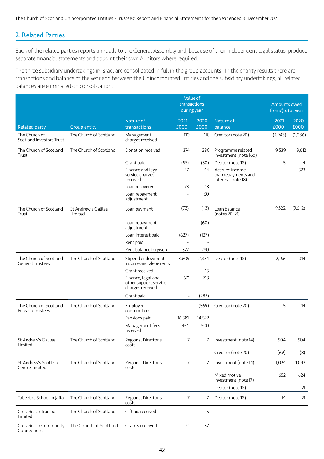### 2. Related Parties

Each of the related parties reports annually to the General Assembly and, because of their independent legal status, produce separate financial statements and appoint their own Auditors where required.

The three subsidiary undertakings in Israel are consolidated in full in the group accounts. In the charity results there are transactions and balance at the year end between the Unincorporated Entities and the subsidiary undertakings, all related balances are eliminated on consolidation.

|                                                   |                                |                                                                 | Value of<br>transactions<br>during year |        |                                                               | <b>Amounts owed</b><br>from/(to) at year |                |
|---------------------------------------------------|--------------------------------|-----------------------------------------------------------------|-----------------------------------------|--------|---------------------------------------------------------------|------------------------------------------|----------------|
|                                                   |                                | Nature of                                                       | 2021                                    | 2020   | Nature of                                                     | 2021                                     | 2020           |
| <b>Related party</b>                              | <b>Group entity</b>            | transactions                                                    | £000                                    | £000   | balance                                                       | £000                                     | £000           |
| The Church of<br>Scotland Investors Trust         | The Church of Scotland         | Management<br>charges received                                  | 110                                     | 110    | Creditor (note 20)                                            | (2,943)                                  | (1,086)        |
| The Church of Scotland<br>Trust                   | The Church of Scotland         | Donation received                                               | 374                                     | 380    | Programme related<br>investment (note 16b)                    | 9,539                                    | 9,612          |
|                                                   |                                | Grant paid                                                      | (53)                                    | (50)   | Debtor (note 18)                                              | 5                                        | $\overline{4}$ |
|                                                   |                                | Finance and legal<br>service charges<br>received                | 47                                      | 44     | Accrued income -<br>loan repayments and<br>interest (note 18) |                                          | 323            |
|                                                   |                                | Loan recovered                                                  | 73                                      | 13     |                                                               |                                          |                |
|                                                   |                                | Loan repayment<br>adjustment                                    |                                         | 60     |                                                               |                                          |                |
| The Church of Scotland<br>Trust                   | St Andrew's Galilee<br>Limited | Loan payment                                                    | (73)                                    | (13)   | Loan balance<br>(notes 20, 21)                                | 9,522                                    | (9,612)        |
|                                                   |                                | Loan repayment<br>adjustment                                    | $\overline{\phantom{a}}$                | (60)   |                                                               |                                          |                |
|                                                   |                                | Loan interest paid                                              | (627)                                   | (127)  |                                                               |                                          |                |
|                                                   |                                | Rent paid                                                       |                                         |        |                                                               |                                          |                |
|                                                   |                                | Rent balance forgiven                                           | 377                                     | 280    |                                                               |                                          |                |
| The Church of Scotland<br><b>General Trustees</b> | The Church of Scotland         | Stipend endowment<br>income and glebe rents                     | 3,609                                   | 2,834  | Debtor (note 18)                                              | 2,166                                    | 314            |
|                                                   |                                | Grant received                                                  |                                         | 15     |                                                               |                                          |                |
|                                                   |                                | Finance, legal and<br>other support service<br>charges received | 671                                     | 713    |                                                               |                                          |                |
|                                                   |                                | Grant paid                                                      | $\overline{\phantom{a}}$                | (283)  |                                                               |                                          |                |
| The Church of Scotland<br><b>Pension Trustees</b> | The Church of Scotland         | Employer<br>contributions                                       | $\blacksquare$                          | (569)  | Creditor (note 20)                                            | 5                                        | 14             |
|                                                   |                                | Pensions paid                                                   | 16,381                                  | 14,522 |                                                               |                                          |                |
|                                                   |                                | Management fees<br>received                                     | 434                                     | 500    |                                                               |                                          |                |
| St Andrew's Galilee<br>Limited                    | The Church of Scotland         | Regional Director's<br>costs                                    |                                         |        | Investment (note 14)                                          | 504                                      | 504            |
|                                                   |                                |                                                                 |                                         |        | Creditor (note 20)                                            | (69)                                     | (8)            |
| St Andrew's Scottish<br>Centre Limited            | The Church of Scotland         | Regional Director's<br>costs                                    | 7                                       | 7      | Investment (note 14)                                          | 1,024                                    | 1,042          |
|                                                   |                                |                                                                 |                                         |        | Mixed motive<br>investment (note 17)                          | 652                                      | 624            |
|                                                   |                                |                                                                 |                                         |        | Debtor (note 18)                                              |                                          | 21             |
| Tabeetha School in Jaffa                          | The Church of Scotland         | Regional Director's<br>costs                                    | 7                                       | 7      | Debtor (note 18)                                              | 14                                       | 21             |
| CrossReach Trading<br>Limited                     | The Church of Scotland         | Gift aid received                                               |                                         | 5      |                                                               |                                          |                |
| CrossReach Community<br>Connections               | The Church of Scotland         | Grants received                                                 | 41                                      | 37     |                                                               |                                          |                |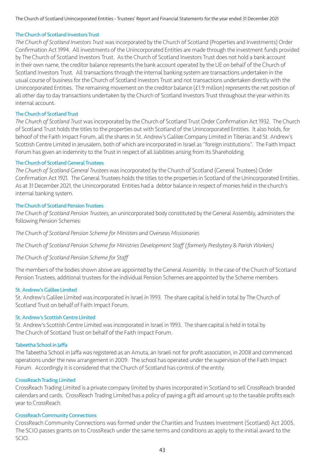### The Church of Scotland Investors Trust

*The Church of Scotland Investors Trust* was incorporated by the Church of Scotland (Properties and Investments) Order Confirmation Act 1994. All investments of the Unincorporated Entities are made through the investment funds provided by The Church of Scotland Investors Trust. As the Church of Scotland Investors Trust does not hold a bank account in their own name, the creditor balance represents the bank account operated by the UE on behalf of the Church of Scotland Investors Trust. All transactions through the internal banking system are transactions undertaken in the usual course of business for the Church of Scotland Investors Trust and not transactions undertaken directly with the Unincorporated Entities. The remaining movement on the creditor balance (£1.9 million) represents the net position of all other day to day transactions undertaken by the Church of Scotland Investors Trust throughout the year within its internal account.

### The Church of Scotland Trust

*The Church of Scotland Trust* was incorporated by the Church of Scotland Trust Order Confirmation Act 1932. The Church of Scotland Trust holds the titles to the properties out with Scotland of the Unincorporated Entities. It also holds, for behoof of the Faith Impact Forum, all the shares in St. Andrew's Galilee Company Limited in Tiberias and St. Andrew's Scottish Centre Limited in Jerusalem, both of which are incorporated in Israel as "foreign institutions". The Faith Impact Forum has given an indemnity to the Trust in respect of all liabilities arising from its Shareholding.

### The Church of Scotland General Trustees

*The Church of Scotland General Trustees* was incorporated by the Church of Scotland (General Trustees) Order Confirmation Act 1921. The General Trustees holds the titles to the properties in Scotland of the Unincorporated Entities. As at 31 December 2021, the Unincorporated Entities had a debtor balance in respect of monies held in the church's internal banking system.

### The Church of Scotland Pension Trustees

*The Church of Scotland Pension Trustees,* an unincorporated body constituted by the General Assembly, administers the following Pension Schemes:

*The Church of Scotland Pension Scheme for Ministers and Overseas Missionaries*

*The Church of Scotland Pension Scheme for Ministries Development Staff (formerly Presbytery & Parish Workers)*

### *The Church of Scotland Pension Scheme for Staff*

The members of the bodies shown above are appointed by the General Assembly. In the case of the Church of Scotland Pension Trustees, additional trustees for the individual Pension Schemes are appointed by the Scheme members.

### St. Andrew's Galilee Limited

St. Andrew's Galilee Limited was incorporated in Israel in 1993. The share capital is held in total by The Church of Scotland Trust on behalf of Faith Impact Forum.

#### St. Andrew's Scottish Centre Limited

St. Andrew's Scottish Centre Limited was incorporated in Israel in 1993. The share capital is held in total by The Church of Scotland Trust on behalf of the Faith Impact Forum.

#### Tabeetha School in Jaffa

The Tabeetha School in Jaffa was registered as an Amuta, an Israeli not for profit association, in 2008 and commenced operations under the new arrangement in 2009. The school has operated under the supervision of the Faith Impact Forum. Accordingly it is considered that the Church of Scotland has control of the entity.

### CrossReach Trading Limited

CrossReach Trading Limited is a private company limited by shares incorporated in Scotland to sell CrossReach branded calendars and cards. CrossReach Trading Limited has a policy of paying a gift aid amount up to the taxable profits each year to CrossReach.

### CrossReach Community Connections

CrossReach Community Connections was formed under the Charities and Trustees Investment (Scotland) Act 2005. The SCIO passes grants on to CrossReach under the same terms and conditions as apply to the initial award to the SCIO.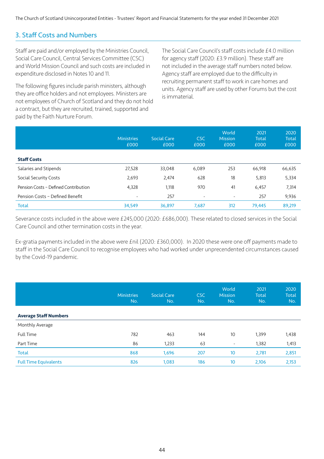### 3. Staff Costs and Numbers

Staff are paid and/or employed by the Ministries Council, Social Care Council, Central Services Committee (CSC) and World Mission Council and such costs are included in expenditure disclosed in Notes 10 and 11.

The following figures include parish ministers, although they are office holders and not employees. Ministers are not employees of Church of Scotland and they do not hold a contract, but they are recruited, trained, supported and paid by the Faith Nurture Forum.

The Social Care Council's staff costs include £4.0 million for agency staff (2020: £3.9 million). These staff are not included in the average staff numbers noted below. Agency staff are employed due to the difficulty in recruiting permanent staff to work in care homes and units. Agency staff are used by other Forums but the cost is immaterial.

|                                      | <b>Ministries</b><br>£000 | <b>Social Care</b><br>£000 | <b>CSC</b><br>£000       | World<br><b>Mission</b><br>£000 | 2021<br><b>Total</b><br>£000 | 2020<br><b>Total</b><br>£000 |
|--------------------------------------|---------------------------|----------------------------|--------------------------|---------------------------------|------------------------------|------------------------------|
| <b>Staff Costs</b>                   |                           |                            |                          |                                 |                              |                              |
| Salaries and Stipends                | 27,528                    | 33,048                     | 6,089                    | 253                             | 66,918                       | 66,635                       |
| Social Security Costs                | 2,693                     | 2,474                      | 628                      | 18                              | 5,813                        | 5,334                        |
| Pension Costs - Defined Contribution | 4,328                     | 1,118                      | 970                      | 41                              | 6,457                        | 7,314                        |
| Pension Costs - Defined Benefit      | $\overline{\phantom{a}}$  | 257                        | $\overline{\phantom{a}}$ | $\overline{\phantom{a}}$        | 257                          | 9,936                        |
| <b>Total</b>                         | 34,549                    | 36,897                     | 7,687                    | 312                             | 79,445                       | 89,219                       |

Severance costs included in the above were £245,000 (2020: £686,000). These related to closed services in the Social Care Council and other termination costs in the year.

Ex-gratia payments included in the above were £nil (2020: £360,000). In 2020 these were one off payments made to staff in the Social Care Council to recognise employees who had worked under unprecendented circumstances caused by the Covid-19 pandemic.

|                              | <b>Ministries</b><br>No. | <b>Social Care</b><br>No. | <b>CSC</b><br>No. | World<br><b>Mission</b><br>No. | 2021<br><b>Total</b><br>No. | 2020<br>Total<br>No. |
|------------------------------|--------------------------|---------------------------|-------------------|--------------------------------|-----------------------------|----------------------|
| <b>Average Staff Numbers</b> |                          |                           |                   |                                |                             |                      |
| Monthly Average              |                          |                           |                   |                                |                             |                      |
| <b>Full Time</b>             | 782                      | 463                       | 144               | 10                             | 1,399                       | 1,438                |
| Part Time                    | 86                       | 1,233                     | 63                | $\overline{\phantom{a}}$       | 1,382                       | 1,413                |
| <b>Total</b>                 | 868                      | 1,696                     | 207               | 10 <sup>°</sup>                | 2,781                       | 2,851                |
| <b>Full Time Equivalents</b> | 826                      | 1,083                     | 186               | 10                             | 2,106                       | 2,153                |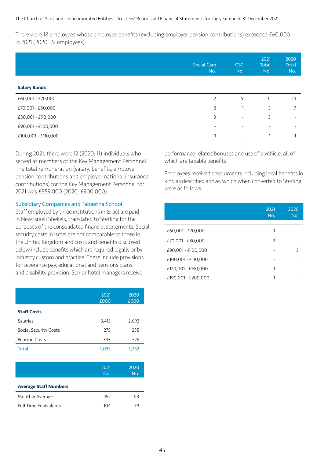There were 18 employees whose employee benefits (excluding employer pension contributions) exceeded £60,000 in 2021 (2020: 22 employees).

|                     | <b>Social Care</b><br>No. | <b>CSC</b><br>No.        | 2021<br><b>Total</b><br>No. | 2020<br><b>Total</b><br>No. |
|---------------------|---------------------------|--------------------------|-----------------------------|-----------------------------|
| <b>Salary Bands</b> |                           |                          |                             |                             |
| £60,001 - £70,000   | 2                         | 9                        | 11                          | 14                          |
| £70,001 - £80,000   | $\overline{2}$            | 1                        | 3                           | 7                           |
| £80,001 - £90,000   | 3                         | $\overline{\phantom{a}}$ | 3                           | $\overline{\phantom{a}}$    |
| £90,001 - £100,000  | $\overline{\phantom{a}}$  | $\overline{\phantom{a}}$ | $\overline{\phantom{0}}$    | $\overline{\phantom{a}}$    |
| £100,001 - £110,000 |                           | $\overline{\phantom{a}}$ |                             |                             |
|                     |                           |                          |                             |                             |

During 2021, there were 12 (2020: 11) individuals who served as members of the Key Management Personnel. The total remuneration (salary, benefits, employer pension contributions and employer national insurance contributions) for the Key Management Personnel for 2021 was £859,000 (2020: £900,000).

Subsidiary Companies and Tabeetha School

Staff employed by three institutions in Israel are paid in New Israeli Shekels, translated to Sterling for the purposes of the consolidated financial statements. Social security costs in Israel are not comparable to those in the United Kingdom and costs and benefits disclosed below include benefits which are required legally or by industry custom and practice. These include provisions for severance pay, educational and pensions plans and disability provision. Senior hotel managers receive

|                       | 2021<br>£000 | 2020<br>£000 |
|-----------------------|--------------|--------------|
| <b>Staff Costs</b>    |              |              |
| Salaries              | 3,413        | 2,692        |
| Social Security Costs | 275          | 235          |
| <b>Pension Costs</b>  | 345          | 325          |
| <b>Total</b>          | 4,033        | 3,252        |

|                              | 2021<br>No. | 2020<br>No. |
|------------------------------|-------------|-------------|
| <b>Average Staff Numbers</b> |             |             |
| Monthly Average              | 152         | 118         |
| <b>Full Time Equivalents</b> | 104         | 79          |

performance related bonuses and use of a vehicle, all of which are taxable benefits.

Employees received emoluments including local benefits in kind as described above, which when converted to Sterling were as follows:

|                     | 2021<br>No.   | 2020<br>No. |
|---------------------|---------------|-------------|
|                     |               |             |
| £60,001 - £70,000   | 1             |             |
| £70,001 - £80,000   | $\mathcal{P}$ |             |
| £90,001 - £100,000  |               | C           |
| £100,001 - £110,000 |               |             |
| £120,001 - £130,000 |               |             |
| £190,001 - £200,000 |               |             |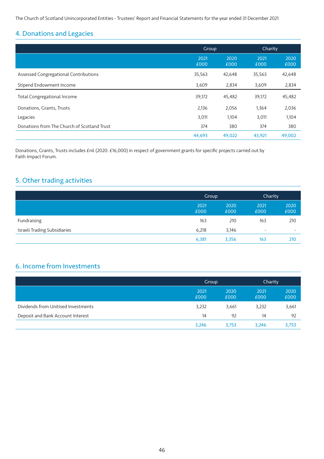### 4. Donations and Legacies

|                                             | Group        |              | Charity      |              |
|---------------------------------------------|--------------|--------------|--------------|--------------|
|                                             | 2021<br>£000 | 2020<br>£000 | 2021<br>£000 | 2020<br>£000 |
| Assessed Congregational Contributions       | 35,563       | 42,648       | 35,563       | 42,648       |
| Stipend Endowment Income                    | 3,609        | 2,834        | 3,609        | 2,834        |
| Total Congregational Income                 | 39,172       | 45,482       | 39,172       | 45,482       |
| Donations, Grants, Trusts                   | 2,136        | 2,056        | 1,364        | 2,036        |
| Legacies                                    | 3,011        | 1,104        | 3,011        | 1,104        |
| Donations from The Church of Scotland Trust | 374          | 380          | 374          | 380          |
|                                             | 44,693       | 49,022       | 43,921       | 49,002       |

Donations, Grants, Trusts includes £nil (2020: £16,000) in respect of government grants for specific projects carried out by Faith Impact Forum.

### 5. Other trading activities

|                              |              | Group        |              | Charity                  |
|------------------------------|--------------|--------------|--------------|--------------------------|
|                              | 2021<br>£000 | 2020<br>£000 | 2021<br>£000 | 2020<br>£000             |
| Fundraising                  | 163          | 210          | 163          | 210                      |
| Israeli Trading Subsidiaries | 6,218        | 3,146        | $\sim$       | $\overline{\phantom{0}}$ |
|                              | 6,381        | 3,356        | 163          | 210                      |

### 6. Income from Investments

|                                     | Group        |              | Charity      |              |
|-------------------------------------|--------------|--------------|--------------|--------------|
|                                     | 2021<br>£000 | 2020<br>£000 | 2021<br>£000 | 2020<br>£000 |
| Dividends from Unitised Investments | 3,232        | 3,661        | 3,232        | 3,661        |
| Deposit and Bank Account Interest   | 14           | 92           | 14           | 92           |
|                                     | 3,246        | 3.753        | 3.246        | 3.753        |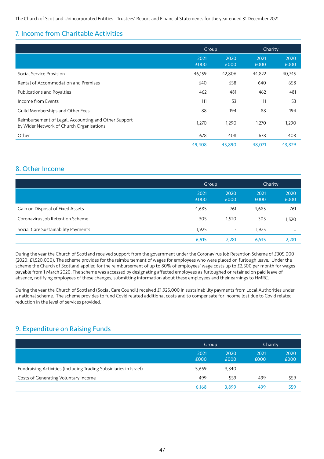## 7. Income from Charitable Activities

|                                                                                                  | Group        |              | Charity      |              |
|--------------------------------------------------------------------------------------------------|--------------|--------------|--------------|--------------|
|                                                                                                  | 2021<br>£000 | 2020<br>£000 | 2021<br>£000 | 2020<br>£000 |
| Social Service Provision                                                                         | 46,159       | 42,806       | 44,822       | 40,745       |
| Rental of Accommodation and Premises                                                             | 640          | 658          | 640          | 658          |
| Publications and Royalties                                                                       | 462          | 481          | 462          | 481          |
| Income from Events                                                                               | 111          | 53           | 111          | 53           |
| Guild Memberships and Other Fees                                                                 | 88           | 194          | 88           | 194          |
| Reimbursement of Legal, Accounting and Other Support<br>by Wider Network of Church Organisations | 1,270        | 1,290        | 1,270        | 1,290        |
| Other                                                                                            | 678          | 408          | 678          | 408          |
|                                                                                                  | 49,408       | 45,890       | 48,071       | 43,829       |

### 8. Other Income

|                                     | Group        |                          | Charity      |              |
|-------------------------------------|--------------|--------------------------|--------------|--------------|
|                                     | 2021<br>£000 | 2020<br>£000             | 2021<br>£000 | 2020<br>£000 |
| Gain on Disposal of Fixed Assets    | 4,685        | 761                      | 4,685        | 761          |
| Coronavirus Job Retention Scheme    | 305          | 1,520                    | 305          | 1,520        |
| Social Care Sustainability Payments | 1,925        | $\overline{\phantom{a}}$ | 1,925        | ۰            |
|                                     | 6,915        | 2.281                    | 6,915        | 2,281        |

During the year the Church of Scotland received support from the government under the Coronavirus Job Retention Scheme of £305,000 (2020: £1,520,000). The scheme provides for the reimbursement of wages for employees who were placed on furlough leave. Under the scheme the Church of Scotland applied for the reimbursement of up to 80% of employees' wage costs up to £2,500 per month for wages payable from 1 March 2020. The scheme was accessed by designating affected employees as furloughed or retained on paid leave of absence, notifying employees of these changes, submitting information about these employees and their earnings to HMRC.

During the year the Church of Scotland (Social Care Council) received £1,925,000 in sustainability payments from Local Authorities under a national scheme. The scheme provides to fund Covid related additional costs and to compensate for income lost due to Covid related reduction in the level of services provided.

## 9. Expenditure on Raising Funds

|                                                                   | Group        |              | <b>Charity</b>           |              |
|-------------------------------------------------------------------|--------------|--------------|--------------------------|--------------|
|                                                                   | 2021<br>£000 | 2020<br>£000 | 2021<br>£000             | 2020<br>£000 |
| Fundraising Activities (including Trading Subsidiaries in Israel) | 5,669        | 3,340        | $\overline{\phantom{0}}$ |              |
| Costs of Generating Voluntary Income                              | 499          | 559          | 499                      | 559          |
|                                                                   | 6,168        | 3.899        | 499                      | 559          |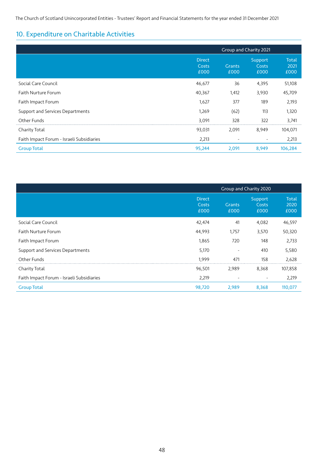## 10. Expenditure on Charitable Activities

|                                           | Group and Charity 2021         |                       |                          |                              |  |
|-------------------------------------------|--------------------------------|-----------------------|--------------------------|------------------------------|--|
|                                           | <b>Direct</b><br>Costs<br>£000 | <b>Grants</b><br>£000 | Support<br>Costs<br>£000 | <b>Total</b><br>2021<br>£000 |  |
| Social Care Council                       | 46,677                         | 36                    | 4,395                    | 51,108                       |  |
| Faith Nurture Forum                       | 40,367                         | 1,412                 | 3,930                    | 45,709                       |  |
| Faith Impact Forum                        | 1,627                          | 377                   | 189                      | 2,193                        |  |
| Support and Services Departments          | 1,269                          | (62)                  | 113                      | 1,320                        |  |
| Other Funds                               | 3,091                          | 328                   | 322                      | 3,741                        |  |
| Charity Total                             | 93,031                         | 2,091                 | 8,949                    | 104,071                      |  |
| Faith Impact Forum - Israeli Subsidiaries | 2,213                          |                       | $\overline{a}$           | 2,213                        |  |
| <b>Group Total</b>                        | 95,244                         | 2,091                 | 8,949                    | 106,284                      |  |

|                                           |                                | Group and Charity 2020   |                          |                              |  |  |
|-------------------------------------------|--------------------------------|--------------------------|--------------------------|------------------------------|--|--|
|                                           | <b>Direct</b><br>Costs<br>£000 | <b>Grants</b><br>£000    | Support<br>Costs<br>£000 | <b>Total</b><br>2020<br>£000 |  |  |
| Social Care Council                       | 42,474                         | 41                       | 4,082                    | 46,597                       |  |  |
| Faith Nurture Forum                       | 44,993                         | 1,757                    | 3,570                    | 50,320                       |  |  |
| Faith Impact Forum                        | 1,865                          | 720                      | 148                      | 2,733                        |  |  |
| Support and Services Departments          | 5,170                          | $\overline{\phantom{a}}$ | 410                      | 5,580                        |  |  |
| Other Funds                               | 1,999                          | 471                      | 158                      | 2,628                        |  |  |
| Charity Total                             | 96,501                         | 2,989                    | 8,368                    | 107,858                      |  |  |
| Faith Impact Forum - Israeli Subsidiaries | 2,219                          | $\overline{\phantom{a}}$ | $\overline{\phantom{a}}$ | 2,219                        |  |  |
| <b>Group Total</b>                        | 98,720                         | 2,989                    | 8,368                    | 110,077                      |  |  |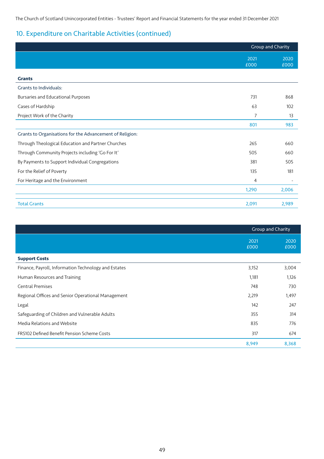## 10. Expenditure on Charitable Activities (continued)

|                                                          | Group and Charity |              |  |
|----------------------------------------------------------|-------------------|--------------|--|
|                                                          | 2021<br>£000      | 2020<br>£000 |  |
| <b>Grants</b>                                            |                   |              |  |
| <b>Grants to Individuals:</b>                            |                   |              |  |
| Bursaries and Educational Purposes                       | 731               | 868          |  |
| Cases of Hardship                                        | 63                | 102          |  |
| Project Work of the Charity                              | 7                 | 13           |  |
|                                                          | 801               | 983          |  |
| Grants to Organisations for the Advancement of Religion: |                   |              |  |
| Through Theological Education and Partner Churches       | 265               | 660          |  |
| Through Community Projects including 'Go For It'         | 505               | 660          |  |
| By Payments to Support Individual Congregations          | 381               | 505          |  |
| For the Relief of Poverty                                | 135               | 181          |  |
| For Heritage and the Environment                         | 4                 |              |  |
|                                                          | 1,290             | 2,006        |  |
| <b>Total Grants</b>                                      | 2,091             | 2,989        |  |

|                                                      |              | <b>Group and Charity</b> |
|------------------------------------------------------|--------------|--------------------------|
|                                                      | 2021<br>£000 | 2020<br>£000             |
| <b>Support Costs</b>                                 |              |                          |
| Finance, Payroll, Information Technology and Estates | 3,152        | 3,004                    |
| Human Resources and Training                         | 1,181        | 1,126                    |
| <b>Central Premises</b>                              | 748          | 730                      |
| Regional Offices and Senior Operational Management   | 2,219        | 1,497                    |
| Legal                                                | 142          | 247                      |
| Safeguarding of Children and Vulnerable Adults       | 355          | 314                      |
| Media Relations and Website                          | 835          | 776                      |
| FRS102 Defined Benefit Pension Scheme Costs          | 317          | 674                      |
|                                                      | 8,949        | 8,368                    |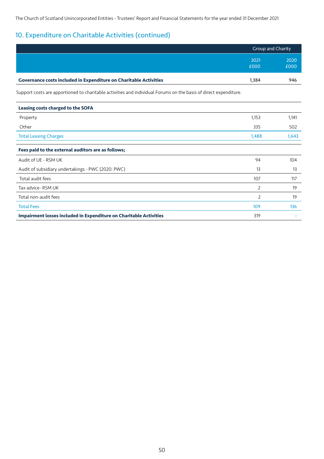# 10. Expenditure on Charitable Activities (continued)

|                                                                                                                  | Group and Charity |              |
|------------------------------------------------------------------------------------------------------------------|-------------------|--------------|
|                                                                                                                  | 2021<br>£000      | 2020<br>£000 |
| <b>Governance costs included in Expenditure on Charitable Activities</b>                                         | 1,384             | 946          |
| Support costs are apportioned to charitable activities and individual Forums on the basis of direct expenditure. |                   |              |
| Leasing costs charged to the SOFA                                                                                |                   |              |
| Property                                                                                                         | 1,153             | 1,141        |
| Other                                                                                                            | 335               | 502          |
| <b>Total Leasing Charges</b>                                                                                     | 1,488             | 1,643        |
| Fees paid to the external auditors are as follows;                                                               |                   |              |
| Audit of UE - RSM UK                                                                                             | 94                | 104          |
| Audit of subsidiary undertakings - PWC (2020: PWC)                                                               | 13                | 13           |
| Total audit fees                                                                                                 | 107               | 117          |
| Tax advice-RSM UK                                                                                                | 2                 | 19           |
| Total non-audit fees                                                                                             | 2                 | 19           |
| <b>Total Fees</b>                                                                                                | 109               | 136          |
| <b>Impairment losses included in Expenditure on Charitable Activities</b>                                        | 319               |              |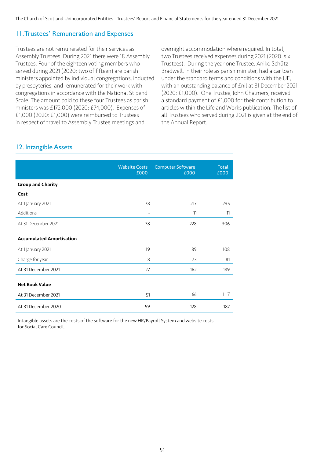### 11. Trustees' Remuneration and Expenses

Trustees are not remunerated for their services as Assembly Trustees. During 2021 there were 18 Assembly Trustees. Four of the eighteen voting members who served during 2021 (2020: two of fifteen) are parish ministers appointed by individual congregations, inducted by presbyteries, and remunerated for their work with congregations in accordance with the National Stipend Scale. The amount paid to these four Trustees as parish ministers was £172,000 (2020: £74,000). Expenses of £1,000 (2020: £1,000) were reimbursed to Trustees in respect of travel to Assembly Trustee meetings and

overnight accommodation where required. In total, two Trustees received expenses during 2021 (2020: six Trustees). During the year one Trustee, Anikó Schűtz Bradwell, in their role as parish minister, had a car loan under the standard terms and conditions with the UE, with an outstanding balance of £nil at 31 December 2021 (2020: £1,000). One Trustee, John Chalmers, received a standard payment of £1,000 for their contribution to articles within the Life and Works publication. The list of all Trustees who served during 2021 is given at the end of the Annual Report.

### 12. Intangible Assets

|                                 | <b>Website Costs</b><br>£000 | <b>Computer Software</b><br>£000 | Total<br>£000 |
|---------------------------------|------------------------------|----------------------------------|---------------|
| <b>Group and Charity</b>        |                              |                                  |               |
| Cost                            |                              |                                  |               |
| At 1 January 2021               | 78                           | 217                              | 295           |
| Additions                       | $\overline{\phantom{a}}$     | 11                               | 11            |
| At 31 December 2021             | 78                           | 228                              | 306           |
| <b>Accumulated Amortisation</b> |                              |                                  |               |
| At 1 January 2021               | 19                           | 89                               | 108           |
| Charge for year                 | 8                            | 73                               | 81            |
| At 31 December 2021             | 27                           | 162                              | 189           |
| <b>Net Book Value</b>           |                              |                                  |               |
| At 31 December 2021             | 51                           | 66                               | 117           |
| At 31 December 2020             | 59                           | 128                              | 187           |

Intangible assets are the costs of the software for the new HR/Payroll System and website costs for Social Care Council.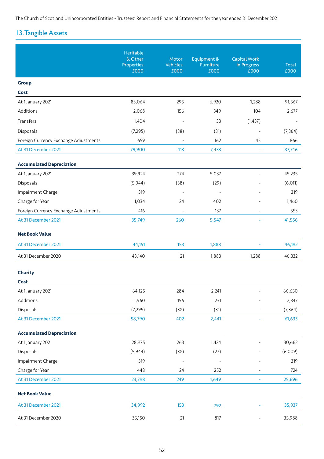## 13. Tangible Assets

|                                       | Heritable<br>& Other<br>Properties<br>£000 | Motor<br><b>Vehicles</b><br>£000 | Equipment &<br>Furniture<br>£000 | <b>Capital Work</b><br>in Progress<br>£000 | Total<br>£000 |
|---------------------------------------|--------------------------------------------|----------------------------------|----------------------------------|--------------------------------------------|---------------|
| <b>Group</b>                          |                                            |                                  |                                  |                                            |               |
| Cost                                  |                                            |                                  |                                  |                                            |               |
| At 1 January 2021                     | 83,064                                     | 295                              | 6,920                            | 1,288                                      | 91,567        |
| Additions                             | 2,068                                      | 156                              | 349                              | 104                                        | 2,677         |
| Transfers                             | 1,404                                      |                                  | 33                               | (1, 437)                                   |               |
| Disposals                             | (7, 295)                                   | (38)                             | (31)                             | $\overline{\phantom{m}}$                   | (7, 364)      |
| Foreign Currency Exchange Adjustments | 659                                        |                                  | 162                              | 45                                         | 866           |
| At 31 December 2021                   | 79,900                                     | 413                              | 7,433                            |                                            | 87,746        |
| <b>Accumulated Depreciation</b>       |                                            |                                  |                                  |                                            |               |
| At 1 January 2021                     | 39,924                                     | 274                              | 5,037                            |                                            | 45,235        |
| Disposals                             | (5,944)                                    | (38)                             | (29)                             |                                            | (6, 011)      |
| Impairment Charge                     | 319                                        |                                  |                                  |                                            | 319           |
| Charge for Year                       | 1,034                                      | 24                               | 402                              |                                            | 1,460         |
| Foreign Currency Exchange Adjustments | 416                                        |                                  | 137                              |                                            | 553           |
| At 31 December 2021                   | 35,749                                     | 260                              | 5,547                            |                                            | 41,556        |
| <b>Net Book Value</b>                 |                                            |                                  |                                  |                                            |               |
| At 31 December 2021                   | 44,151                                     | 153                              | 1,888                            |                                            | 46,192        |
| At 31 December 2020                   | 43,140                                     | 21                               | 1,883                            | 1,288                                      | 46,332        |
| <b>Charity</b>                        |                                            |                                  |                                  |                                            |               |
| <b>Cost</b>                           |                                            |                                  |                                  |                                            |               |
| At 1 January 2021                     | 64,125                                     | 284                              | 2,241                            |                                            | 66,650        |
| Additions                             | 1,960                                      | 156                              | 231                              |                                            | 2,347         |
| Disposals                             | (7, 295)                                   | (38)                             | (31)                             |                                            | (7, 364)      |
| At 31 December 2021                   | 58,790                                     | 402                              | 2,441                            |                                            | 61,633        |
| <b>Accumulated Depreciation</b>       |                                            |                                  |                                  |                                            |               |
| At 1 January 2021                     | 28,975                                     | 263                              | 1,424                            |                                            | 30,662        |
| Disposals                             | (5,944)                                    | (38)                             | (27)                             |                                            | (6,009)       |
| Impairment Charge                     | 319                                        |                                  |                                  |                                            | 319           |
| Charge for Year                       | 448                                        | 24                               | 252                              |                                            | 724           |
| At 31 December 2021                   | 23,798                                     | 249                              | 1,649                            |                                            | 25,696        |
| <b>Net Book Value</b>                 |                                            |                                  |                                  |                                            |               |
| At 31 December 2021                   | 34,992                                     | 153                              | 792                              |                                            | 35,937        |
| At 31 December 2020                   | 35,150                                     | 21                               | 817                              |                                            | 35,988        |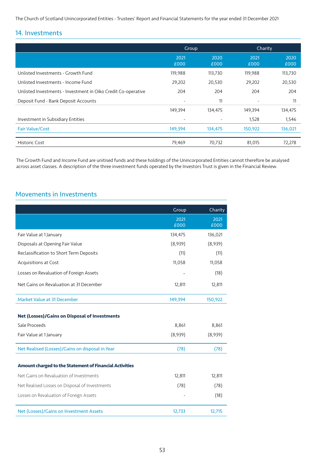### 14. Investments

|                                                               | Group        |              | Charity                  |              |
|---------------------------------------------------------------|--------------|--------------|--------------------------|--------------|
|                                                               | 2021<br>£000 | 2020<br>£000 | 2021<br>£000             | 2020<br>£000 |
| Unlisted Investments - Growth Fund                            | 119,988      | 113,730      | 119,988                  | 113,730      |
| Unlisted Investments - Income Fund                            | 29,202       | 20,530       | 29,202                   | 20,530       |
| Unlisted Investments - Investment in Oiko Credit Co-operative | 204          | 204          | 204                      | 204          |
| Deposit Fund - Bank Deposit Accounts                          |              | 11           | $\overline{\phantom{a}}$ | 11           |
|                                                               | 149,394      | 134,475      | 149.394                  | 134,475      |
| Investment in Subsidiary Entities                             |              |              | 1,528                    | 1,546        |
| <b>Fair Value/Cost</b>                                        | 149,394      | 134,475      | 150,922                  | 136,021      |
| <b>Historic Cost</b>                                          | 79,469       | 70,732       | 81,015                   | 72,278       |

The Growth Fund and Income Fund are unitised funds and these holdings of the Unincorporated Entities cannot therefore be analysed across asset classes. A description of the three investment funds operated by the Investors Trust is given in the Financial Review.

### Movements in Investments

|                                                                | Group        | Charity      |
|----------------------------------------------------------------|--------------|--------------|
|                                                                | 2021<br>£000 | 2021<br>£000 |
| Fair Value at 1 January                                        | 134,475      | 136,021      |
| Disposals at Opening Fair Value                                | (8,939)      | (8,939)      |
| Reclassification to Short Term Deposits                        | (11)         | (11)         |
| Acquisitions at Cost                                           | 11,058       | 11,058       |
| Losses on Revaluation of Foreign Assets                        |              | (18)         |
| Net Gains on Revaluation at 31 December                        | 12,811       | 12,811       |
| Market Value at 31 December                                    | 149,394      | 150,922      |
| <b>Net (Losses)/Gains on Disposal of Investments</b>           |              |              |
| Sale Proceeds                                                  | 8,861        | 8,861        |
| Fair Value at 1 January                                        | (8,939)      | (8,939)      |
| Net Realised (Losses)/Gains on disposal in Year                | (78)         | (78)         |
| <b>Amount charged to the Statement of Financial Activities</b> |              |              |
| Net Gains on Revaluation of Investments                        | 12,811       | 12,811       |
| Net Realised Losses on Disposal of Investments                 | (78)         | (78)         |
| Losses on Revaluation of Foreign Assets                        |              | (18)         |
| Net (Losses)/Gains on Investment Assets                        | 12,733       | 12,715       |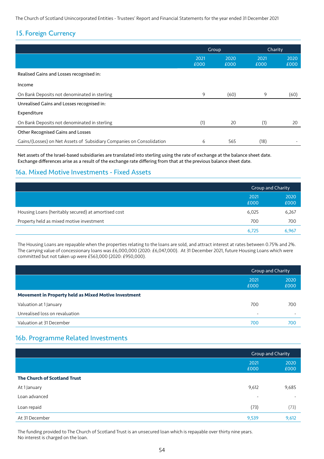### 15. Foreign Currency

|                                                                       | Group        |              | Charity      |              |
|-----------------------------------------------------------------------|--------------|--------------|--------------|--------------|
|                                                                       | 2021<br>£000 | 2020<br>£000 | 2021<br>£000 | 2020<br>£000 |
| Realised Gains and Losses recognised in:                              |              |              |              |              |
| Income                                                                |              |              |              |              |
| On Bank Deposits not denominated in sterling                          | 9            | (60)         | 9            | (60)         |
| Unrealised Gains and Losses recognised in:                            |              |              |              |              |
| Expenditure                                                           |              |              |              |              |
| On Bank Deposits not denominated in sterling                          | (1)          | 20           | (1)          | 20           |
| Other Recognised Gains and Losses                                     |              |              |              |              |
| Gains/(Losses) on Net Assets of Subsidiary Companies on Consolidation | 6            | 565          | (18)         |              |

Net assets of the Israel-based subsidiaries are translated into sterling using the rate of exchange at the balance sheet date. Exchange differences arise as a result of the exchange rate differing from that at the previous balance sheet date.

### 16a. Mixed Motive Investments - Fixed Assets

|                                                     | Group and Charity |              |  |
|-----------------------------------------------------|-------------------|--------------|--|
|                                                     | 2021<br>£000      | 2020<br>£000 |  |
| Housing Loans (heritably secured) at amortised cost | 6,025             | 6,267        |  |
| Property held as mixed motive investment            | 700               | 700          |  |
|                                                     | 6,725             | 6,967        |  |

The Housing Loans are repayable when the properties relating to the loans are sold, and attract interest at rates between 0.75% and 2%. The carrying value of concessionary loans was £6,000,000 (2020: £6,047,000). At 31 December 2021, future Housing Loans which were committed but not taken up were £563,000 (2020: £950,000).

|                                                      | <b>Group and Charity</b> |                          |  |
|------------------------------------------------------|--------------------------|--------------------------|--|
|                                                      | 2021<br>£000             | 2020<br>£000             |  |
| Movement in Property held as Mixed Motive Investment |                          |                          |  |
| Valuation at 1 January                               | 700                      | 700                      |  |
| Unrealised loss on revaluation                       | $\overline{\phantom{0}}$ | $\overline{\phantom{0}}$ |  |
| Valuation at 31 December                             | 700                      | 700                      |  |

### 16b. Programme Related Investments

|                                     |                          | Group and Charity        |
|-------------------------------------|--------------------------|--------------------------|
|                                     | 2021<br>£000             | 2020<br>£000             |
| <b>The Church of Scotland Trust</b> |                          |                          |
| At 1 January                        | 9,612                    | 9,685                    |
| Loan advanced                       | $\overline{\phantom{0}}$ | $\overline{\phantom{a}}$ |
| Loan repaid                         | (73)                     | (73)                     |
| At 31 December                      | 9,539                    | 9,612                    |

The funding provided to The Church of Scotland Trust is an unsecured loan which is repayable over thirty nine years. No interest is charged on the loan.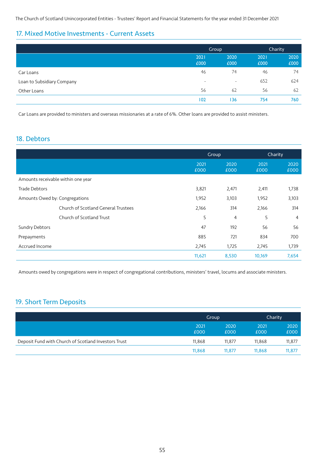## 17. Mixed Motive Investments - Current Assets

|                            |                          | Group                    |              | Charity      |  |
|----------------------------|--------------------------|--------------------------|--------------|--------------|--|
|                            | 2021<br>£000             | 2020<br>£000             | 2021<br>£000 | 2020<br>£000 |  |
| Car Loans                  | 46                       | 74                       | 46           | 74           |  |
| Loan to Subsidiary Company | $\overline{\phantom{a}}$ | $\overline{\phantom{a}}$ | 652          | 624          |  |
| Other Loans                | 56                       | 62                       | 56           | 62           |  |
|                            | 102                      | 136                      | 754          | 760          |  |

Car Loans are provided to ministers and overseas missionaries at a rate of 6%. Other loans are provided to assist ministers.

### 18. Debtors

|                                     |              | Group        |              | Charity      |  |
|-------------------------------------|--------------|--------------|--------------|--------------|--|
|                                     | 2021<br>£000 | 2020<br>£000 | 2021<br>£000 | 2020<br>£000 |  |
| Amounts receivable within one year  |              |              |              |              |  |
| Trade Debtors                       | 3,821        | 2,471        | 2,411        | 1,738        |  |
| Amounts Owed by: Congregations      | 1,952        | 3,103        | 1,952        | 3,103        |  |
| Church of Scotland General Trustees | 2,166        | 314          | 2,166        | 314          |  |
| Church of Scotland Trust            | 5            | 4            | 5            | 4            |  |
| <b>Sundry Debtors</b>               | 47           | 192          | 56           | 56           |  |
| Prepayments                         | 885          | 721          | 834          | 700          |  |
| Accrued Income                      | 2,745        | 1,725        | 2,745        | 1,739        |  |
|                                     | 11,621       | 8,530        | 10,169       | 7,654        |  |

Amounts owed by congregations were in respect of congregational contributions, ministers' travel, locums and associate ministers.

## 19. Short Term Deposits

|                                                      | Group        |              | Charity      |              |
|------------------------------------------------------|--------------|--------------|--------------|--------------|
|                                                      | 2021<br>£000 | 2020<br>£000 | 2021<br>£000 | 2020<br>£000 |
| Deposit Fund with Church of Scotland Investors Trust | 11,868       | 11.877       | 11,868       | 11,877       |
|                                                      | 11,868       | 11.877       | 11,868       | 11,877       |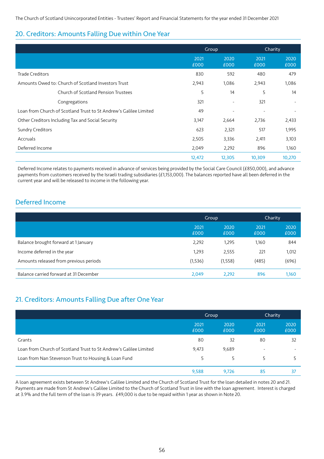### 20. Creditors: Amounts Falling Due within One Year

|                                                                   | Group        |                              | Charity      |              |
|-------------------------------------------------------------------|--------------|------------------------------|--------------|--------------|
|                                                                   | 2021<br>£000 | 2020<br>£000                 | 2021<br>£000 | 2020<br>£000 |
| <b>Trade Creditors</b>                                            | 830          | 592                          | 480          | 479          |
| Amounts Owed to: Church of Scotland Investors Trust               | 2,943        | 1,086                        | 2,943        | 1,086        |
| Church of Scotland Pension Trustees                               | 5            | 14                           | 5            | 14           |
| Congregations                                                     | 321          | $\qquad \qquad \blacksquare$ | 321          |              |
| Loan from Church of Scotland Trust to St Andrew's Galilee Limited | 49           |                              |              |              |
| Other Creditors Including Tax and Social Security                 | 3,147        | 2,664                        | 2,736        | 2,433        |
| <b>Sundry Creditors</b>                                           | 623          | 2,321                        | 517          | 1,995        |
| Accruals                                                          | 2,505        | 3,336                        | 2,411        | 3,103        |
| Deferred Income                                                   | 2,049        | 2,292                        | 896          | 1,160        |
|                                                                   | 12,472       | 12,305                       | 10,309       | 10,270       |

Deferred Income relates to payments received in advance of services being provided by the Social Care Council (£850,000), and advance payments from customers received by the Israeli trading subsidiaries (£1,153,000). The balances reported have all been deferred in the current year and will be released to income in the following year.

## Deferred Income

|                                        |              | Group        |              | <b>Charity</b> |
|----------------------------------------|--------------|--------------|--------------|----------------|
|                                        | 2021<br>£000 | 2020<br>£000 | 2021<br>£000 | 2020<br>£000   |
| Balance brought forward at 1 January   | 2,292        | 1,295        | 1,160        | 844            |
| Income deferred in the year            | 1,293        | 2,555        | 221          | 1,012          |
| Amounts released from previous periods | (1,536)      | (1,558)      | (485)        | (696)          |
| Balance carried forward at 31 December | 2.049        | 2,292        | 896          | 1,160          |

### 21. Creditors: Amounts Falling Due after One Year

|                                                                   | Group        |              | Charity                  |              |
|-------------------------------------------------------------------|--------------|--------------|--------------------------|--------------|
|                                                                   | 2021<br>£000 | 2020<br>£000 | 2021<br>£000             | 2020<br>£000 |
| Grants                                                            | 80           | 32           | 80                       | 32           |
| Loan from Church of Scotland Trust to St Andrew's Galilee Limited | 9,473        | 9,689        | $\overline{\phantom{0}}$ |              |
| Loan from Nan Stevenson Trust to Housing & Loan Fund              | 5            |              |                          |              |
|                                                                   | 9,588        | 9.726        | 85                       | 37           |

A loan agreement exists between St Andrew's Galilee Limited and the Church of Scotland Trust for the loan detailed in notes 20 and 21. Payments are made from St Andrew's Galilee Limited to the Church of Scotland Trust in line with the loan agreement. Interest is charged at 3.9% and the full term of the loan is 39 years. £49,000 is due to be repaid within 1 year as shown in Note 20.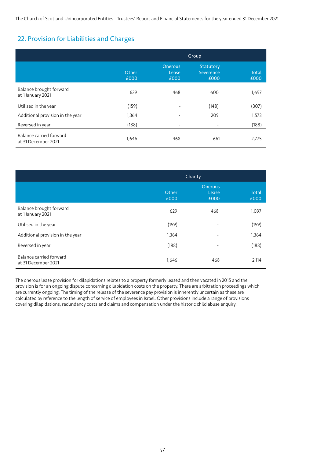### 22. Provision for Liabilities and Charges

|                                                | Group         |                                 |                                       |                      |
|------------------------------------------------|---------------|---------------------------------|---------------------------------------|----------------------|
|                                                | Other<br>£000 | <b>Onerous</b><br>Lease<br>£000 | <b>Statutory</b><br>Severence<br>£000 | <b>Total</b><br>£000 |
| Balance brought forward<br>at 1 January 2021   | 629           | 468                             | 600                                   | 1,697                |
| Utilised in the year                           | (159)         |                                 | (148)                                 | (307)                |
| Additional provision in the year               | 1,364         |                                 | 209                                   | 1,573                |
| Reversed in year                               | (188)         | $\overline{\phantom{a}}$        | $\overline{\phantom{a}}$              | (188)                |
| Balance carried forward<br>at 31 December 2021 | 1,646         | 468                             | 661                                   | 2,775                |

|                                                | Charity       |                                 |                      |  |  |  |
|------------------------------------------------|---------------|---------------------------------|----------------------|--|--|--|
|                                                | Other<br>£000 | <b>Onerous</b><br>Lease<br>£000 | <b>Total</b><br>£000 |  |  |  |
| Balance brought forward<br>at 1 January 2021   | 629           | 468                             | 1,097                |  |  |  |
| Utilised in the year                           | (159)         | $\qquad \qquad \blacksquare$    | (159)                |  |  |  |
| Additional provision in the year               | 1,364         | $\overline{\phantom{0}}$        | 1,364                |  |  |  |
| Reversed in year                               | (188)         | $\blacksquare$                  | (188)                |  |  |  |
| Balance carried forward<br>at 31 December 2021 | 1,646         | 468                             | 2,114                |  |  |  |

The onerous lease provision for dilapidations relates to a property formerly leased and then vacated in 2015 and the provision is for an ongoing dispute concerning dilapidation costs on the property. There are arbitration proceedings which are currently ongoing. The timing of the release of the severence pay provision is inherently uncertain as these are calculated by reference to the length of service of employees in Israel. Other provisions include a range of provisions covering dilapidations, redundancy costs and claims and compensation under the historic child abuse enquiry.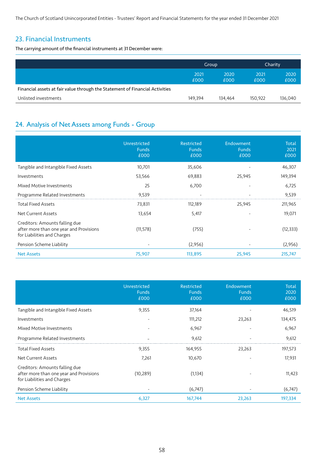### 23. Financial Instruments

The carrying amount of the financial instruments at 31 December were:

|                                                                              | Group        |              | Charity      |              |
|------------------------------------------------------------------------------|--------------|--------------|--------------|--------------|
|                                                                              | 2021<br>£000 | 2020<br>£000 | 2021<br>£000 | 2020<br>£000 |
| Financial assets at fair value through the Statement of Financial Activities |              |              |              |              |
| Unlisted investments                                                         | 149.394      | 134.464      | 150.922      | 136,040      |

### 24. Analysis of Net Assets among Funds - Group

|                                                                                                          | Unrestricted<br><b>Funds</b><br>£000 | <b>Restricted</b><br><b>Funds</b><br>£000 | Endowment<br><b>Funds</b><br>£000 | <b>Total</b><br>2021<br>£000 |
|----------------------------------------------------------------------------------------------------------|--------------------------------------|-------------------------------------------|-----------------------------------|------------------------------|
| Tangible and Intangible Fixed Assets                                                                     | 10,701                               | 35,606                                    |                                   | 46,307                       |
| Investments                                                                                              | 53,566                               | 69,883                                    | 25,945                            | 149,394                      |
| Mixed Motive Investments                                                                                 | 25                                   | 6,700                                     |                                   | 6,725                        |
| Programme Related Investments                                                                            | 9,539                                |                                           |                                   | 9,539                        |
| <b>Total Fixed Assets</b>                                                                                | 73,831                               | 112,189                                   | 25,945                            | 211,965                      |
| Net Current Assets                                                                                       | 13,654                               | 5,417                                     |                                   | 19,071                       |
| Creditors: Amounts falling due<br>after more than one year and Provisions<br>for Liabilities and Charges | (11, 578)                            | (755)                                     |                                   | (12, 333)                    |
| Pension Scheme Liability                                                                                 |                                      | (2,956)                                   |                                   | (2,956)                      |
| <b>Net Assets</b>                                                                                        | 75,907                               | 113,895                                   | 25,945                            | 215,747                      |

|                                                                                                          | Unrestricted<br><b>Funds</b><br>£000 | Restricted<br><b>Funds</b><br>£000 | Endowment<br><b>Funds</b><br>£000 | <b>Total</b><br>2020<br>£000 |
|----------------------------------------------------------------------------------------------------------|--------------------------------------|------------------------------------|-----------------------------------|------------------------------|
| Tangible and Intangible Fixed Assets                                                                     | 9,355                                | 37,164                             |                                   | 46,519                       |
| Investments                                                                                              |                                      | 111,212                            | 23,263                            | 134,475                      |
| Mixed Motive Investments                                                                                 |                                      | 6,967                              |                                   | 6,967                        |
| Programme Related Investments                                                                            |                                      | 9,612                              |                                   | 9,612                        |
| <b>Total Fixed Assets</b>                                                                                | 9,355                                | 164,955                            | 23,263                            | 197,573                      |
| Net Current Assets                                                                                       | 7,261                                | 10,670                             |                                   | 17,931                       |
| Creditors: Amounts falling due<br>after more than one year and Provisions<br>for Liabilities and Charges | (10, 289)                            | (1, 134)                           |                                   | 11,423                       |
| Pension Scheme Liability                                                                                 |                                      | (6, 747)                           |                                   | (6, 747)                     |
| <b>Net Assets</b>                                                                                        | 6,327                                | 167,744                            | 23,263                            | 197,334                      |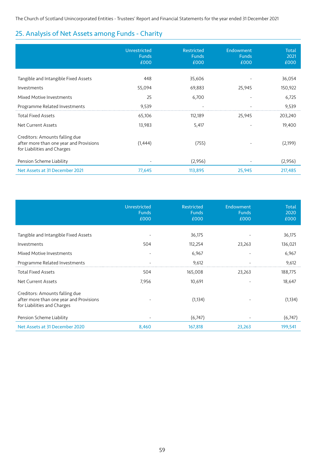# 25. Analysis of Net Assets among Funds - Charity

|                                                                                                          | Unrestricted<br><b>Funds</b><br>£000 | Restricted<br><b>Funds</b><br>£000 | Endowment<br><b>Funds</b><br>£000 | <b>Total</b><br>2021<br>£000 |
|----------------------------------------------------------------------------------------------------------|--------------------------------------|------------------------------------|-----------------------------------|------------------------------|
| Tangible and Intangible Fixed Assets                                                                     | 448                                  | 35,606                             |                                   | 36,054                       |
| Investments                                                                                              | 55,094                               | 69,883                             | 25,945                            | 150,922                      |
| Mixed Motive Investments                                                                                 | 25                                   | 6,700                              |                                   | 6,725                        |
| Programme Related Investments                                                                            | 9,539                                | $\overline{\phantom{a}}$           | -                                 | 9,539                        |
| <b>Total Fixed Assets</b>                                                                                | 65,106                               | 112,189                            | 25,945                            | 203,240                      |
| Net Current Assets                                                                                       | 13,983                               | 5,417                              |                                   | 19,400                       |
| Creditors: Amounts falling due<br>after more than one year and Provisions<br>for Liabilities and Charges | (1, 444)                             | (755)                              |                                   | (2,199)                      |
| Pension Scheme Liability                                                                                 |                                      | (2,956)                            |                                   | (2,956)                      |
| Net Assets at 31 December 2021                                                                           | 77,645                               | 113,895                            | 25,945                            | 217,485                      |

|                                                                                                          | Unrestricted<br><b>Funds</b><br>£000 | Restricted<br><b>Funds</b><br>£000 | Endowment<br><b>Funds</b><br>£000 | Total<br>2020<br>£000 |
|----------------------------------------------------------------------------------------------------------|--------------------------------------|------------------------------------|-----------------------------------|-----------------------|
| Tangible and Intangible Fixed Assets                                                                     |                                      | 36,175                             |                                   | 36,175                |
| Investments                                                                                              | 504                                  | 112,254                            | 23,263                            | 136,021               |
| Mixed Motive Investments                                                                                 |                                      | 6,967                              |                                   | 6,967                 |
| Programme Related Investments                                                                            |                                      | 9,612                              |                                   | 9,612                 |
| <b>Total Fixed Assets</b>                                                                                | 504                                  | 165,008                            | 23,263                            | 188,775               |
| Net Current Assets                                                                                       | 7,956                                | 10,691                             |                                   | 18,647                |
| Creditors: Amounts falling due<br>after more than one year and Provisions<br>for Liabilities and Charges |                                      | (1, 134)                           |                                   | (1, 134)              |
| Pension Scheme Liability                                                                                 |                                      | (6, 747)                           |                                   | (6, 747)              |
| Net Assets at 31 December 2020                                                                           | 8,460                                | 167,818                            | 23,263                            | 199,541               |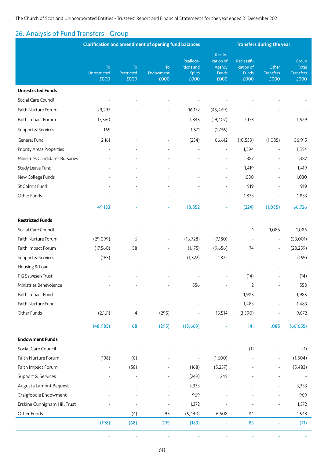## 26. Analysis of Fund Transfers - Group

|                                 | <b>Clarification and amendment of opening fund balances</b> |                          |                          |                                                 |                                                 | <b>Transfers during the year</b>                 |                                   |                                                   |  |
|---------------------------------|-------------------------------------------------------------|--------------------------|--------------------------|-------------------------------------------------|-------------------------------------------------|--------------------------------------------------|-----------------------------------|---------------------------------------------------|--|
|                                 | To<br>Unrestricted<br>£000                                  | To<br>Restricted<br>£000 | To<br>Endowment<br>£000  | Realloca-<br>tions and<br><b>Splits</b><br>£000 | Reallo-<br>cation of<br>Agency<br>Funds<br>£000 | Reclassifi-<br>cation of<br><b>Funds</b><br>£000 | Other<br><b>Transfers</b><br>£000 | Group<br><b>Total</b><br><b>Transfers</b><br>£000 |  |
| <b>Unrestricted Funds</b>       |                                                             |                          |                          |                                                 |                                                 |                                                  |                                   |                                                   |  |
| Social Care Council             |                                                             |                          |                          |                                                 |                                                 |                                                  |                                   |                                                   |  |
| Faith Nurture Forum             | 29,297                                                      |                          |                          | 16,172                                          | (45, 469)                                       |                                                  |                                   |                                                   |  |
| Faith Impact Forum              | 17,560                                                      |                          |                          | 1,343                                           | (19, 407)                                       | 2,133                                            |                                   | 1,629                                             |  |
| Support & Services              | 165                                                         |                          |                          | 1,571                                           | (1,736)                                         |                                                  |                                   |                                                   |  |
| General Fund                    | 2,161                                                       |                          |                          | (234)                                           | 66,612                                          | (10, 539)                                        | (1,085)                           | 56,915                                            |  |
| Priority Areas Properties       |                                                             |                          |                          |                                                 | $\overline{\phantom{a}}$                        | 1,594                                            |                                   | 1,594                                             |  |
| Ministries Candidates Bursaries |                                                             |                          |                          |                                                 | ÷,                                              | 1,387                                            |                                   | 1,387                                             |  |
| Study Leave Fund                |                                                             |                          |                          |                                                 | $\overline{a}$                                  | 1,419                                            |                                   | 1,419                                             |  |
| New College Funds               |                                                             |                          |                          |                                                 | $\overline{\phantom{m}}$                        | 1,030                                            |                                   | 1,030                                             |  |
| St Colm's Fund                  |                                                             |                          |                          |                                                 | ÷,                                              | 919                                              | $\overline{\phantom{a}}$          | 919                                               |  |
| Other Funds                     |                                                             |                          |                          |                                                 | $\qquad \qquad \blacksquare$                    | 1,833                                            |                                   | 1,833                                             |  |
|                                 | 49,183                                                      |                          |                          | 18,852                                          |                                                 | (224)                                            | (1,085)                           | 66,726                                            |  |
| <b>Restricted Funds</b>         |                                                             |                          |                          |                                                 |                                                 |                                                  |                                   |                                                   |  |
| Social Care Council             |                                                             |                          |                          |                                                 |                                                 | 1                                                | 1,085                             | 1,086                                             |  |
| Faith Nurture Forum             | (29,099)                                                    | 6                        |                          | (16, 728)                                       | (7,180)                                         |                                                  | $\overline{\phantom{a}}$          | (53,001)                                          |  |
| Faith Impact Forum              | (17, 560)                                                   | 58                       | $\overline{\phantom{a}}$ | (1, 175)                                        | (9,656)                                         | 74                                               | $\overline{\phantom{a}}$          | (28, 259)                                         |  |
| Support & Services              | (165)                                                       |                          |                          | (1, 322)                                        | 1,322                                           |                                                  |                                   | (165)                                             |  |
| Housing & Loan                  |                                                             |                          |                          |                                                 |                                                 |                                                  |                                   |                                                   |  |
| F G Salvesen Trust              |                                                             |                          |                          |                                                 |                                                 | (14)                                             |                                   | (14)                                              |  |
| Ministries Benevolence          |                                                             |                          |                          | 556                                             |                                                 | 2                                                |                                   | 558                                               |  |
| Faith Impact Fund               |                                                             |                          |                          |                                                 | $\overline{\phantom{a}}$                        | 1,985                                            | $\overline{\phantom{a}}$          | 1,985                                             |  |
| Faith Nurture Fund              |                                                             |                          |                          |                                                 | $\overline{\phantom{0}}$                        | 1,483                                            |                                   | 1,483                                             |  |
| Other Funds                     | (2,161)                                                     | 4                        | (295)                    | $\overline{\phantom{0}}$                        | 15,514                                          | (3,390)                                          |                                   | 9,672                                             |  |
|                                 | (48, 985)                                                   | 68                       | (295)                    | (18, 669)                                       |                                                 | 141                                              | 1,085                             | (66, 655)                                         |  |
| <b>Endowment Funds</b>          |                                                             |                          |                          |                                                 |                                                 |                                                  |                                   |                                                   |  |
| Social Care Council             |                                                             |                          |                          |                                                 |                                                 | (1)                                              |                                   | (1)                                               |  |
| Faith Nurture Forum             | (198)                                                       | (6)                      |                          |                                                 | (1,600)                                         |                                                  |                                   | (1,804)                                           |  |
| Faith Impact Forum              |                                                             | (58)                     |                          | (168)                                           | (5,257)                                         |                                                  |                                   | (5, 483)                                          |  |
| Support & Services              |                                                             |                          |                          | (249)                                           | 249                                             |                                                  |                                   |                                                   |  |
| Augusta Lamont Bequest          |                                                             |                          |                          | 3,333                                           |                                                 |                                                  | $\overline{\phantom{a}}$          | 3,333                                             |  |
| Craigfoodie Endowment           |                                                             |                          |                          | 969                                             |                                                 |                                                  |                                   | 969                                               |  |
| Erskine Cunnigham Hill Trust    |                                                             |                          |                          | 1,372                                           |                                                 |                                                  |                                   | 1,372                                             |  |
| Other Funds                     |                                                             | (4)                      | 295                      | (5,440)                                         | 6,608                                           | 84                                               |                                   | 1,543                                             |  |
|                                 | (198)                                                       | (68)                     | 295                      | (183)                                           |                                                 | 83                                               |                                   | (71)                                              |  |
|                                 |                                                             |                          |                          |                                                 |                                                 |                                                  |                                   |                                                   |  |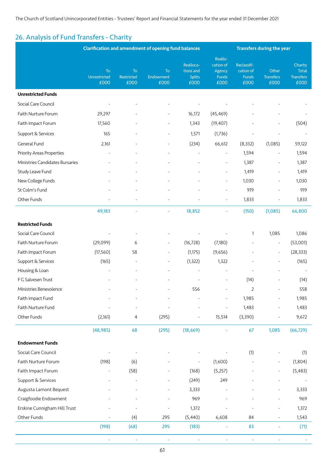# 26. Analysis of Fund Transfers - Charity

|                                 | <b>Clarification and amendment of opening fund balances</b><br><b>Transfers during the year</b> |                          |                         |                                                 |                                                 |                                           |                                   |                                                     |
|---------------------------------|-------------------------------------------------------------------------------------------------|--------------------------|-------------------------|-------------------------------------------------|-------------------------------------------------|-------------------------------------------|-----------------------------------|-----------------------------------------------------|
|                                 | To<br>Unrestricted<br>£000                                                                      | To<br>Restricted<br>£000 | To<br>Endowment<br>£000 | Realloca-<br>tions and<br><b>Splits</b><br>£000 | Reallo-<br>cation of<br>Agency<br>Funds<br>£000 | Reclassifi-<br>cation of<br>Funds<br>£000 | Other<br><b>Transfers</b><br>£000 | Charity<br><b>Total</b><br><b>Transfers</b><br>£000 |
| <b>Unrestricted Funds</b>       |                                                                                                 |                          |                         |                                                 |                                                 |                                           |                                   |                                                     |
| Social Care Council             |                                                                                                 |                          |                         |                                                 |                                                 |                                           |                                   |                                                     |
| Faith Nurture Forum             | 29,297                                                                                          |                          |                         | 16,172                                          | (45, 469)                                       |                                           |                                   |                                                     |
| Faith Impact Forum              | 17,560                                                                                          |                          |                         | 1,343                                           | (19, 407)                                       |                                           |                                   | (504)                                               |
| Support & Services              | 165                                                                                             |                          |                         | 1,571                                           | (1,736)                                         |                                           |                                   |                                                     |
| General Fund                    | 2,161                                                                                           |                          |                         | (234)                                           | 66,612                                          | (8, 332)                                  | (1,085)                           | 59,122                                              |
| Priority Areas Properties       |                                                                                                 |                          |                         |                                                 | ÷,                                              | 1,594                                     |                                   | 1,594                                               |
| Ministries Candidates Bursaries |                                                                                                 |                          |                         |                                                 | $\overline{a}$                                  | 1,387                                     | $\overline{\phantom{a}}$          | 1,387                                               |
| Study Leave Fund                |                                                                                                 |                          |                         |                                                 | ÷,                                              | 1,419                                     |                                   | 1,419                                               |
| New College Funds               |                                                                                                 |                          |                         |                                                 | ÷,                                              | 1,030                                     |                                   | 1,030                                               |
| St Colm's Fund                  |                                                                                                 |                          |                         |                                                 |                                                 | 919                                       |                                   | 919                                                 |
| Other Funds                     |                                                                                                 |                          |                         |                                                 | $\overline{\phantom{0}}$                        | 1,833                                     |                                   | 1,833                                               |
|                                 | 49,183                                                                                          |                          |                         | 18,852                                          | ÷,                                              | (150)                                     | (1,085)                           | 66,800                                              |
| <b>Restricted Funds</b>         |                                                                                                 |                          |                         |                                                 |                                                 |                                           |                                   |                                                     |
| Social Care Council             |                                                                                                 |                          |                         |                                                 |                                                 | 1                                         | 1,085                             | 1,086                                               |
| Faith Nurture Forum             | (29,099)                                                                                        | 6                        |                         | (16, 728)                                       | (7,180)                                         |                                           | $\overline{\phantom{a}}$          | (53,001)                                            |
| Faith Impact Forum              | (17, 560)                                                                                       | 58                       |                         | (1, 175)                                        | (9,656)                                         |                                           | $\overline{\phantom{a}}$          | (28, 333)                                           |
| Support & Services              | (165)                                                                                           | $\overline{\phantom{a}}$ |                         | (1, 322)                                        | 1,322                                           |                                           |                                   | (165)                                               |
| Housing & Loan                  |                                                                                                 |                          |                         |                                                 |                                                 |                                           |                                   |                                                     |
| F G Salvesen Trust              |                                                                                                 |                          |                         |                                                 |                                                 | (14)                                      |                                   | (14)                                                |
| Ministries Benevolence          |                                                                                                 |                          |                         | 556                                             |                                                 | 2                                         |                                   | 558                                                 |
| Faith Impact Fund               |                                                                                                 |                          |                         |                                                 |                                                 | 1,985                                     |                                   | 1,985                                               |
| Faith Nurture Fund              |                                                                                                 |                          |                         |                                                 |                                                 | 1,483                                     |                                   | 1,483                                               |
| Other Funds                     | (2,161)                                                                                         | 4                        | (295)                   | $\overline{\phantom{0}}$                        | 15,514                                          | (3,390)                                   |                                   | 9,672                                               |
|                                 | (48, 985)                                                                                       | 68                       | (295)                   | (18, 669)                                       |                                                 | 67                                        | 1,085                             | (66, 729)                                           |
| <b>Endowment Funds</b>          |                                                                                                 |                          |                         |                                                 |                                                 |                                           |                                   |                                                     |
| Social Care Council             |                                                                                                 |                          |                         |                                                 |                                                 | (1)                                       |                                   | (1)                                                 |
| Faith Nurture Forum             | (198)                                                                                           | (6)                      |                         | $\qquad \qquad \blacksquare$                    | (1,600)                                         |                                           | $\overline{\phantom{a}}$          | (1,804)                                             |
| Faith Impact Forum              |                                                                                                 | (58)                     |                         | (168)                                           | (5,257)                                         |                                           |                                   | (5, 483)                                            |
| Support & Services              |                                                                                                 |                          |                         | (249)                                           | 249                                             |                                           |                                   |                                                     |
| Augusta Lamont Bequest          |                                                                                                 |                          |                         | 3,333                                           |                                                 |                                           |                                   | 3,333                                               |
| Craigfoodie Endowment           |                                                                                                 |                          |                         | 969                                             |                                                 |                                           |                                   | 969                                                 |
| Erskine Cunnigham Hill Trust    |                                                                                                 |                          |                         | 1,372                                           |                                                 |                                           |                                   | 1,372                                               |
| Other Funds                     |                                                                                                 | (4)                      | 295                     | (5, 440)                                        | 6,608                                           | 84                                        |                                   | 1,543                                               |
|                                 | (198)                                                                                           | (68)                     | 295                     | (183)                                           |                                                 | 83                                        |                                   | (71)                                                |
|                                 |                                                                                                 |                          |                         |                                                 |                                                 |                                           |                                   |                                                     |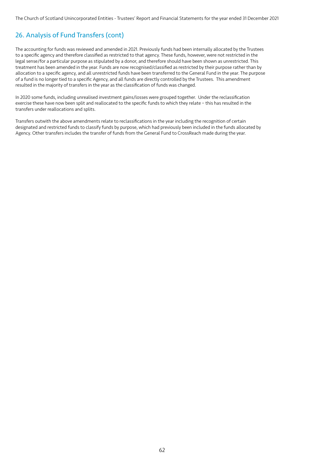## 26. Analysis of Fund Transfers (cont)

The accounting for funds was reviewed and amended in 2021. Previously funds had been internally allocated by the Trustees to a specific agency and therefore classified as restricted to that agency. These funds, however, were not restricted in the legal sense/for a particular purpose as stipulated by a donor, and therefore should have been shown as unrestricted. This treatment has been amended in the year. Funds are now recognised/classified as restricted by their purpose rather than by allocation to a specific agency, and all unrestricted funds have been transferred to the General Fund in the year. The purpose of a fund is no longer tied to a specific Agency, and all funds are directly controlled by the Trustees. This amendment resulted in the majority of transfers in the year as the classification of funds was changed.

In 2020 some funds, including unrealised investment gains/losses were grouped together. Under the reclassification exercise these have now been split and reallocated to the specific funds to which they relate – this has resulted in the transfers under reallocations and splits.

Transfers outwith the above amendments relate to reclassifications in the year including the recognition of certain designated and restricted funds to classify funds by purpose, which had previously been included in the funds allocated by Agency. Other transfers includes the transfer of funds from the General Fund to CrossReach made during the year.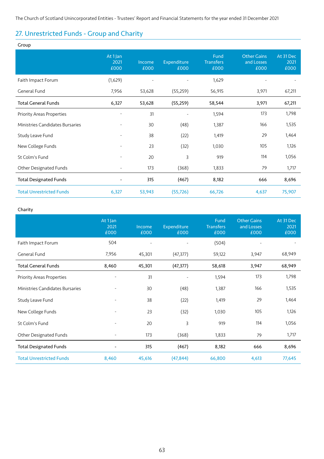## 27. Unrestricted Funds - Group and Charity

| Group                           |                          |                |                     |                                  |                                          |                           |
|---------------------------------|--------------------------|----------------|---------------------|----------------------------------|------------------------------------------|---------------------------|
|                                 | At 1 Jan<br>2021<br>£000 | Income<br>£000 | Expenditure<br>£000 | Fund<br><b>Transfers</b><br>£000 | <b>Other Gains</b><br>and Losses<br>£000 | At 31 Dec<br>2021<br>£000 |
| Faith Impact Forum              | (1,629)                  |                |                     | 1,629                            |                                          |                           |
| General Fund                    | 7,956                    | 53,628         | (55,259)            | 56,915                           | 3,971                                    | 67,211                    |
| <b>Total General Funds</b>      | 6,327                    | 53,628         | (55,259)            | 58,544                           | 3,971                                    | 67,211                    |
| Priority Areas Properties       |                          | 31             |                     | 1,594                            | 173                                      | 1,798                     |
| Ministries Candidates Bursaries |                          | 30             | (48)                | 1,387                            | 166                                      | 1,535                     |
| Study Leave Fund                |                          | 38             | (22)                | 1,419                            | 29                                       | 1,464                     |
| New College Funds               | $\overline{\phantom{a}}$ | 23             | (32)                | 1,030                            | 105                                      | 1,126                     |
| St Colm's Fund                  |                          | 20             | 3                   | 919                              | 114                                      | 1,056                     |
| Other Designated Funds          | $\overline{\phantom{0}}$ | 173            | (368)               | 1,833                            | 79                                       | 1,717                     |
| <b>Total Designated Funds</b>   |                          | 315            | (467)               | 8,182                            | 666                                      | 8,696                     |
| <b>Total Unrestricted Funds</b> | 6,327                    | 53,943         | (55, 726)           | 66,726                           | 4,637                                    | 75,907                    |

### Charity

|                                 | At 1 Jan<br>2021<br>£000 | Income<br>£000 | Expenditure<br>£000 | Fund<br><b>Transfers</b><br>£000 | <b>Other Gains</b><br>and Losses<br>£000 | At 31 Dec<br>2021<br>£000 |
|---------------------------------|--------------------------|----------------|---------------------|----------------------------------|------------------------------------------|---------------------------|
| Faith Impact Forum              | 504                      |                |                     | (504)                            |                                          |                           |
| General Fund                    | 7,956                    | 45,301         | (47, 377)           | 59,122                           | 3,947                                    | 68,949                    |
| <b>Total General Funds</b>      | 8,460                    | 45,301         | (47, 377)           | 58,618                           | 3,947                                    | 68,949                    |
| Priority Areas Properties       | $\overline{a}$           | 31             |                     | 1,594                            | 173                                      | 1,798                     |
| Ministries Candidates Bursaries |                          | 30             | (48)                | 1,387                            | 166                                      | 1,535                     |
| Study Leave Fund                |                          | 38             | (22)                | 1,419                            | 29                                       | 1,464                     |
| New College Funds               |                          | 23             | (32)                | 1,030                            | 105                                      | 1,126                     |
| St Colm's Fund                  |                          | 20             | 3                   | 919                              | 114                                      | 1,056                     |
| Other Designated Funds          |                          | 173            | (368)               | 1,833                            | 79                                       | 1,717                     |
| <b>Total Designated Funds</b>   |                          | 315            | (467)               | 8,182                            | 666                                      | 8,696                     |
| <b>Total Unrestricted Funds</b> | 8,460                    | 45,616         | (47, 844)           | 66,800                           | 4,613                                    | 77,645                    |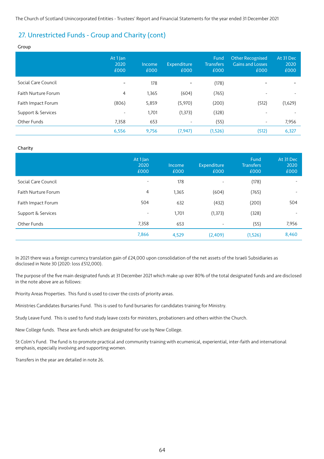## 27. Unrestricted Funds - Group and Charity (cont)

Group

|                     | At 1 Jan<br>2020<br>£000 | Income<br>£000 | Expenditure<br>£000      | <b>Fund</b><br><b>Transfers</b><br>£000 | Other Recognised<br><b>Gains and Losses</b><br>£000 | At 31 Dec<br>2020<br>£000 |
|---------------------|--------------------------|----------------|--------------------------|-----------------------------------------|-----------------------------------------------------|---------------------------|
| Social Care Council | $\overline{\phantom{a}}$ | 178            | -                        | (178)                                   |                                                     |                           |
| Faith Nurture Forum | 4                        | 1,365          | (604)                    | (765)                                   |                                                     |                           |
| Faith Impact Forum  | (806)                    | 5,859          | (5,970)                  | (200)                                   | (512)                                               | (1,629)                   |
| Support & Services  | $\overline{\phantom{a}}$ | 1,701          | (1, 373)                 | (328)                                   |                                                     |                           |
| Other Funds         | 7,358                    | 653            | $\overline{\phantom{a}}$ | (55)                                    | ۰.                                                  | 7,956                     |
|                     | 6,556                    | 9,756          | (7,947)                  | (1,526)                                 | (512)                                               | 6,327                     |

#### Charity

|                     | At 1 Jan<br>2020<br>£000 | Income<br>£000 | Expenditure<br>£000      | Fund<br><b>Transfers</b><br>£000 | At 31 Dec<br>2020<br>£000 |
|---------------------|--------------------------|----------------|--------------------------|----------------------------------|---------------------------|
| Social Care Council | $\overline{\phantom{a}}$ | 178            | $\overline{\phantom{a}}$ | (178)                            | $\overline{\phantom{a}}$  |
| Faith Nurture Forum | 4                        | 1,365          | (604)                    | (765)                            | $\overline{\phantom{a}}$  |
| Faith Impact Forum  | 504                      | 632            | (432)                    | (200)                            | 504                       |
| Support & Services  | $\overline{\phantom{a}}$ | 1,701          | (1, 373)                 | (328)                            | $\overline{\phantom{a}}$  |
| Other Funds         | 7,358                    | 653            | $\overline{\phantom{a}}$ | (55)                             | 7,956                     |
|                     | 7,866                    | 4,529          | (2,409)                  | (1,526)                          | 8,460                     |

In 2021 there was a foreign currency translation gain of  $E24,000$  upon consolidation of the net assets of the Israeli Subsidiaries as disclosed in Note 30 (2020: loss £512,000).

The purpose of the five main designated funds at 31 December 2021 which make up over 80% of the total designated funds and are disclosed in the note above are as follows:

Priority Areas Properties. This fund is used to cover the costs of priority areas.

Ministries Candidates Bursaries Fund. This is used to fund bursaries for candidates training for Ministry.

Study Leave Fund. This is used to fund study leave costs for ministers, probationers and others within the Church.

New College funds. These are funds which are designated for use by New College.

St Colm's Fund. The fund is to promote practical and community training with ecumenical, experiential, inter-faith and international emphasis, especially involving and supporting women.

Transfers in the year are detailed in note 26.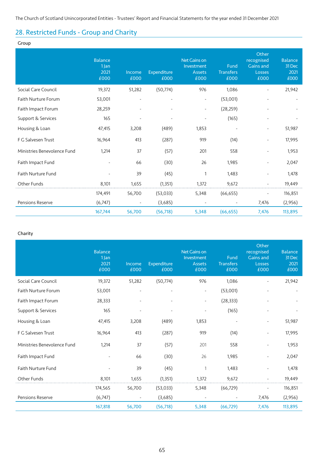## 28. Restricted Funds - Group and Charity

### Group

|                             | <b>Balance</b><br>1 Jan<br>2021<br>£000 | Income<br>£000           | Expenditure<br>£000      | Net Gains on<br>Investment<br><b>Assets</b><br>£000 | Fund<br><b>Transfers</b><br>£000 | Other<br>recognised<br><b>Gains and</b><br>Losses<br>£000 | <b>Balance</b><br>31 Dec<br>2021<br>£000 |
|-----------------------------|-----------------------------------------|--------------------------|--------------------------|-----------------------------------------------------|----------------------------------|-----------------------------------------------------------|------------------------------------------|
| Social Care Council         | 19,372                                  | 51,282                   | (50, 774)                | 976                                                 | 1,086                            |                                                           | 21,942                                   |
| Faith Nurture Forum         | 53,001                                  | $\overline{\phantom{a}}$ | $\overline{\phantom{a}}$ | $\overline{\phantom{a}}$                            | (53,001)                         |                                                           | $\overline{\phantom{a}}$                 |
| Faith Impact Forum          | 28,259                                  |                          |                          | $\overline{\phantom{a}}$                            | (28, 259)                        |                                                           |                                          |
| Support & Services          | 165                                     |                          |                          |                                                     | (165)                            |                                                           |                                          |
| Housing & Loan              | 47,415                                  | 3,208                    | (489)                    | 1,853                                               | $\overline{\phantom{a}}$         | $\overline{\phantom{a}}$                                  | 51,987                                   |
| F G Salvesen Trust          | 16,964                                  | 413                      | (287)                    | 919                                                 | (14)                             | $\overline{\phantom{a}}$                                  | 17,995                                   |
| Ministries Benevolence Fund | 1,214                                   | 37                       | (57)                     | 201                                                 | 558                              |                                                           | 1,953                                    |
| Faith Impact Fund           |                                         | 66                       | (30)                     | 26                                                  | 1,985                            |                                                           | 2,047                                    |
| Faith Nurture Fund          | $\overline{\phantom{a}}$                | 39                       | (45)                     | 1                                                   | 1,483                            |                                                           | 1,478                                    |
| Other Funds                 | 8,101                                   | 1,655                    | (1, 351)                 | 1,372                                               | 9,672                            |                                                           | 19,449                                   |
|                             | 174,491                                 | 56,700                   | (53,033)                 | 5,348                                               | (66, 655)                        |                                                           | 116,851                                  |
| Pensions Reserve            | (6,747)                                 |                          | (3,685)                  |                                                     |                                  | 7,476                                                     | (2,956)                                  |
|                             | 167,744                                 | 56,700                   | (56, 718)                | 5,348                                               | (66, 655)                        | 7,476                                                     | 113,895                                  |

### Charity

|                             | <b>Balance</b><br>1 Jan<br>2021<br>£000 | Income<br>£000           | Expenditure<br>£000      | Net Gains on<br>Investment<br><b>Assets</b><br>£000 | Fund<br><b>Transfers</b><br>£000 | Other<br>recognised<br><b>Gains and</b><br><b>Losses</b><br>£000 | <b>Balance</b><br>31 Dec<br>2021<br>£000 |
|-----------------------------|-----------------------------------------|--------------------------|--------------------------|-----------------------------------------------------|----------------------------------|------------------------------------------------------------------|------------------------------------------|
| Social Care Council         | 19,372                                  | 51,282                   | (50, 774)                | 976                                                 | 1,086                            |                                                                  | 21,942                                   |
| Faith Nurture Forum         | 53,001                                  | $\overline{\phantom{a}}$ | $\overline{\phantom{a}}$ | $\overline{\phantom{a}}$                            | (53,001)                         |                                                                  |                                          |
| Faith Impact Forum          | 28,333                                  | $\overline{\phantom{a}}$ | $\overline{\phantom{a}}$ | $\overline{\phantom{a}}$                            | (28, 333)                        |                                                                  |                                          |
| Support & Services          | 165                                     | $\overline{\phantom{a}}$ |                          |                                                     | (165)                            |                                                                  |                                          |
| Housing & Loan              | 47,415                                  | 3,208                    | (489)                    | 1,853                                               |                                  |                                                                  | 51,987                                   |
| F G Salvesen Trust          | 16,964                                  | 413                      | (287)                    | 919                                                 | (14)                             |                                                                  | 17,995                                   |
| Ministries Benevolence Fund | 1,214                                   | 37                       | (57)                     | 201                                                 | 558                              |                                                                  | 1,953                                    |
| Faith Impact Fund           | $\overline{\phantom{a}}$                | 66                       | (30)                     | 26                                                  | 1,985                            |                                                                  | 2,047                                    |
| Faith Nurture Fund          | $\overline{\phantom{m}}$                | 39                       | (45)                     | 1                                                   | 1,483                            |                                                                  | 1,478                                    |
| Other Funds                 | 8,101                                   | 1,655                    | (1, 351)                 | 1,372                                               | 9,672                            |                                                                  | 19,449                                   |
|                             | 174,565                                 | 56,700                   | (53, 033)                | 5,348                                               | (66, 729)                        |                                                                  | 116,851                                  |
| Pensions Reserve            | (6, 747)                                | $\overline{\phantom{a}}$ | (3,685)                  | $\overline{\phantom{a}}$                            | $\overline{\phantom{a}}$         | 7,476                                                            | (2,956)                                  |
|                             | 167,818                                 | 56,700                   | (56, 718)                | 5,348                                               | (66,729)                         | 7,476                                                            | 113,895                                  |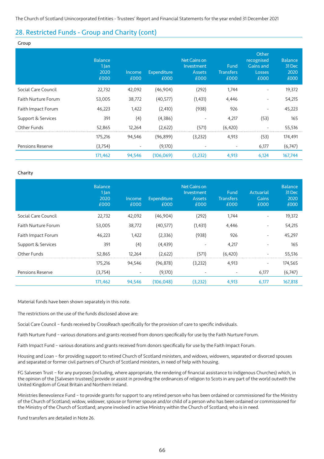### 28. Restricted Funds - Group and Charity (cont)

Group

|                     | <b>Balance</b><br>1 Jan<br>2020<br>£000 | Income<br>£000           | Expenditure<br>£000 | <b>Net Gains on</b><br>Investment<br><b>Assets</b><br>£000 | Fund<br><b>Transfers</b><br>£000 | Other<br>recognised<br>Gains and<br>Losses<br>£000 | <b>Balance</b><br>31 Dec<br>2020<br>£000 |
|---------------------|-----------------------------------------|--------------------------|---------------------|------------------------------------------------------------|----------------------------------|----------------------------------------------------|------------------------------------------|
| Social Care Council | 22,732                                  | 42,092                   | (46,904)            | (292)                                                      | 1,744                            |                                                    | 19,372                                   |
| Faith Nurture Forum | 53,005                                  | 38,772                   | (40, 577)           | (1, 431)                                                   | 4,446                            | $\overline{\phantom{0}}$                           | 54,215                                   |
| Faith Impact Forum  | 46,223                                  | 1,422                    | (2, 410)            | (938)                                                      | 926                              | -                                                  | 45,223                                   |
| Support & Services  | 391                                     | (4)                      | (4,386)             |                                                            | 4,217                            | (53)                                               | 165                                      |
| Other Funds         | 52,865                                  | 12,264                   | (2,622)             | (571)                                                      | (6, 420)                         |                                                    | 55,516                                   |
|                     | 175,216                                 | 94,546                   | (96, 899)           | (3,232)                                                    | 4,913                            | (53)                                               | 174,491                                  |
| Pensions Reserve    | (3,754)                                 | $\overline{\phantom{a}}$ | (9,170)             |                                                            |                                  | 6,177                                              | (6,747)                                  |
|                     | 171,462                                 | 94,546                   | (106, 069)          | (3,232)                                                    | 4,913                            | 6,124                                              | 167,744                                  |

#### Charity

|                     | <b>Balance</b><br>1 Jan<br>2020<br>£000 | Income<br>£000 | Expenditure<br>£000 | <b>Net Gains on</b><br>Investment<br><b>Assets</b><br>£000 | Fund<br><b>Transfers</b><br>£000 | Actuarial<br>Gains<br>£000 | <b>Balance</b><br>31 Dec<br>2020<br>£000 |
|---------------------|-----------------------------------------|----------------|---------------------|------------------------------------------------------------|----------------------------------|----------------------------|------------------------------------------|
| Social Care Council | 22,732                                  | 42,092         | (46,904)            | (292)                                                      | 1,744                            |                            | 19,372                                   |
| Faith Nurture Forum | 53,005                                  | 38,772         | (40, 577)           | (1, 431)                                                   | 4,446                            |                            | 54,215                                   |
| Faith Impact Forum  | 46,223                                  | 1,422          | (2, 336)            | (938)                                                      | 926                              | -                          | 45,297                                   |
| Support & Services  | 391                                     | (4)            | (4, 439)            |                                                            | 4,217                            |                            | 165                                      |
| Other Funds         | 52,865                                  | 12,264         | (2,622)             | (571)                                                      | (6, 420)                         |                            | 55,516                                   |
|                     | 175,216                                 | 94,546         | (96, 878)           | (3,232)                                                    | 4,913                            | $\overline{\phantom{0}}$   | 174,565                                  |
| Pensions Reserve    | (3,754)                                 | -              | (9,170)             |                                                            |                                  | 6,177                      | (6,747)                                  |
|                     | 171,462                                 | 94,546         | (106, 048)          | (3,232)                                                    | 4,913                            | 6,177                      | 167,818                                  |

Material funds have been shown separately in this note.

The restrictions on the use of the funds disclosed above are:

Social Care Council – funds received by CrossReach specifically for the provision of care to specific individuals.

Faith Nurture Fund – various donations and grants received from donors specifically for use by the Faith Nurture Forum.

Faith Impact Fund – various donations and grants received from donors specifically for use by the Faith Impact Forum.

Housing and Loan – for providing support to retired Church of Scotland ministers, and widows, widowers, separated or divorced spouses and separated or former civil partners of Church of Scotland ministers, in need of help with housing.

FG Salvesen Trust – for any purposes (including, where appropriate, the rendering of financial assistance to indigenous Churches) which, in the opinion of the [Salvesen trustees] provide or assist in providing the ordinances of religion to Scots in any part of the world outwith the United Kingdom of Great Britain and Northern Ireland.

Ministries Benevolence Fund – to provide grants for support to any retired person who has been ordained or commissioned for the Ministry of the Church of Scotland; widow, widower, spouse or former spouse and/or child of a person who has been ordained or commissioned for the Ministry of the Church of Scotland; anyone involved in active Ministry within the Church of Scotland; who is in need.

Fund transfers are detailed in Note 26.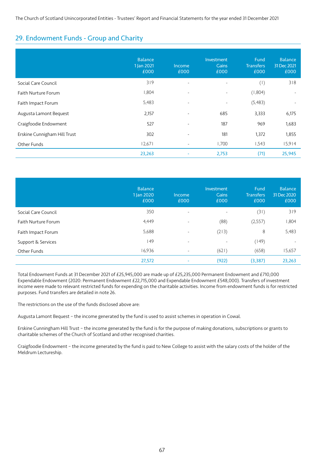### 29. Endowment Funds - Group and Charity

|                              | <b>Balance</b><br>1 Jan 2021<br>£000 | Income<br>£000           | Investment<br>Gains<br>£000 | Fund<br><b>Transfers</b><br>£000 | <b>Balance</b><br>31 Dec 2021<br>£000 |
|------------------------------|--------------------------------------|--------------------------|-----------------------------|----------------------------------|---------------------------------------|
| Social Care Council          | 319                                  | $\overline{\phantom{a}}$ | $\overline{\phantom{a}}$    | (1)                              | 318                                   |
| Faith Nurture Forum          | 1,804                                | $\overline{\phantom{a}}$ | $\overline{\phantom{a}}$    | (1,804)                          | $\overline{\phantom{a}}$              |
| Faith Impact Forum           | 5,483                                | $\overline{\phantom{a}}$ | $\overline{\phantom{a}}$    | (5,483)                          |                                       |
| Augusta Lamont Bequest       | 2,157                                | $\overline{\phantom{a}}$ | 685                         | 3,333                            | 6,175                                 |
| Craigfoodie Endowment        | 527                                  | $\overline{\phantom{0}}$ | 187                         | 969                              | 1,683                                 |
| Erskine Cunnigham Hill Trust | 302                                  | $\overline{\phantom{a}}$ | 181                         | 1,372                            | 1,855                                 |
| Other Funds                  | 12,671                               | $\overline{\phantom{a}}$ | 1,700                       | 1,543                            | 15,914                                |
|                              | 23,263                               | ۰                        | 2,753                       | (71)                             | 25,945                                |

|                     | <b>Balance</b><br>1 Jan 2020<br>£000 | Income<br>£000           | Investment<br>Gains<br>£000 | Fund<br><b>Transfers</b><br>£000 | <b>Balance</b><br>31 Dec 2020<br>£000 |
|---------------------|--------------------------------------|--------------------------|-----------------------------|----------------------------------|---------------------------------------|
| Social Care Council | 350                                  | $\blacksquare$           | $\overline{\phantom{a}}$    | (31)                             | 319                                   |
| Faith Nurture Forum | 4,449                                | $\overline{\phantom{0}}$ | (88)                        | (2,557)                          | 1,804                                 |
| Faith Impact Forum  | 5,688                                | $\overline{\phantom{m}}$ | (213)                       | 8                                | 5,483                                 |
| Support & Services  | 49                                   | $\overline{\phantom{0}}$ | $\overline{\phantom{a}}$    | (149)                            | $\overline{\phantom{a}}$              |
| Other Funds         | 16,936                               | $\overline{\phantom{a}}$ | (621)                       | (658)                            | 15,657                                |
|                     | 27,572                               | $\sim$                   | (922)                       | (3, 387)                         | 23,263                                |

Total Endowment Funds at 31 December 2021 of £25,945,000 are made up of £25,235,000 Permanent Endowment and £710,000 Expendable Endowment (2020: Permanent Endowment £22,715,000 and Expendable Endowment £548,000). Transfers of investment income were made to relevant restricted funds for expending on the charitable activities. Income from endowment funds is for restricted purposes. Fund transfers are detailed in note 26.

The restrictions on the use of the funds disclosed above are:

Augusta Lamont Bequest – the income generated by the fund is used to assist schemes in operation in Cowal.

Erskine Cunningham Hill Trust – the income generated by the fund is for the purpose of making donations, subscriptions or grants to charitable schemes of the Church of Scotland and other recognised charities.

Craigfoodie Endowment – the income generated by the fund is paid to New College to assist with the salary costs of the holder of the Meldrum Lectureship.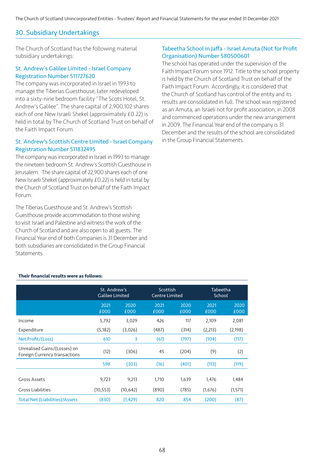### 30. Subsidiary Undertakings

The Church of Scotland has the following material subsidiary undertakings:

### St. Andrew's Galilee Limited - Israel Company Registration Number 511727620

The company was incorporated in Israel in 1993 to manage the Tiberias Guesthouse, later redeveloped into a sixty-nine bedroom facility "The Scots Hotel, St. Andrew's Galilee". The share capital of 2,900,102 shares each of one New Israeli Shekel (approximately £0.22) is held in total by The Church of Scotland Trust on behalf of the Faith Impact Forum.

### St. Andrew's Scottish Centre Limited - Israel Company Registration Number 511832495

The company was incorporated in Israel in 1993 to manage the nineteen bedroom St. Andrew's Scottish Guesthouse in Jerusalem. The share capital of 22,900 shares each of one New Israeli Shekel (approximately £0.22) is held in total by the Church of Scotland Trust on behalf of the Faith Impact Forum.

The Tiberias Guesthouse and St. Andrew's Scottish Guesthouse provide accommodation to those wishing to visit Israel and Palestine and witness the work of the Church of Scotland and are also open to all guests. The Financial Year end of both Companies is 31 December and both subsidiaries are consolidated in the Group Financial Statements.

### Tabeetha School in Jaffa - Israel Amuta (Not for Profit Organisation) Number 580500601

The school has operated under the supervision of the Faith Impact Forum since 1912. Title to the school property is held by the Church of Scotland Trust on behalf of the Faith Impact Forum. Accordingly, it is considered that the Church of Scotland has control of the entity and its results are consolidated in full. The school was registered as an Amuta, an Israeli not for profit association, in 2008 and commenced operations under the new arrangement in 2009. The Financial Year end of the company is 31 December and the results of the school are consolidated in the Group Financial Statements.

|                                                               | St. Andrew's<br><b>Galilee Limited</b> |              |              | Scottish<br><b>Centre Limited</b> |              | Tabeetha<br>School |
|---------------------------------------------------------------|----------------------------------------|--------------|--------------|-----------------------------------|--------------|--------------------|
|                                                               | 2021<br>£000                           | 2020<br>£000 | 2021<br>£000 | 2020<br>£000                      | 2021<br>£000 | 2020<br>£000       |
| Income                                                        | 5,792                                  | 3,029        | 426          | 117                               | 2,109        | 2,081              |
| Expenditure                                                   | (5, 182)                               | (3,026)      | (487)        | (314)                             | (2,213)      | (2,198)            |
| Net Profit/(Loss)                                             | 610                                    | 3            | (61)         | (197)                             | (104)        | (117)              |
| Unrealised Gains/(Losses) on<br>Foreign Currency transactions | (12)                                   | (306)        | 45           | (204)                             | (9)          | (2)                |
|                                                               | 598                                    | (303)        | (16)         | (401)                             | (113)        | (119)              |
|                                                               |                                        |              |              |                                   |              |                    |
| <b>Gross Assets</b>                                           | 9,723                                  | 9,213        | 1,710        | 1,639                             | 1,476        | 1,484              |
| <b>Gross Liabilities</b>                                      | (10, 553)                              | (10, 642)    | (890)        | (785)                             | (1,676)      | (1, 571)           |
| <b>Total Net (Liabilities)/Assets</b>                         | (830)                                  | (1, 429)     | 820          | 854                               | (200)        | (87)               |

### **Their financial results were as follows:**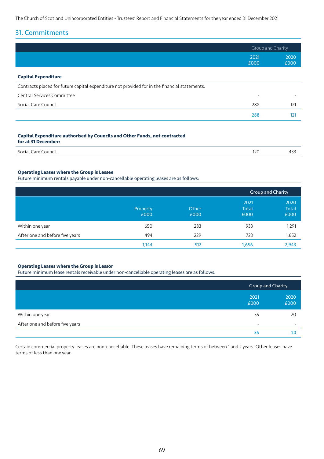### 31. Commitments

|                                                                                               | Group and Charity |              |
|-----------------------------------------------------------------------------------------------|-------------------|--------------|
|                                                                                               | 2021<br>£000      | 2020<br>£000 |
| <b>Capital Expenditure</b>                                                                    |                   |              |
| Contracts placed for future capital expenditure not provided for in the financial statements: |                   |              |
| Central Services Committee                                                                    |                   |              |
| Social Care Council                                                                           | 288               | 121          |
|                                                                                               | 288               | 121          |
|                                                                                               |                   |              |

#### **Capital Expenditure authorised by Councils and Other Funds, not contracted for at 31 December:**

| Social y<br>$\sim$ $\sim$ $\sim$<br>12 <sub>C</sub><br>Council<br>care '<br> |  |  |
|------------------------------------------------------------------------------|--|--|
|                                                                              |  |  |

#### **Operating Leases where the Group is Lessee**

Future minimum rentals payable under non-cancellable operating leases are as follows:

|                                 |                  |               |                              | Group and Charity            |
|---------------------------------|------------------|---------------|------------------------------|------------------------------|
|                                 | Property<br>£000 | Other<br>£000 | 2021<br><b>Total</b><br>£000 | 2020<br><b>Total</b><br>£000 |
| Within one year                 | 650              | 283           | 933                          | 1,291                        |
| After one and before five years | 494              | 229           | 723                          | 1,652                        |
|                                 | 1,144            | 512           | 1,656                        | 2,943                        |

#### **Operating Leases where the Group is Lessor**

Future minimum lease rentals receivable under non-cancellable operating leases are as follows:

|                                 |                          | Group and Charity |
|---------------------------------|--------------------------|-------------------|
|                                 | 2021<br>£000             | 2020<br>£000      |
| Within one year                 | 55                       | 20                |
| After one and before five years | $\overline{\phantom{a}}$ | -                 |
|                                 | 55                       |                   |

Certain commercial property leases are non-cancellable. These leases have remaining terms of between 1 and 2 years. Other leases have terms of less than one year.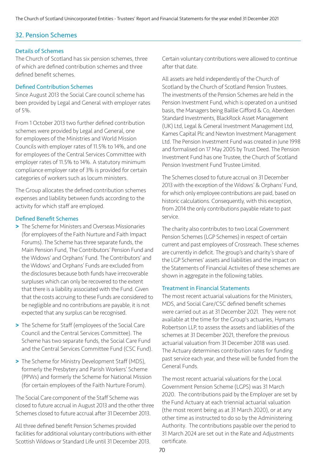### 32. Pension Schemes

### Details of Schemes

The Church of Scotland has six pension schemes, three of which are defined contribution schemes and three defined benefit schemes.

### Defined Contribution Schemes

Since August 2013 the Social Care council scheme has been provided by Legal and General with employer rates of 5%.

From 1 October 2013 two further defined contribution schemes were provided by Legal and General, one for employees of the Ministries and World Mission Councils with employer rates of 11.5% to 14%, and one for employees of the Central Services Committee with employer rates of 11.5% to 14%. A statutory minimum compliance employer rate of 3% is provided for certain categories of workers such as locum ministers.

The Group allocates the defined contribution schemes expenses and liability between funds according to the activity for which staff are employed.

### Defined Benefit Schemes

- **>** The Scheme for Ministers and Overseas Missionaries (for employees of the Faith Nurture and Faith Impact Forums). The Scheme has three separate funds, the Main Pension Fund, The Contributors' Pension Fund and the Widows' and Orphans' Fund. The Contributors' and the Widows' and Orphans' Funds are excluded from the disclosures because both funds have irrecoverable surpluses which can only be recovered to the extent that there is a liability associated with the Fund. Given that the costs accruing to these Funds are considered to be negligible and no contributions are payable, it is not expected that any surplus can be recognised.
- **>** The Scheme for Staff (employees of the Social Care Council and the Central Services Committee). The Scheme has two separate funds, the Social Care Fund and the Central Services Committee Fund (CSC Fund).
- **>** The Scheme for Ministry Development Staff (MDS), formerly the Presbytery and Parish Workers' Scheme (PPWs) and formerly the Scheme for National Mission (for certain employees of the Faith Nurture Forum).

The Social Care component of the Staff Scheme was closed to future accrual in August 2013 and the other three Schemes closed to future accrual after 31 December 2013.

All three defined benefit Pension Schemes provided facilities for additional voluntary contributions with either Scottish Widows or Standard Life until 31 December 2013.

Certain voluntary contributions were allowed to continue after that date.

All assets are held independently of the Church of Scotland by the Church of Scotland Pension Trustees. The investments of the Pension Schemes are held in the Pension Investment Fund, which is operated on a unitised basis, the Managers being Baillie Gifford & Co, Aberdeen Standard Investments, BlackRock Asset Management (UK) Ltd, Legal & General Investment Management Ltd, Kames Capital Plc and Newton Investment Management Ltd. The Pension Investment Fund was created in June 1998 and formalised on 17 May 2005 by Trust Deed. The Pension Investment Fund has one Trustee, the Church of Scotland Pension Investment Fund Trustee Limited.

The Schemes closed to future accrual on 31 December 2013 with the exception of the Widows' & Orphans' Fund, for which only employee contributions are paid, based on historic calculations. Consequently, with this exception, from 2014 the only contributions payable relate to past service.

The charity also contributes to two Local Government Pension Schemes (LGP Schemes) in respect of certain current and past employees of Crossreach. These schemes are currently in deficit. The group's and charity's share of the LGP Schemes' assets and liabilities and the impact on the Statements of Financial Activites of these schemes are shown in aggregate in the following tables.

### Treatment in Financial Statements

The most recent actuarial valuations for the Ministers, MDS, and Social Care/CSC defined benefit schemes were carried out as at 31 December 2021. They were not available at the time for the Group's actuaries, Hymans Robertson LLP, to assess the assets and liabilities of the schemes at 31 December 2021, therefore the previous actuarial valuation from 31 December 2018 was used. The Actuary determines contribution rates for funding past service each year, and these will be funded from the General Funds.

The most recent actuarial valuations for the Local Government Pension Scheme (LGPS) was 31 March 2020. The contributions paid by the Employer are set by the Fund Actuary at each triennial actuarial valuation (the most recent being as at 31 March 2020), or at any other time as instructed to do so by the Administering Authority. The contributions payable over the period to 31 March 2024 are set out in the Rate and Adjustments certificate.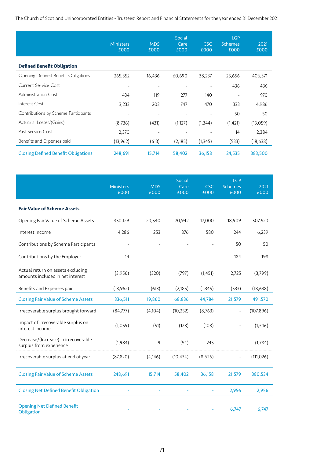|                                            | <b>Ministers</b><br>£000 | <b>MDS</b><br>£000 | <b>Social</b><br>Care<br>£000 | CSC<br>£000 | <b>LGP</b><br><b>Schemes</b><br>£000 | 2021<br>£000 |
|--------------------------------------------|--------------------------|--------------------|-------------------------------|-------------|--------------------------------------|--------------|
| <b>Defined Benefit Obligation</b>          |                          |                    |                               |             |                                      |              |
| Opening Defined Benefit Obligations        | 265,352                  | 16,436             | 60,690                        | 38,237      | 25,656                               | 406,371      |
| Current Service Cost                       | $\overline{\phantom{a}}$ | -                  |                               |             | 436                                  | 436          |
| <b>Administration Cost</b>                 | 434                      | 119                | 277                           | 140         |                                      | 970          |
| Interest Cost                              | 3,233                    | 203                | 747                           | 470         | 333                                  | 4,986        |
| Contributions by Scheme Participants       | $\overline{\phantom{a}}$ | ٠                  |                               |             | 50                                   | 50           |
| Actuarial Losses/(Gains)                   | (8, 736)                 | (431)              | (1,127)                       | (1, 344)    | (1, 421)                             | (13,059)     |
| Past Service Cost                          | 2,370                    |                    |                               |             | 14                                   | 2,384        |
| Benefits and Expenses paid                 | (13, 962)                | (613)              | (2, 185)                      | (1, 345)    | (533)                                | (18, 638)    |
| <b>Closing Defined Benefit Obligations</b> | 248,691                  | 15,714             | 58,402                        | 36,158      | 24,535                               | 383,500      |

|                                                                       | <b>Ministers</b><br>£000 | <b>MDS</b><br>£000 | Social<br>Care<br>£000 | <b>CSC</b><br>£000 | <b>LGP</b><br><b>Schemes</b><br>£000 | 2021<br>£000 |
|-----------------------------------------------------------------------|--------------------------|--------------------|------------------------|--------------------|--------------------------------------|--------------|
| <b>Fair Value of Scheme Assets</b>                                    |                          |                    |                        |                    |                                      |              |
| Opening Fair Value of Scheme Assets                                   | 350,129                  | 20,540             | 70,942                 | 47,000             | 18,909                               | 507,520      |
| Interest Income                                                       | 4,286                    | 253                | 876                    | 580                | 244                                  | 6,239        |
| Contributions by Scheme Participants                                  |                          |                    |                        |                    | 50                                   | 50           |
| Contributions by the Employer                                         | 14                       |                    |                        |                    | 184                                  | 198          |
| Actual return on assets excluding<br>amounts included in net interest | (3,956)                  | (320)              | (797)                  | (1, 451)           | 2,725                                | (3,799)      |
| Benefits and Expenses paid                                            | (13, 962)                | (613)              | (2, 185)               | (1, 345)           | (533)                                | (18, 638)    |
| <b>Closing Fair Value of Scheme Assets</b>                            | 336,511                  | 19,860             | 68,836                 | 44,784             | 21,579                               | 491,570      |
| Irrecoverable surplus brought forward                                 | (84, 777)                | (4,104)            | (10, 252)              | (8, 763)           | $\frac{1}{2}$                        | (107, 896)   |
| Impact of irrecoverable surplus on<br>interest income                 | (1,059)                  | (51)               | (128)                  | (108)              |                                      | (1, 346)     |
| Decrease/(Increase) in irrecoverable<br>surplus from experience       | (1,984)                  | 9                  | (54)                   | 245                |                                      | (1,784)      |
| Irrecoverable surplus at end of year                                  | (87, 820)                | (4,146)            | (10, 434)              | (8,626)            | $\overline{\phantom{a}}$             | (111, 026)   |
| <b>Closing Fair Value of Scheme Assets</b>                            | 248,691                  | 15,714             | 58,402                 | 36,158             | 21,579                               | 380,534      |
| <b>Closing Net Defined Benefit Obligation</b>                         |                          |                    |                        |                    | 2,956                                | 2,956        |
| <b>Opening Net Defined Benefit</b><br>Obligation                      |                          |                    |                        |                    | 6,747                                | 6,747        |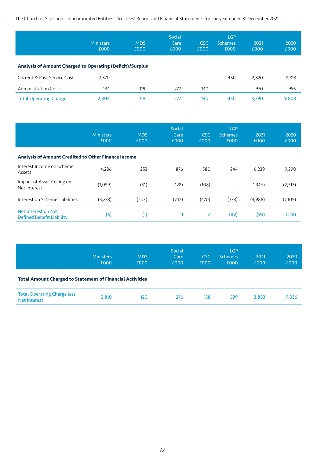|                                                           | <b>Ministers</b><br>£000 | <b>MDS</b><br>£000       | Social<br>Care<br>£000 | <b>CSC</b><br>£000       | <b>LGP</b><br><b>Schemes</b><br>£000 | 2021<br>£000 | 2020<br>£000 |  |  |
|-----------------------------------------------------------|--------------------------|--------------------------|------------------------|--------------------------|--------------------------------------|--------------|--------------|--|--|
| Analysis of Amount Charged to Operating (Deficit)/Surplus |                          |                          |                        |                          |                                      |              |              |  |  |
| Current & Past Service Cost                               | 2,370                    | $\overline{\phantom{a}}$ | $\overline{a}$         | $\overline{\phantom{a}}$ | 450                                  | 2,820        | 8,813        |  |  |
| <b>Administration Costs</b>                               | 434                      | 119                      | 277                    | 140                      | $\overline{\phantom{a}}$             | 970          | 995          |  |  |
| <b>Total Operating Charge</b>                             | 2,804                    | 119                      | 277                    | 140                      | 450                                  | 3,790        | 9,808        |  |  |

|                                                            | <b>Ministers</b><br>£000 | <b>MDS</b><br>£000 | Social<br>Care<br>£000 | <b>CSC</b><br>£000 | <b>LGP</b><br>Schemes<br>£000 | 2021<br>£000 | 2020<br>£000 |  |  |
|------------------------------------------------------------|--------------------------|--------------------|------------------------|--------------------|-------------------------------|--------------|--------------|--|--|
| <b>Analysis of Amount Credited to Other Finance Income</b> |                          |                    |                        |                    |                               |              |              |  |  |
| Interest Income on Scheme<br>Assets                        | 4,286                    | 253                | 876                    | 580                | 244                           | 6,239        | 9,290        |  |  |
| Impact of Asset Ceiling on<br>Net Interest                 | (1,059)                  | (51)               | (128)                  | (108)              | $\overline{\phantom{a}}$      | (1, 346)     | (2, 313)     |  |  |
| Interest on Scheme Liabilities                             | (3,233)                  | (203)              | (747)                  | (470)              | (333)                         | (4,986)      | (7,105)      |  |  |
| Net Interest on Net<br>Defined Benefit Liability           | (6)                      | (1)                |                        | 2                  | (89)                          | (93)         | (128)        |  |  |

|                                                                  | <b>Ministers</b><br>£000 | <b>MDS</b><br>£000 | Social<br>Care<br>£000 | <b>CSC</b><br>£000 | <b>LGP</b><br><b>Schemes</b><br>£000 | 2021<br>£000 | 2020<br>£000 |  |  |  |
|------------------------------------------------------------------|--------------------------|--------------------|------------------------|--------------------|--------------------------------------|--------------|--------------|--|--|--|
| <b>Total Amount Charged to Statement of Financial Activities</b> |                          |                    |                        |                    |                                      |              |              |  |  |  |
| <b>Total Operating Charge less</b><br>Net Interest               | 2,810                    | 120                | 276                    | 138                | 539                                  | 3,883        | 9,936        |  |  |  |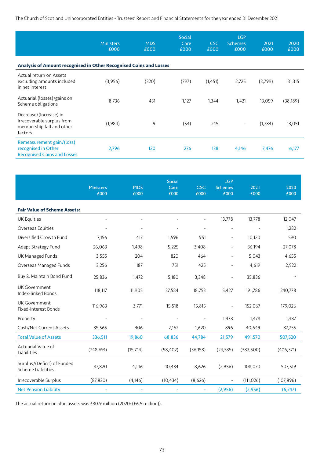|                                                                                              | <b>Ministers</b><br>£000 | <b>MDS</b><br>£000 | Social<br>Care<br>£000 | CSC<br>£000 | <b>LGP</b><br><b>Schemes</b><br>£000 | 2021<br>£000 | 2020<br>£000 |
|----------------------------------------------------------------------------------------------|--------------------------|--------------------|------------------------|-------------|--------------------------------------|--------------|--------------|
| Analysis of Amount recognised in Other Recognised Gains and Losses                           |                          |                    |                        |             |                                      |              |              |
| Actual return on Assets<br>excluding amounts included<br>in net interest                     | (3,956)                  | (320)              | (797)                  | (1, 451)    | 2,725                                | (3,799)      | 31,315       |
| Actuarial (losses)/gains on<br>Scheme obligations                                            | 8,736                    | 431                | 1,127                  | 1,344       | 1,421                                | 13,059       | (38,189)     |
| Decrease/(Increase) in<br>irrecoverable surplus from<br>membership fall and other<br>factors | (1,984)                  | 9                  | (54)                   | 245         | $\overline{\phantom{a}}$             | (1,784)      | 13,051       |
| Remeasurement gain/(loss)<br>recognised in Other<br><b>Recognised Gains and Losses</b>       | 2,796                    | 120                | 276                    | 138         | 4,146                                | 7,476        | 6,177        |

|                                                     | <b>Ministers</b><br>£000 | <b>MDS</b><br>£000       | Social<br>Care<br>£000 | <b>CSC</b><br>£000           | <b>LGP</b><br><b>Schemes</b><br>£000 | 2021<br>£000 | 2020<br>£000 |
|-----------------------------------------------------|--------------------------|--------------------------|------------------------|------------------------------|--------------------------------------|--------------|--------------|
| <b>Fair Value of Scheme Assets:</b>                 |                          |                          |                        |                              |                                      |              |              |
| <b>UK Equities</b>                                  |                          |                          |                        | $\qquad \qquad \blacksquare$ | 13,778                               | 13,778       | 12,047       |
| Overseas Equities                                   | ٠                        | $\overline{\phantom{m}}$ |                        | ÷                            | $\overline{\phantom{a}}$             |              | 1,282        |
| Diversified Growth Fund                             | 7,156                    | 417                      | 1,596                  | 951                          | $\overline{\phantom{a}}$             | 10,120       | 590          |
| Adept Strategy Fund                                 | 26,063                   | 1,498                    | 5,225                  | 3,408                        | ÷                                    | 36,194       | 27,078       |
| UK Managed Funds                                    | 3,555                    | 204                      | 820                    | 464                          | $\overline{\phantom{a}}$             | 5,043        | 4,655        |
| Overseas Managed Funds                              | 3,256                    | 187                      | 751                    | 425                          |                                      | 4,619        | 2,922        |
| Buy & Maintain Bond Fund                            | 25,836                   | 1,472                    | 5,180                  | 3,348                        | $\overline{a}$                       | 35,836       |              |
| <b>UK Government</b><br>Index-linked Bonds          | 118,117                  | 11,905                   | 37,584                 | 18,753                       | 5,427                                | 191,786      | 240,778      |
| <b>UK Government</b><br><b>Fixed-interest Bonds</b> | 116,963                  | 3,771                    | 15,518                 | 15,815                       | ÷                                    | 152,067      | 179,026      |
| Property                                            |                          |                          |                        | $\overline{a}$               | 1,478                                | 1,478        | 1,387        |
| Cash/Net Current Assets                             | 35,565                   | 406                      | 2,162                  | 1,620                        | 896                                  | 40,649       | 37,755       |
| <b>Total Value of Assets</b>                        | 336,511                  | 19,860                   | 68,836                 | 44,784                       | 21,579                               | 491,570      | 507,520      |
| Actuarial Value of<br>Liabilities                   | (248, 691)               | (15, 714)                | (58, 402)              | (36, 158)                    | (24, 535)                            | (383,500)    | (406, 371)   |
| Surplus/(Deficit) of Funded<br>Scheme Liabilities   | 87,820                   | 4,146                    | 10,434                 | 8,626                        | (2,956)                              | 108,070      | 507,519      |
| Irrecoverable Surplus                               | (87, 820)                | (4, 146)                 | (10, 434)              | (8,626)                      |                                      | (111, 026)   | (107, 896)   |
| <b>Net Pension Liability</b>                        |                          |                          |                        |                              | (2,956)                              | (2,956)      | (6, 747)     |

The actual return on plan assets was £30.9 million (2020: (£6.5 million)).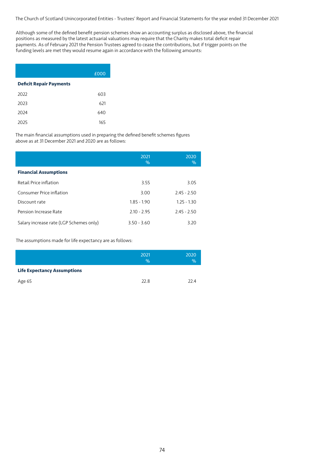Although some of the defined benefit pension schemes show an accounting surplus as disclosed above, the financial positions as measured by the latest actuarial valuations may require that the Charity makes total deficit repair payments. As of February 2021 the Pension Trustees agreed to cease the contributions, but if trigger points on the funding levels are met they would resume again in accordance with the following amounts:

|                                | £000 |
|--------------------------------|------|
| <b>Deficit Repair Payments</b> |      |
| 2022                           | 603  |
| 2023                           | 621  |
| 2024                           | 640  |
| 2025                           | 165  |

The main financial assumptions used in preparing the defined benefit schemes figures above as at 31 December 2021 and 2020 are as follows:

|                                         | 2021<br>$\%$  | 2020<br>$\%$  |
|-----------------------------------------|---------------|---------------|
| <b>Financial Assumptions</b>            |               |               |
| Retail Price inflation                  | 3.55          | 3.05          |
| Consumer Price inflation                | 3.00          | $2.45 - 2.50$ |
| Discount rate                           | $1.85 - 1.90$ | $1.25 - 1.30$ |
| Pension Increase Rate                   | $2.10 - 2.95$ | $2.45 - 2.50$ |
| Salary increase rate (LGP Schemes only) | $3.50 - 3.60$ | 3.20          |

The assumptions made for life expectancy are as follows:

|                                    | 2021<br>$\%$ | 2020<br>$\%$ |
|------------------------------------|--------------|--------------|
| <b>Life Expectancy Assumptions</b> |              |              |
| Age 65                             | 22.8         | 22.4         |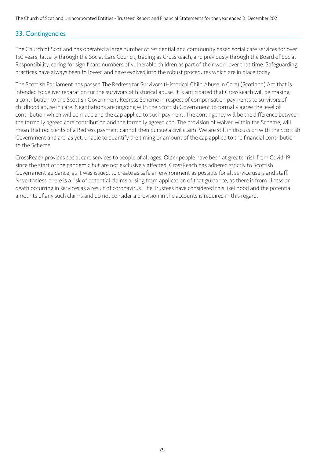### 33. Contingencies

The Church of Scotland has operated a large number of residential and community based social care services for over 150 years, latterly through the Social Care Council, trading as CrossReach, and previously through the Board of Social Responsibility, caring for significant numbers of vulnerable children as part of their work over that time. Safeguarding practices have always been followed and have evolved into the robust procedures which are in place today.

The Scottish Parliament has passed The Redress for Survivors (Historical Child Abuse in Care) (Scotland) Act that is intended to deliver reparation for the survivors of historical abuse. It is anticipated that CrossReach will be making a contribution to the Scottish Government Redress Scheme in respect of compensation payments to survivors of childhood abuse in care. Negotiations are ongoing with the Scottish Government to formally agree the level of contribution which will be made and the cap applied to such payment. The contingency will be the difference between the formally agreed core contribution and the formally agreed cap. The provision of waiver, within the Scheme, will mean that recipients of a Redress payment cannot then pursue a civil claim. We are still in discussion with the Scottish Government and are, as yet, unable to quantify the timing or amount of the cap applied to the financial contribution to the Scheme.

CrossReach provides social care services to people of all ages. Older people have been at greater risk from Covid-19 since the start of the pandemic but are not exclusively affected. CrossReach has adhered strictly to Scottish Government guidance, as it was issued, to create as safe an environment as possible for all service users and staff. Nevertheless, there is a risk of potential claims arising from application of that guidance, as there is from illness or death occurring in services as a result of coronavirus. The Trustees have considered this likelihood and the potential amounts of any such claims and do not consider a provision in the accounts is required in this regard.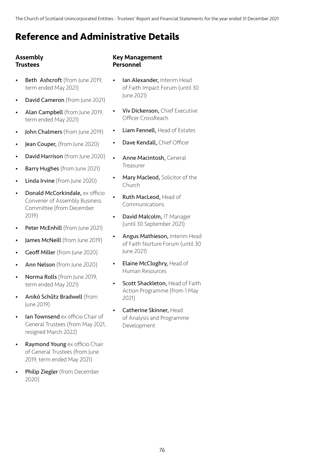# **Reference and Administrative Details**

### Assembly **Trustees**

- Beth Ashcroft (from June 2019, term ended May 2021)
- David Cameron (from June 2021)
- Alan Campbell (from June 2019, term ended May 2021)
- John Chalmers (from June 2019)
- Jean Couper, (from June 2020)
- David Harrison (from June 2020)
- Barry Hughes (from June 2021)
- Linda Irvine (from June 2020)
- Donald McCorkindale, ex officio Convener of Assembly Business Committee (from December 2019)
- Peter McEnhill (from June 2021)
- James McNeill (from June 2019)
- Geoff Miller (from June 2020)
- Ann Nelson (from June 2020)
- Norma Rolls (from June 2019, term ended May 2021)
- Anikó Schűtz Bradwell (from June 2019)
- Ian Townsend ex officio Chair of General Trustees (from May 2021, resigned March 2022)
- Raymond Young ex officio Chair of General Trustees (from June 2019, term ended May 2021)
- Philip Ziegler (from December 2020)

### Key Management Personnel

- Ian Alexander, Interim Head of Faith Impact Forum (until 30 June 2021)
- Viv Dickenson, Chief Executive Officer CrossReach
- Liam Fennell, Head of Estates
- Dave Kendall, Chief Officer
- Anne Macintosh, General Treasurer
- Mary Macleod, Solicitor of the Church
- Ruth MacLeod, Head of Communications
- David Malcolm, IT Manager (until 30 September 2021)
- Angus Mathieson, Interim Head of Faith Nurture Forum (until 30 June 2021)
- Elaine McCloghry, Head of Human Resources
- Scott Shackleton, Head of Faith Action Programme (from 1 May 2021)
- Catherine Skinner, Head of Analysis and Programme Development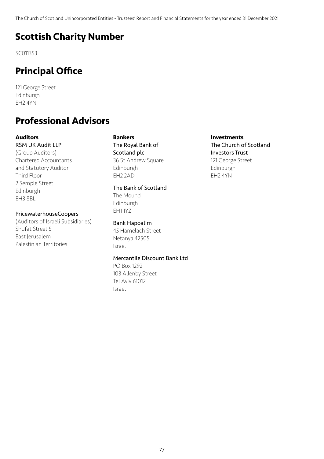# **Scottish Charity Number**

SC011353

# **Principal Office**

121 George Street Edinburgh EH2 4YN

# **Professional Advisors**

#### **Auditors**

#### RSM UK Audit LLP

(Group Auditors) Chartered Accountants and Statutory Auditor Third Floor 2 Semple Street Edinburgh EH3 8BL

#### PricewaterhouseCoopers

(Auditors of Israeli Subsidiaries) Shufat Street 5 East Jerusalem Palestinian Territories

### **Bankers**

The Royal Bank of Scotland plc 36 St Andrew Square Edinburgh EH2 2AD

#### The Bank of Scotland

The Mound Edinburgh EH1 1YZ

#### Bank Hapoalim

45 Hamelach Street Netanya 42505 Israel

#### Mercantile Discount Bank Ltd

PO Box 1292 103 Allenby Street Tel Aviv 61012 Israel

## **Investments**

The Church of Scotland Investors Trust 121 George Street Edinburgh EH2 4YN